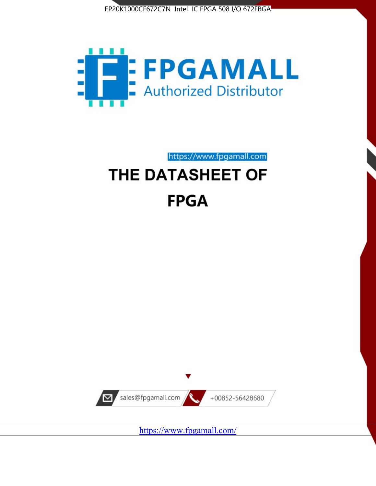



# https://www.fpgamall.com THE DATASHEET OF **FPGA**



<https://www.fpgamall.com/>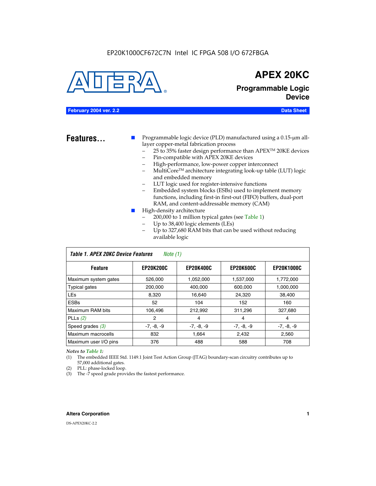#### EP20K1000CF672C7N Intel IC FPGA 508 I/O 672FBGA



### **APEX 20KC**

**Programmable Logic Device**

#### **February 2004 ver. 2.2 Data Sheet**

**Features...** ■ Programmable logic device (PLD) manufactured using a 0.15-µm alllayer copper-metal fabrication process

- 25 to 35% faster design performance than APEX<sup>™</sup> 20KE devices
- Pin-compatible with APEX 20KE devices
- High-performance, low-power copper interconnect
- MultiCoreTM architecture integrating look-up table (LUT) logic and embedded memory
- LUT logic used for register-intensive functions
- Embedded system blocks (ESBs) used to implement memory functions, including first-in first-out (FIFO) buffers, dual-port RAM, and content-addressable memory (CAM)
- High-density architecture
	- 200,000 to 1 million typical gates (see Table 1)
	- Up to 38,400 logic elements (LEs)
	- Up to 327,680 RAM bits that can be used without reducing available logic

| Table 1. APEX 20KC Device Features<br>Note $(1)$ |                  |                  |                  |                   |  |  |  |
|--------------------------------------------------|------------------|------------------|------------------|-------------------|--|--|--|
| <b>Feature</b>                                   | <b>EP20K200C</b> | <b>EP20K400C</b> | <b>EP20K600C</b> | <b>EP20K1000C</b> |  |  |  |
| Maximum system gates                             | 526,000          | 1,052,000        | 1,537,000        | 1,772,000         |  |  |  |
| <b>Typical gates</b>                             | 200,000          | 400,000          | 600,000          | 1,000,000         |  |  |  |
| <b>LEs</b>                                       | 8.320            | 16,640           | 24,320           | 38,400            |  |  |  |
| <b>ESBs</b>                                      | 52               | 104              | 152              | 160               |  |  |  |
| Maximum RAM bits                                 | 106,496          | 212,992          | 311,296          | 327,680           |  |  |  |
| PLLs $(2)$                                       | 2                | 4                | 4                | 4                 |  |  |  |
| Speed grades $(3)$                               | $-7, -8, -9$     | $-7, -8, -9$     | $-7, -8, -9$     | $-7, -8, -9$      |  |  |  |
| Maximum macrocells                               | 832              | 1.664            | 2,432            | 2,560             |  |  |  |
| Maximum user I/O pins                            | 376              | 488              | 588              | 708               |  |  |  |

#### *Notes to Table 1:*

(1) The embedded IEEE Std. 1149.1 Joint Test Action Group (JTAG) boundary-scan circuitry contributes up to 57,000 additional gates.

- (2) PLL: phase-locked loop.
- (3) The -7 speed grade provides the fastest performance.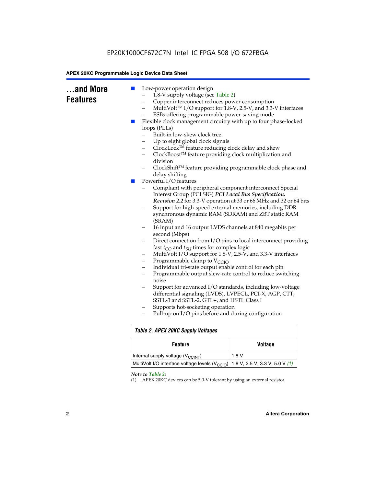| and More<br><b>Features</b> | Low-power operation design<br>ш<br>1.8-V supply voltage (see Table 2)<br>Copper interconnect reduces power consumption<br>-<br>-<br>ESBs offering programmable power-saving mode<br>Flexible clock management circuitry with up to four phase-locked<br>ш<br>loops (PLLs)<br>Built-in low-skew clock tree<br>Up to eight global clock signals<br>ClockLock™ feature reducing clock delay and skew<br>-<br>ClockBoost™ feature providing clock multiplication and<br>-<br>division<br>delay shifting<br>Powerful I/O features<br>$\blacksquare$<br>Interest Group (PCI SIG) PCI Local Bus Specification,<br>Support for high-speed external memories, including DDR<br>-<br>(SRAM)<br>16 input and 16 output LVDS channels at 840 megabits per<br>second (Mbps)<br>fast $t_{CO}$ and $t_{SU}$ times for complex logic<br>MultiVolt I/O support for 1.8-V, 2.5-V, and 3.3-V interfaces<br>-<br>Programmable clamp to $V_{\text{CCIO}}$<br>-<br>Individual tri-state output enable control for each pin<br>-<br>$\overline{\phantom{0}}$<br>noise<br>- | MultiVolt™ I/O support for 1.8-V, 2.5-V, and 3.3-V interfaces<br>ClockShift™ feature providing programmable clock phase and<br>Compliant with peripheral component interconnect Special<br>Revision 2.2 for 3.3-V operation at 33 or 66 MHz and 32 or 64 bits<br>synchronous dynamic RAM (SDRAM) and ZBT static RAM<br>Direct connection from I/O pins to local interconnect providing<br>Programmable output slew-rate control to reduce switching<br>Support for advanced I/O standards, including low-voltage |  |  |  |  |
|-----------------------------|-----------------------------------------------------------------------------------------------------------------------------------------------------------------------------------------------------------------------------------------------------------------------------------------------------------------------------------------------------------------------------------------------------------------------------------------------------------------------------------------------------------------------------------------------------------------------------------------------------------------------------------------------------------------------------------------------------------------------------------------------------------------------------------------------------------------------------------------------------------------------------------------------------------------------------------------------------------------------------------------------------------------------------------------------------|------------------------------------------------------------------------------------------------------------------------------------------------------------------------------------------------------------------------------------------------------------------------------------------------------------------------------------------------------------------------------------------------------------------------------------------------------------------------------------------------------------------|--|--|--|--|
|                             | differential signaling (LVDS), LVPECL, PCI-X, AGP, CTT,<br>SSTL-3 and SSTL-2, GTL+, and HSTL Class I<br>Supports hot-socketing operation<br>-<br>Pull-up on I/O pins before and during configuration                                                                                                                                                                                                                                                                                                                                                                                                                                                                                                                                                                                                                                                                                                                                                                                                                                                |                                                                                                                                                                                                                                                                                                                                                                                                                                                                                                                  |  |  |  |  |
|                             | <b>Table 2. APEX 20KC Supply Voltages</b>                                                                                                                                                                                                                                                                                                                                                                                                                                                                                                                                                                                                                                                                                                                                                                                                                                                                                                                                                                                                           |                                                                                                                                                                                                                                                                                                                                                                                                                                                                                                                  |  |  |  |  |
|                             | <b>Feature</b>                                                                                                                                                                                                                                                                                                                                                                                                                                                                                                                                                                                                                                                                                                                                                                                                                                                                                                                                                                                                                                      | <b>Voltage</b>                                                                                                                                                                                                                                                                                                                                                                                                                                                                                                   |  |  |  |  |
|                             | Internal supply voltage (V <sub>CCINT</sub> )                                                                                                                                                                                                                                                                                                                                                                                                                                                                                                                                                                                                                                                                                                                                                                                                                                                                                                                                                                                                       | 1.8V                                                                                                                                                                                                                                                                                                                                                                                                                                                                                                             |  |  |  |  |
|                             | MultiVolt I/O interface voltage levels (V <sub>CCIO</sub> )<br>1.8 V, 2.5 V, 3.3 V, 5.0 V (1)                                                                                                                                                                                                                                                                                                                                                                                                                                                                                                                                                                                                                                                                                                                                                                                                                                                                                                                                                       |                                                                                                                                                                                                                                                                                                                                                                                                                                                                                                                  |  |  |  |  |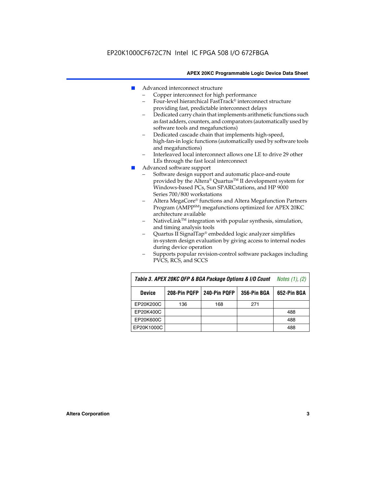- Advanced interconnect structure
	- Copper interconnect for high performance
	- Four-level hierarchical FastTrack® interconnect structure providing fast, predictable interconnect delays
	- Dedicated carry chain that implements arithmetic functions such as fast adders, counters, and comparators (automatically used by software tools and megafunctions)
	- Dedicated cascade chain that implements high-speed, high-fan-in logic functions (automatically used by software tools and megafunctions)
	- Interleaved local interconnect allows one LE to drive 29 other LEs through the fast local interconnect
- Advanced software support
	- Software design support and automatic place-and-route provided by the Altera® Quartus™ II development system for Windows-based PCs, Sun SPARCstations, and HP 9000 Series 700/800 workstations
	- Altera MegaCore® functions and Altera Megafunction Partners Program (AMPPSM) megafunctions optimized for APEX 20KC architecture available
	- $N$ ativeLink<sup>TM</sup> integration with popular synthesis, simulation, and timing analysis tools
	- Quartus II SignalTap® embedded logic analyzer simplifies in-system design evaluation by giving access to internal nodes during device operation
	- Supports popular revision-control software packages including PVCS, RCS, and SCCS

| Table 3. APEX 20KC QFP & BGA Package Options & I/O Count | <i>Notes <math>(1)</math>, <math>(2)</math></i> |     |     |     |
|----------------------------------------------------------|-------------------------------------------------|-----|-----|-----|
| <b>Device</b>                                            | 240-Pin PQFP<br>208-Pin PQFP<br>356-Pin BGA     |     |     |     |
| EP20K200C                                                | 136                                             | 168 | 271 |     |
| EP20K400C                                                |                                                 |     |     | 488 |
| EP20K600C                                                |                                                 |     |     | 488 |
| EP20K1000C                                               |                                                 |     |     | 488 |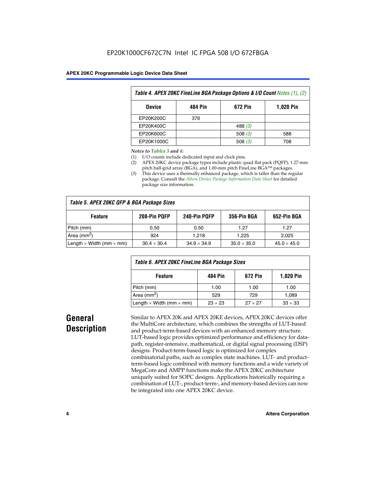| Table 4. APEX 20KC FineLine BGA Package Options & I/O Count Notes (1), (2) |     |           |     |  |  |  |
|----------------------------------------------------------------------------|-----|-----------|-----|--|--|--|
| 672 Pin<br>484 Pin<br><b>1,020 Pin</b><br><b>Device</b>                    |     |           |     |  |  |  |
| EP20K200C                                                                  | 376 |           |     |  |  |  |
| EP20K400C                                                                  |     | 488 $(3)$ |     |  |  |  |
| EP20K600C                                                                  |     | 508 $(3)$ | 588 |  |  |  |
| EP20K1000C                                                                 |     | 508(3)    | 708 |  |  |  |

#### *Notes to Tables 3 and 4:*

- (1) I/O counts include dedicated input and clock pins.
- (2) APEX 20KC device package types include plastic quad flat pack (PQFP), 1.27-mm pitch ball-grid array (BGA), and 1.00-mm pitch FineLine BGA™ packages.
- (3) This device uses a thermally enhanced package, which is taller than the regular package. Consult the *Altera Device Package Information Data Sheet* for detailed package size information.

| Table 5. APEX 20KC QFP & BGA Package Sizes |                    |                    |                    |                    |  |  |  |
|--------------------------------------------|--------------------|--------------------|--------------------|--------------------|--|--|--|
| <b>Feature</b>                             | 208-Pin PQFP       | 240-Pin PQFP       | 356-Pin BGA        | 652-Pin BGA        |  |  |  |
| Pitch (mm)                                 | 0.50               | 0.50               | 1.27               | 1.27               |  |  |  |
| Area ( $mm2$ )                             | 924                | 1.218              | 1.225              | 2.025              |  |  |  |
| Length $\times$ Width (mm $\times$ mm)     | $30.4 \times 30.4$ | $34.9 \times 34.9$ | $35.0 \times 35.0$ | $45.0 \times 45.0$ |  |  |  |

| Table 6. APEX 20KC FineLine BGA Package Sizes            |                |                |                |  |  |  |
|----------------------------------------------------------|----------------|----------------|----------------|--|--|--|
| <b>1,020 Pin</b><br>672 Pin<br><b>Feature</b><br>484 Pin |                |                |                |  |  |  |
| Pitch (mm)                                               | 1.00           | 1.00           | 1.00           |  |  |  |
| Area ( $mm2$ )                                           | 529            | 729            | 1.089          |  |  |  |
| Length $\times$ Width (mm $\times$ mm)                   | $23 \times 23$ | $27 \times 27$ | $33 \times 33$ |  |  |  |

## **General Description**

Similar to APEX 20K and APEX 20KE devices, APEX 20KC devices offer the MultiCore architecture, which combines the strengths of LUT-based and product-term-based devices with an enhanced memory structure. LUT-based logic provides optimized performance and efficiency for datapath, register-intensive, mathematical, or digital signal processing (DSP) designs. Product-term-based logic is optimized for complex combinatorial paths, such as complex state machines. LUT- and productterm-based logic combined with memory functions and a wide variety of MegaCore and AMPP functions make the APEX 20KC architecture uniquely suited for SOPC designs. Applications historically requiring a combination of LUT-, product-term-, and memory-based devices can now be integrated into one APEX 20KC device.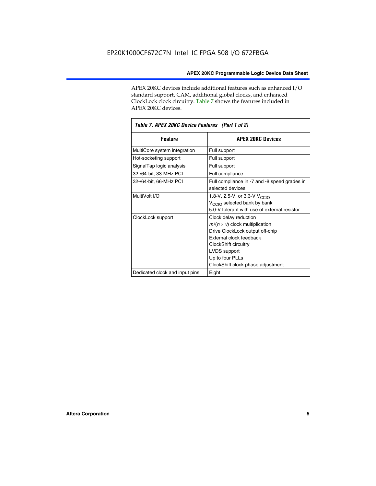APEX 20KC devices include additional features such as enhanced I/O standard support, CAM, additional global clocks, and enhanced ClockLock clock circuitry. Table 7 shows the features included in APEX 20KC devices.

| Table 7. APEX 20KC Device Features (Part 1 of 2) |                                                                                                                                                                                                                              |  |  |  |  |
|--------------------------------------------------|------------------------------------------------------------------------------------------------------------------------------------------------------------------------------------------------------------------------------|--|--|--|--|
| <b>Feature</b>                                   | <b>APEX 20KC Devices</b>                                                                                                                                                                                                     |  |  |  |  |
| MultiCore system integration                     | Full support                                                                                                                                                                                                                 |  |  |  |  |
| Hot-socketing support                            | Full support                                                                                                                                                                                                                 |  |  |  |  |
| SignalTap logic analysis                         | Full support                                                                                                                                                                                                                 |  |  |  |  |
| 32-/64-bit, 33-MHz PCI                           | Full compliance                                                                                                                                                                                                              |  |  |  |  |
| 32-/64-bit, 66-MHz PCI                           | Full compliance in -7 and -8 speed grades in<br>selected devices                                                                                                                                                             |  |  |  |  |
| MultiVolt I/O                                    | 1.8-V, 2.5-V, or 3.3-V V <sub>CCIO</sub><br>V <sub>CCIO</sub> selected bank by bank<br>5.0-V tolerant with use of external resistor                                                                                          |  |  |  |  |
| ClockLock support                                | Clock delay reduction<br>$m/(n \times v)$ clock multiplication<br>Drive ClockLock output off-chip<br>External clock feedback<br>ClockShift circuitry<br>LVDS support<br>Up to four PLLs<br>ClockShift clock phase adjustment |  |  |  |  |
| Dedicated clock and input pins                   | Eight                                                                                                                                                                                                                        |  |  |  |  |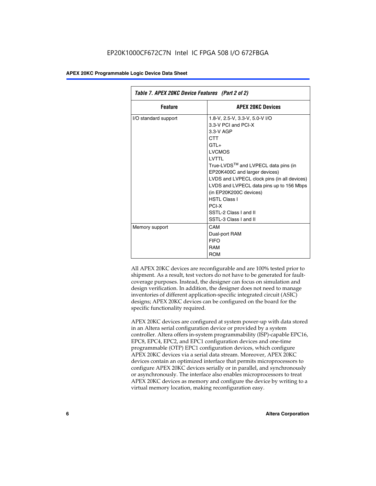| Table 7. APEX 20KC Device Features (Part 2 of 2) |                                                                                                                                                                                                                                                                                                                                                                                                  |  |  |  |  |
|--------------------------------------------------|--------------------------------------------------------------------------------------------------------------------------------------------------------------------------------------------------------------------------------------------------------------------------------------------------------------------------------------------------------------------------------------------------|--|--|--|--|
| <b>Feature</b>                                   | <b>APEX 20KC Devices</b>                                                                                                                                                                                                                                                                                                                                                                         |  |  |  |  |
| I/O standard support                             | 1.8-V, 2.5-V, 3.3-V, 5.0-V I/O<br>3.3-V PCI and PCI-X<br>$3.3-V$ AGP<br>CTT<br>$GTI +$<br><b>LVCMOS</b><br>I VTTI<br>True-LVDS™ and LVPECL data pins (in<br>EP20K400C and larger devices)<br>LVDS and LVPECL clock pins (in all devices)<br>LVDS and LVPECL data pins up to 156 Mbps<br>(in EP20K200C devices)<br><b>HSTI Class I</b><br>PCI-X<br>SSTL-2 Class I and II<br>SSTL-3 Class I and II |  |  |  |  |
| Memory support                                   | CAM<br>Dual-port RAM<br><b>FIFO</b><br>RAM<br><b>ROM</b>                                                                                                                                                                                                                                                                                                                                         |  |  |  |  |

All APEX 20KC devices are reconfigurable and are 100% tested prior to shipment. As a result, test vectors do not have to be generated for faultcoverage purposes. Instead, the designer can focus on simulation and design verification. In addition, the designer does not need to manage inventories of different application-specific integrated circuit (ASIC) designs; APEX 20KC devices can be configured on the board for the specific functionality required.

APEX 20KC devices are configured at system power-up with data stored in an Altera serial configuration device or provided by a system controller. Altera offers in-system programmability (ISP)-capable EPC16, EPC8, EPC4, EPC2, and EPC1 configuration devices and one-time programmable (OTP) EPC1 configuration devices, which configure APEX 20KC devices via a serial data stream. Moreover, APEX 20KC devices contain an optimized interface that permits microprocessors to configure APEX 20KC devices serially or in parallel, and synchronously or asynchronously. The interface also enables microprocessors to treat APEX 20KC devices as memory and configure the device by writing to a virtual memory location, making reconfiguration easy.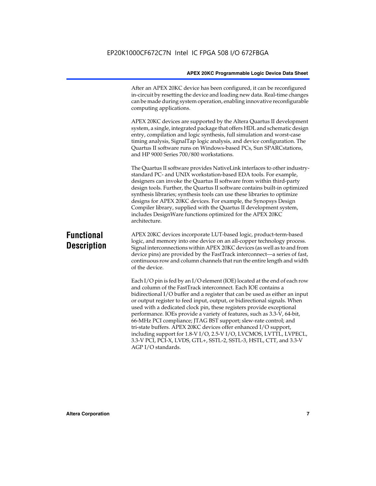After an APEX 20KC device has been configured, it can be reconfigured in-circuit by resetting the device and loading new data. Real-time changes can be made during system operation, enabling innovative reconfigurable computing applications.

APEX 20KC devices are supported by the Altera Quartus II development system, a single, integrated package that offers HDL and schematic design entry, compilation and logic synthesis, full simulation and worst-case timing analysis, SignalTap logic analysis, and device configuration. The Quartus II software runs on Windows-based PCs, Sun SPARCstations, and HP 9000 Series 700/800 workstations.

The Quartus II software provides NativeLink interfaces to other industrystandard PC- and UNIX workstation-based EDA tools. For example, designers can invoke the Quartus II software from within third-party design tools. Further, the Quartus II software contains built-in optimized synthesis libraries; synthesis tools can use these libraries to optimize designs for APEX 20KC devices. For example, the Synopsys Design Compiler library, supplied with the Quartus II development system, includes DesignWare functions optimized for the APEX 20KC architecture.

### **Functional Description**

APEX 20KC devices incorporate LUT-based logic, product-term-based logic, and memory into one device on an all-copper technology process. Signal interconnections within APEX 20KC devices (as well as to and from device pins) are provided by the FastTrack interconnect—a series of fast, continuous row and column channels that run the entire length and width of the device.

Each I/O pin is fed by an I/O element (IOE) located at the end of each row and column of the FastTrack interconnect. Each IOE contains a bidirectional I/O buffer and a register that can be used as either an input or output register to feed input, output, or bidirectional signals. When used with a dedicated clock pin, these registers provide exceptional performance. IOEs provide a variety of features, such as 3.3-V, 64-bit, 66-MHz PCI compliance; JTAG BST support; slew-rate control; and tri-state buffers. APEX 20KC devices offer enhanced I/O support, including support for 1.8-V I/O, 2.5-V I/O, LVCMOS, LVTTL, LVPECL, 3.3-V PCI, PCI-X, LVDS, GTL+, SSTL-2, SSTL-3, HSTL, CTT, and 3.3-V AGP I/O standards.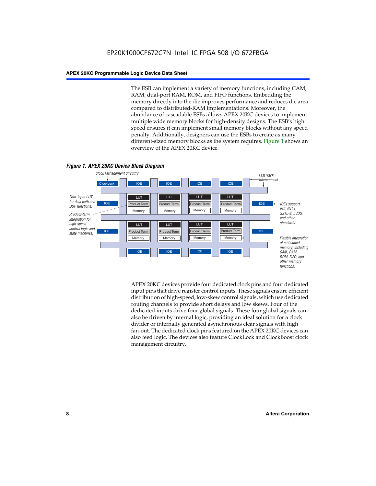The ESB can implement a variety of memory functions, including CAM, RAM, dual-port RAM, ROM, and FIFO functions. Embedding the memory directly into the die improves performance and reduces die area compared to distributed-RAM implementations. Moreover, the abundance of cascadable ESBs allows APEX 20KC devices to implement multiple wide memory blocks for high-density designs. The ESB's high speed ensures it can implement small memory blocks without any speed penalty. Additionally, designers can use the ESBs to create as many different-sized memory blocks as the system requires. Figure 1 shows an overview of the APEX 20KC device.



APEX 20KC devices provide four dedicated clock pins and four dedicated input pins that drive register control inputs. These signals ensure efficient distribution of high-speed, low-skew control signals, which use dedicated routing channels to provide short delays and low skews. Four of the dedicated inputs drive four global signals. These four global signals can also be driven by internal logic, providing an ideal solution for a clock divider or internally generated asynchronous clear signals with high fan-out. The dedicated clock pins featured on the APEX 20KC devices can also feed logic. The devices also feature ClockLock and ClockBoost clock management circuitry.

#### **8 Altera Corporation**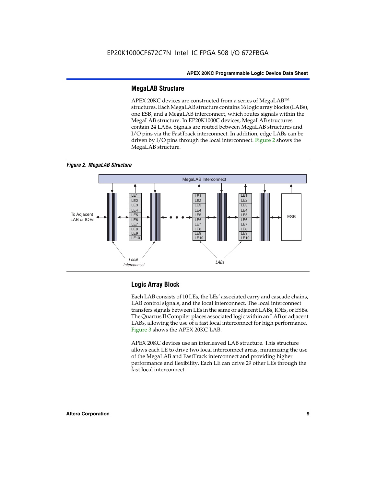#### **MegaLAB Structure**

APEX 20KC devices are constructed from a series of MegaLAB™ structures. Each MegaLAB structure contains 16 logic array blocks (LABs), one ESB, and a MegaLAB interconnect, which routes signals within the MegaLAB structure. In EP20K1000C devices, MegaLAB structures contain 24 LABs. Signals are routed between MegaLAB structures and I/O pins via the FastTrack interconnect. In addition, edge LABs can be driven by I/O pins through the local interconnect. Figure 2 shows the MegaLAB structure.





#### **Logic Array Block**

Each LAB consists of 10 LEs, the LEs' associated carry and cascade chains, LAB control signals, and the local interconnect. The local interconnect transfers signals between LEs in the same or adjacent LABs, IOEs, or ESBs. The Quartus II Compiler places associated logic within an LAB or adjacent LABs, allowing the use of a fast local interconnect for high performance. Figure 3 shows the APEX 20KC LAB.

APEX 20KC devices use an interleaved LAB structure. This structure allows each LE to drive two local interconnect areas, minimizing the use of the MegaLAB and FastTrack interconnect and providing higher performance and flexibility. Each LE can drive 29 other LEs through the fast local interconnect.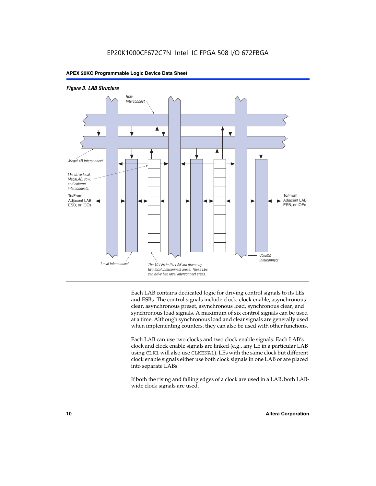#### *Figure 3. LAB Structure*



Each LAB contains dedicated logic for driving control signals to its LEs and ESBs. The control signals include clock, clock enable, asynchronous clear, asynchronous preset, asynchronous load, synchronous clear, and synchronous load signals. A maximum of six control signals can be used at a time. Although synchronous load and clear signals are generally used when implementing counters, they can also be used with other functions.

Each LAB can use two clocks and two clock enable signals. Each LAB's clock and clock enable signals are linked (e.g., any LE in a particular LAB using CLK1 will also use CLKENA1). LEs with the same clock but different clock enable signals either use both clock signals in one LAB or are placed into separate LABs.

If both the rising and falling edges of a clock are used in a LAB, both LABwide clock signals are used.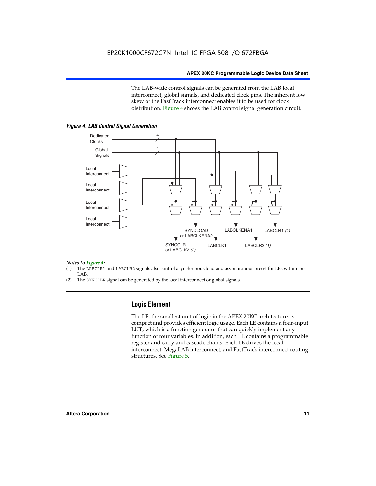The LAB-wide control signals can be generated from the LAB local interconnect, global signals, and dedicated clock pins. The inherent low skew of the FastTrack interconnect enables it to be used for clock distribution. Figure 4 shows the LAB control signal generation circuit.



#### *Figure 4. LAB Control Signal Generation*

#### *Notes to Figure 4:*

- (1) The LABCLR1 and LABCLR2 signals also control asynchronous load and asynchronous preset for LEs within the LAB.
- (2) The SYNCCLR signal can be generated by the local interconnect or global signals.

#### **Logic Element**

The LE, the smallest unit of logic in the APEX 20KC architecture, is compact and provides efficient logic usage. Each LE contains a four-input LUT, which is a function generator that can quickly implement any function of four variables. In addition, each LE contains a programmable register and carry and cascade chains. Each LE drives the local interconnect, MegaLAB interconnect, and FastTrack interconnect routing structures. See Figure 5.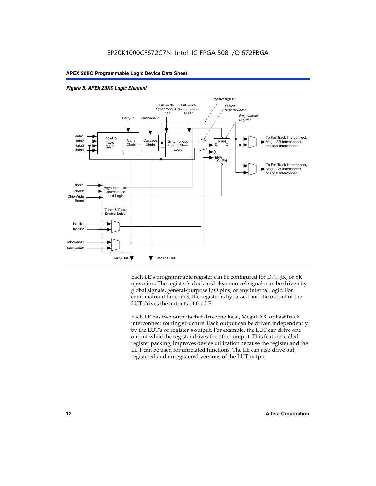



Each LE's programmable register can be configured for D, T, JK, or SR operation. The register's clock and clear control signals can be driven by global signals, general-purpose I/O pins, or any internal logic. For combinatorial functions, the register is bypassed and the output of the LUT drives the outputs of the LE.

Each LE has two outputs that drive the local, MegaLAB, or FastTrack interconnect routing structure. Each output can be driven independently by the LUT's or register's output. For example, the LUT can drive one output while the register drives the other output. This feature, called register packing, improves device utilization because the register and the LUT can be used for unrelated functions. The LE can also drive out registered and unregistered versions of the LUT output.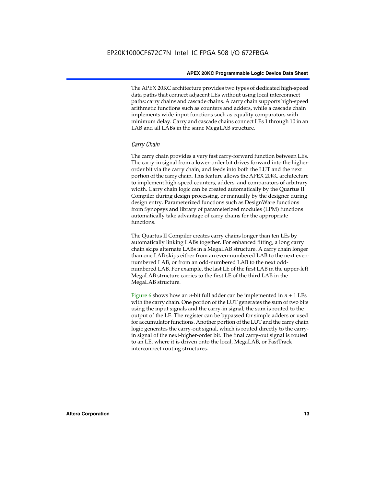The APEX 20KC architecture provides two types of dedicated high-speed data paths that connect adjacent LEs without using local interconnect paths: carry chains and cascade chains. A carry chain supports high-speed arithmetic functions such as counters and adders, while a cascade chain implements wide-input functions such as equality comparators with minimum delay. Carry and cascade chains connect LEs 1 through 10 in an LAB and all LABs in the same MegaLAB structure.

#### *Carry Chain*

The carry chain provides a very fast carry-forward function between LEs. The carry-in signal from a lower-order bit drives forward into the higherorder bit via the carry chain, and feeds into both the LUT and the next portion of the carry chain. This feature allows the APEX 20KC architecture to implement high-speed counters, adders, and comparators of arbitrary width. Carry chain logic can be created automatically by the Quartus II Compiler during design processing, or manually by the designer during design entry. Parameterized functions such as DesignWare functions from Synopsys and library of parameterized modules (LPM) functions automatically take advantage of carry chains for the appropriate functions.

The Quartus II Compiler creates carry chains longer than ten LEs by automatically linking LABs together. For enhanced fitting, a long carry chain skips alternate LABs in a MegaLAB structure. A carry chain longer than one LAB skips either from an even-numbered LAB to the next evennumbered LAB, or from an odd-numbered LAB to the next oddnumbered LAB. For example, the last LE of the first LAB in the upper-left MegaLAB structure carries to the first LE of the third LAB in the MegaLAB structure.

Figure 6 shows how an *n*-bit full adder can be implemented in  $n + 1$  LEs with the carry chain. One portion of the LUT generates the sum of two bits using the input signals and the carry-in signal; the sum is routed to the output of the LE. The register can be bypassed for simple adders or used for accumulator functions. Another portion of the LUT and the carry chain logic generates the carry-out signal, which is routed directly to the carryin signal of the next-higher-order bit. The final carry-out signal is routed to an LE, where it is driven onto the local, MegaLAB, or FastTrack interconnect routing structures.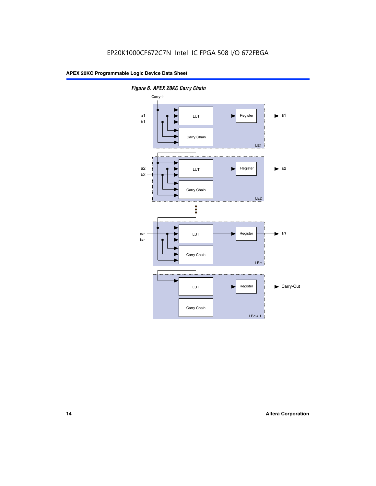

*Figure 6. APEX 20KC Carry Chain*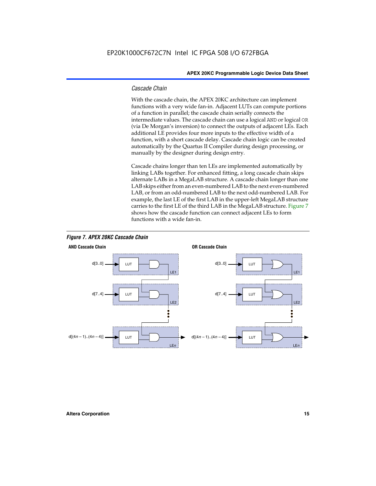#### *Cascade Chain*

With the cascade chain, the APEX 20KC architecture can implement functions with a very wide fan-in. Adjacent LUTs can compute portions of a function in parallel; the cascade chain serially connects the intermediate values. The cascade chain can use a logical AND or logical OR (via De Morgan's inversion) to connect the outputs of adjacent LEs. Each additional LE provides four more inputs to the effective width of a function, with a short cascade delay. Cascade chain logic can be created automatically by the Quartus II Compiler during design processing, or manually by the designer during design entry.

Cascade chains longer than ten LEs are implemented automatically by linking LABs together. For enhanced fitting, a long cascade chain skips alternate LABs in a MegaLAB structure. A cascade chain longer than one LAB skips either from an even-numbered LAB to the next even-numbered LAB, or from an odd-numbered LAB to the next odd-numbered LAB. For example, the last LE of the first LAB in the upper-left MegaLAB structure carries to the first LE of the third LAB in the MegaLAB structure. Figure 7 shows how the cascade function can connect adjacent LEs to form functions with a wide fan-in.



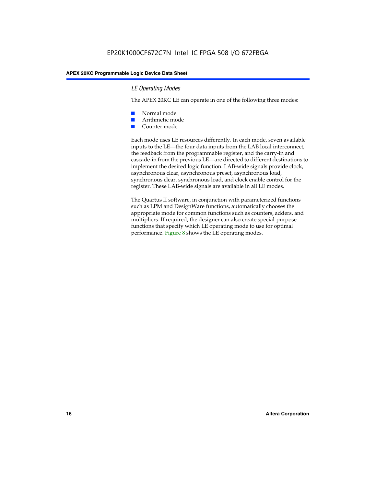#### *LE Operating Modes*

The APEX 20KC LE can operate in one of the following three modes:

- Normal mode
- Arithmetic mode
- Counter mode

Each mode uses LE resources differently. In each mode, seven available inputs to the LE—the four data inputs from the LAB local interconnect, the feedback from the programmable register, and the carry-in and cascade-in from the previous LE—are directed to different destinations to implement the desired logic function. LAB-wide signals provide clock, asynchronous clear, asynchronous preset, asynchronous load, synchronous clear, synchronous load, and clock enable control for the register. These LAB-wide signals are available in all LE modes.

The Quartus II software, in conjunction with parameterized functions such as LPM and DesignWare functions, automatically chooses the appropriate mode for common functions such as counters, adders, and multipliers. If required, the designer can also create special-purpose functions that specify which LE operating mode to use for optimal performance. Figure 8 shows the LE operating modes.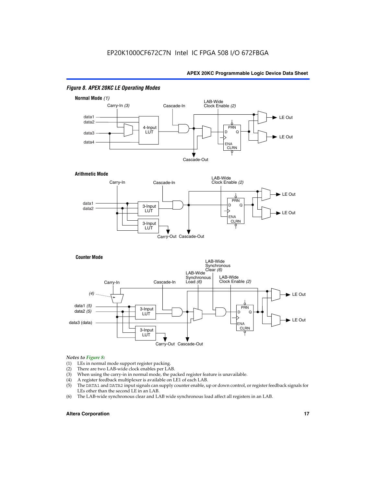

#### *Figure 8. APEX 20KC LE Operating Modes*

## *Notes to Figure 8:*

- (1) LEs in normal mode support register packing.<br>(2) There are two LAB-wide clock enables per LA
- (2) There are two LAB-wide clock enables per LAB.<br>(3) When using the carry-in in normal mode, the pa
- When using the carry-in in normal mode, the packed register feature is unavailable.
- (4) A register feedback multiplexer is available on LE1 of each LAB.
- (5) The DATA1 and DATA2 input signals can supply counter enable, up or down control, or register feedback signals for LEs other than the second LE in an LAB.
- (6) The LAB-wide synchronous clear and LAB wide synchronous load affect all registers in an LAB.

#### **Altera Corporation 17 17**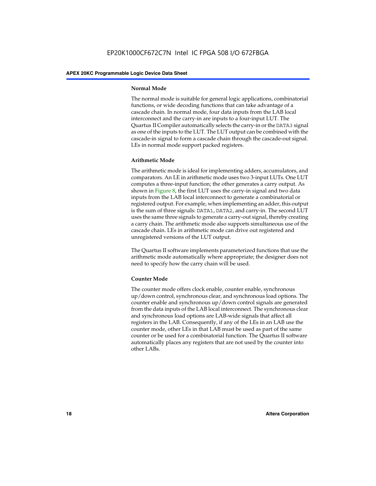#### **Normal Mode**

The normal mode is suitable for general logic applications, combinatorial functions, or wide decoding functions that can take advantage of a cascade chain. In normal mode, four data inputs from the LAB local interconnect and the carry-in are inputs to a four-input LUT. The Quartus II Compiler automatically selects the carry-in or the DATA3 signal as one of the inputs to the LUT. The LUT output can be combined with the cascade-in signal to form a cascade chain through the cascade-out signal. LEs in normal mode support packed registers.

#### **Arithmetic Mode**

The arithmetic mode is ideal for implementing adders, accumulators, and comparators. An LE in arithmetic mode uses two 3-input LUTs. One LUT computes a three-input function; the other generates a carry output. As shown in Figure 8, the first LUT uses the carry-in signal and two data inputs from the LAB local interconnect to generate a combinatorial or registered output. For example, when implementing an adder, this output is the sum of three signals: DATA1, DATA2, and carry-in. The second LUT uses the same three signals to generate a carry-out signal, thereby creating a carry chain. The arithmetic mode also supports simultaneous use of the cascade chain. LEs in arithmetic mode can drive out registered and unregistered versions of the LUT output.

The Quartus II software implements parameterized functions that use the arithmetic mode automatically where appropriate; the designer does not need to specify how the carry chain will be used.

#### **Counter Mode**

The counter mode offers clock enable, counter enable, synchronous up/down control, synchronous clear, and synchronous load options. The counter enable and synchronous up/down control signals are generated from the data inputs of the LAB local interconnect. The synchronous clear and synchronous load options are LAB-wide signals that affect all registers in the LAB. Consequently, if any of the LEs in an LAB use the counter mode, other LEs in that LAB must be used as part of the same counter or be used for a combinatorial function. The Quartus II software automatically places any registers that are not used by the counter into other LABs.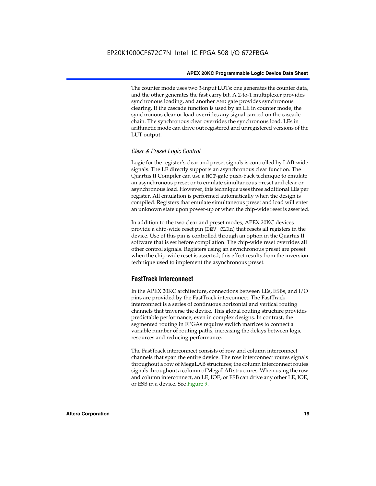The counter mode uses two 3-input LUTs: one generates the counter data, and the other generates the fast carry bit. A 2-to-1 multiplexer provides synchronous loading, and another AND gate provides synchronous clearing. If the cascade function is used by an LE in counter mode, the synchronous clear or load overrides any signal carried on the cascade chain. The synchronous clear overrides the synchronous load. LEs in arithmetic mode can drive out registered and unregistered versions of the LUT output.

#### *Clear & Preset Logic Control*

Logic for the register's clear and preset signals is controlled by LAB-wide signals. The LE directly supports an asynchronous clear function. The Quartus II Compiler can use a NOT-gate push-back technique to emulate an asynchronous preset or to emulate simultaneous preset and clear or asynchronous load. However, this technique uses three additional LEs per register. All emulation is performed automatically when the design is compiled. Registers that emulate simultaneous preset and load will enter an unknown state upon power-up or when the chip-wide reset is asserted.

In addition to the two clear and preset modes, APEX 20KC devices provide a chip-wide reset pin (DEV\_CLRn) that resets all registers in the device. Use of this pin is controlled through an option in the Quartus II software that is set before compilation. The chip-wide reset overrides all other control signals. Registers using an asynchronous preset are preset when the chip-wide reset is asserted; this effect results from the inversion technique used to implement the asynchronous preset.

#### **FastTrack Interconnect**

In the APEX 20KC architecture, connections between LEs, ESBs, and I/O pins are provided by the FastTrack interconnect. The FastTrack interconnect is a series of continuous horizontal and vertical routing channels that traverse the device. This global routing structure provides predictable performance, even in complex designs. In contrast, the segmented routing in FPGAs requires switch matrices to connect a variable number of routing paths, increasing the delays between logic resources and reducing performance.

The FastTrack interconnect consists of row and column interconnect channels that span the entire device. The row interconnect routes signals throughout a row of MegaLAB structures; the column interconnect routes signals throughout a column of MegaLAB structures. When using the row and column interconnect, an LE, IOE, or ESB can drive any other LE, IOE, or ESB in a device. See Figure 9.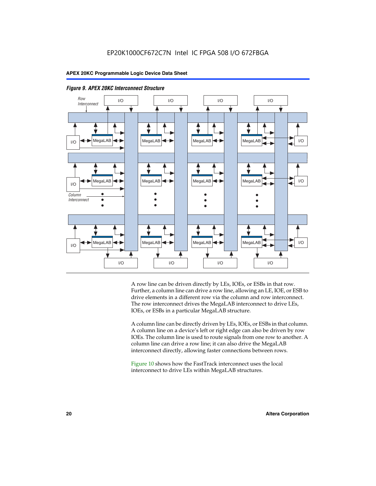

*Figure 9. APEX 20KC Interconnect Structure*

A row line can be driven directly by LEs, IOEs, or ESBs in that row. Further, a column line can drive a row line, allowing an LE, IOE, or ESB to drive elements in a different row via the column and row interconnect. The row interconnect drives the MegaLAB interconnect to drive LEs, IOEs, or ESBs in a particular MegaLAB structure.

A column line can be directly driven by LEs, IOEs, or ESBs in that column. A column line on a device's left or right edge can also be driven by row IOEs. The column line is used to route signals from one row to another. A column line can drive a row line; it can also drive the MegaLAB interconnect directly, allowing faster connections between rows.

Figure 10 shows how the FastTrack interconnect uses the local interconnect to drive LEs within MegaLAB structures.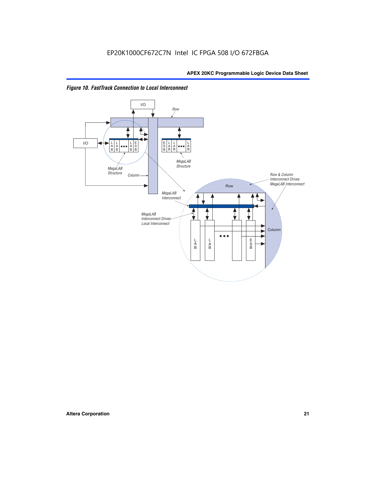

*Figure 10. FastTrack Connection to Local Interconnect*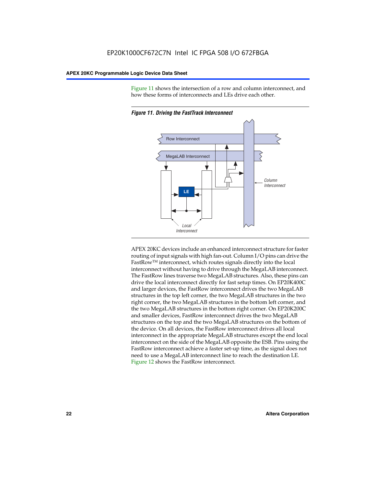Figure 11 shows the intersection of a row and column interconnect, and how these forms of interconnects and LEs drive each other.



*Figure 11. Driving the FastTrack Interconnect*

APEX 20KC devices include an enhanced interconnect structure for faster routing of input signals with high fan-out. Column I/O pins can drive the FastRowTM interconnect, which routes signals directly into the local interconnect without having to drive through the MegaLAB interconnect. The FastRow lines traverse two MegaLAB structures. Also, these pins can drive the local interconnect directly for fast setup times. On EP20K400C and larger devices, the FastRow interconnect drives the two MegaLAB structures in the top left corner, the two MegaLAB structures in the two right corner, the two MegaLAB structures in the bottom left corner, and the two MegaLAB structures in the bottom right corner. On EP20K200C and smaller devices, FastRow interconnect drives the two MegaLAB structures on the top and the two MegaLAB structures on the bottom of the device. On all devices, the FastRow interconnect drives all local interconnect in the appropriate MegaLAB structures except the end local interconnect on the side of the MegaLAB opposite the ESB. Pins using the FastRow interconnect achieve a faster set-up time, as the signal does not need to use a MegaLAB interconnect line to reach the destination LE. Figure 12 shows the FastRow interconnect.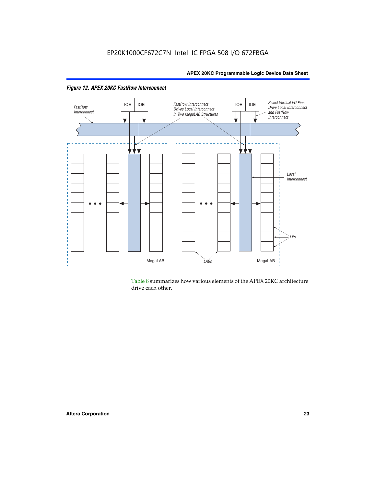



Table 8 summarizes how various elements of the APEX 20KC architecture drive each other.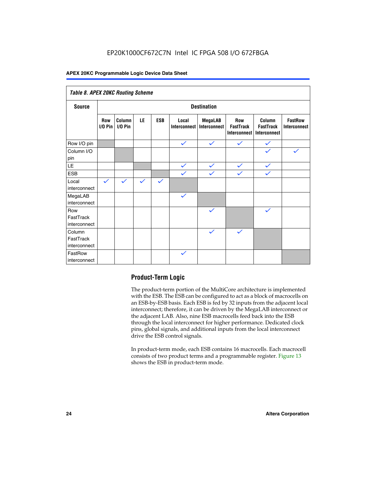| Table 8. APEX 20KC Routing Scheme   |                          |                     |              |              |                       |                         |                                                |                                            |                                       |
|-------------------------------------|--------------------------|---------------------|--------------|--------------|-----------------------|-------------------------|------------------------------------------------|--------------------------------------------|---------------------------------------|
| <b>Source</b>                       | <b>Destination</b>       |                     |              |              |                       |                         |                                                |                                            |                                       |
|                                     | <b>Row</b><br>$I/O P$ in | Column<br>$I/O$ Pin | LE           | <b>ESB</b>   | Local<br>Interconnect | MegaLAB<br>Interconnect | <b>Row</b><br><b>FastTrack</b><br>Interconnect | Column<br><b>FastTrack</b><br>Interconnect | <b>FastRow</b><br><b>Interconnect</b> |
| Row I/O pin                         |                          |                     |              |              | $\checkmark$          | $\checkmark$            | $\checkmark$                                   | $\checkmark$                               |                                       |
| Column I/O<br>pin                   |                          |                     |              |              |                       |                         |                                                | $\checkmark$                               | $\checkmark$                          |
| $\mathsf{LE}\,$                     |                          |                     |              |              | $\checkmark$          | $\checkmark$            | $\checkmark$                                   | $\checkmark$                               |                                       |
| <b>ESB</b>                          |                          |                     |              |              | $\checkmark$          | $\checkmark$            | $\checkmark$                                   | $\checkmark$                               |                                       |
| Local<br>interconnect               | $\checkmark$             | $\checkmark$        | $\checkmark$ | $\checkmark$ |                       |                         |                                                |                                            |                                       |
| MegaLAB<br>interconnect             |                          |                     |              |              | $\checkmark$          |                         |                                                |                                            |                                       |
| Row<br>FastTrack<br>interconnect    |                          |                     |              |              |                       | $\checkmark$            |                                                | $\checkmark$                               |                                       |
| Column<br>FastTrack<br>interconnect |                          |                     |              |              |                       | $\checkmark$            | $\checkmark$                                   |                                            |                                       |
| FastRow<br>interconnect             |                          |                     |              |              | $\checkmark$          |                         |                                                |                                            |                                       |

### **Product-Term Logic**

The product-term portion of the MultiCore architecture is implemented with the ESB. The ESB can be configured to act as a block of macrocells on an ESB-by-ESB basis. Each ESB is fed by 32 inputs from the adjacent local interconnect; therefore, it can be driven by the MegaLAB interconnect or the adjacent LAB. Also, nine ESB macrocells feed back into the ESB through the local interconnect for higher performance. Dedicated clock pins, global signals, and additional inputs from the local interconnect drive the ESB control signals.

In product-term mode, each ESB contains 16 macrocells. Each macrocell consists of two product terms and a programmable register. Figure 13 shows the ESB in product-term mode.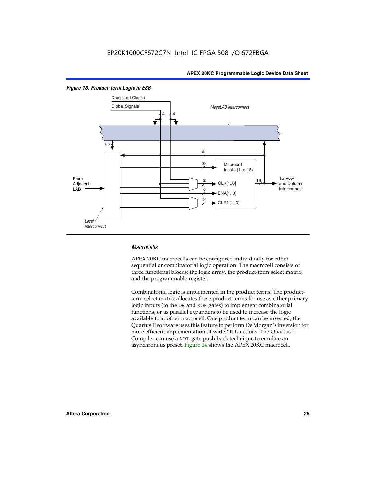

#### *Figure 13. Product-Term Logic in ESB*

#### *Macrocells*

APEX 20KC macrocells can be configured individually for either sequential or combinatorial logic operation. The macrocell consists of three functional blocks: the logic array, the product-term select matrix, and the programmable register.

Combinatorial logic is implemented in the product terms. The productterm select matrix allocates these product terms for use as either primary logic inputs (to the OR and XOR gates) to implement combinatorial functions, or as parallel expanders to be used to increase the logic available to another macrocell. One product term can be inverted; the Quartus II software uses this feature to perform De Morgan's inversion for more efficient implementation of wide OR functions. The Quartus II Compiler can use a NOT-gate push-back technique to emulate an asynchronous preset. Figure 14 shows the APEX 20KC macrocell.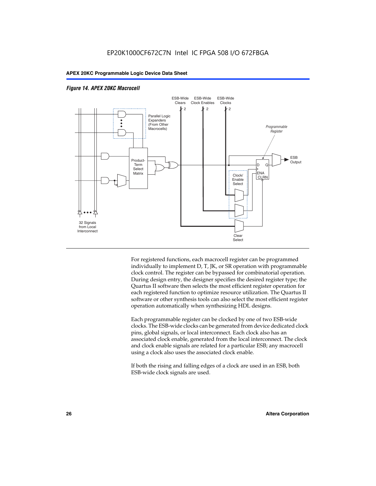

#### *Figure 14. APEX 20KC Macrocell*

For registered functions, each macrocell register can be programmed individually to implement D, T, JK, or SR operation with programmable clock control. The register can be bypassed for combinatorial operation. During design entry, the designer specifies the desired register type; the Quartus II software then selects the most efficient register operation for each registered function to optimize resource utilization. The Quartus II software or other synthesis tools can also select the most efficient register operation automatically when synthesizing HDL designs.

Each programmable register can be clocked by one of two ESB-wide clocks. The ESB-wide clocks can be generated from device dedicated clock pins, global signals, or local interconnect. Each clock also has an associated clock enable, generated from the local interconnect. The clock and clock enable signals are related for a particular ESB; any macrocell using a clock also uses the associated clock enable.

If both the rising and falling edges of a clock are used in an ESB, both ESB-wide clock signals are used.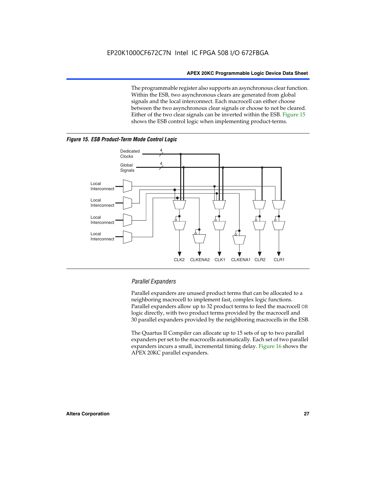The programmable register also supports an asynchronous clear function. Within the ESB, two asynchronous clears are generated from global signals and the local interconnect. Each macrocell can either choose between the two asynchronous clear signals or choose to not be cleared. Either of the two clear signals can be inverted within the ESB. Figure 15 shows the ESB control logic when implementing product-terms.





#### *Parallel Expanders*

Parallel expanders are unused product terms that can be allocated to a neighboring macrocell to implement fast, complex logic functions. Parallel expanders allow up to 32 product terms to feed the macrocell OR logic directly, with two product terms provided by the macrocell and 30 parallel expanders provided by the neighboring macrocells in the ESB.

The Quartus II Compiler can allocate up to 15 sets of up to two parallel expanders per set to the macrocells automatically. Each set of two parallel expanders incurs a small, incremental timing delay. Figure 16 shows the APEX 20KC parallel expanders.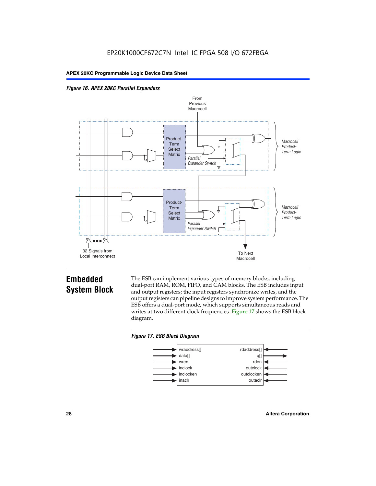



### **Embedded System Block**

The ESB can implement various types of memory blocks, including dual-port RAM, ROM, FIFO, and CAM blocks. The ESB includes input and output registers; the input registers synchronize writes, and the output registers can pipeline designs to improve system performance. The ESB offers a dual-port mode, which supports simultaneous reads and writes at two different clock frequencies. Figure 17 shows the ESB block diagram.



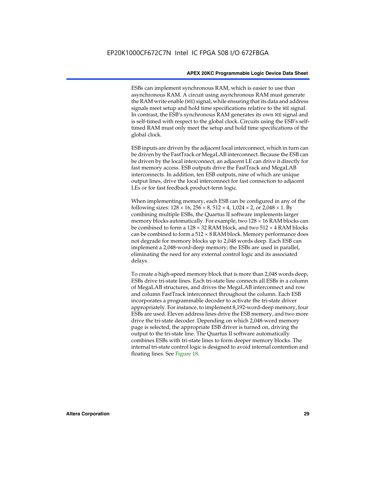ESBs can implement synchronous RAM, which is easier to use than asynchronous RAM. A circuit using asynchronous RAM must generate the RAM write enable (WE) signal, while ensuring that its data and address signals meet setup and hold time specifications relative to the WE signal. In contrast, the ESB's synchronous RAM generates its own WE signal and is self-timed with respect to the global clock. Circuits using the ESB's selftimed RAM must only meet the setup and hold time specifications of the global clock.

ESB inputs are driven by the adjacent local interconnect, which in turn can be driven by the FastTrack or MegaLAB interconnect. Because the ESB can be driven by the local interconnect, an adjacent LE can drive it directly for fast memory access. ESB outputs drive the FastTrack and MegaLAB interconnects. In addition, ten ESB outputs, nine of which are unique output lines, drive the local interconnect for fast connection to adjacent LEs or for fast feedback product-term logic.

When implementing memory, each ESB can be configured in any of the following sizes:  $128 \times 16$ ,  $256 \times 8$ ,  $512 \times 4$ ,  $1,024 \times 2$ , or  $2,048 \times 1$ . By combining multiple ESBs, the Quartus II software implements larger memory blocks automatically. For example, two  $128 \times 16$  RAM blocks can be combined to form a  $128 \times 32$  RAM block, and two  $512 \times 4$  RAM blocks can be combined to form a  $512 \times 8$  RAM block. Memory performance does not degrade for memory blocks up to 2,048 words deep. Each ESB can implement a 2,048-word-deep memory; the ESBs are used in parallel, eliminating the need for any external control logic and its associated delays.

To create a high-speed memory block that is more than 2,048 words deep, ESBs drive tri-state lines. Each tri-state line connects all ESBs in a column of MegaLAB structures, and drives the MegaLAB interconnect and row and column FastTrack interconnect throughout the column. Each ESB incorporates a programmable decoder to activate the tri-state driver appropriately. For instance, to implement 8,192-word-deep memory, four ESBs are used. Eleven address lines drive the ESB memory, and two more drive the tri-state decoder. Depending on which 2,048-word memory page is selected, the appropriate ESB driver is turned on, driving the output to the tri-state line. The Quartus II software automatically combines ESBs with tri-state lines to form deeper memory blocks. The internal tri-state control logic is designed to avoid internal contention and floating lines. See Figure 18.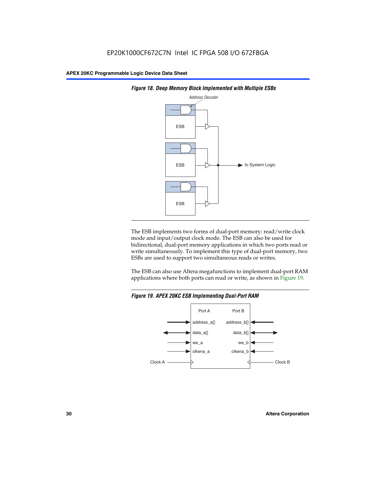



The ESB implements two forms of dual-port memory: read/write clock mode and input/output clock mode. The ESB can also be used for bidirectional, dual-port memory applications in which two ports read or write simultaneously. To implement this type of dual-port memory, two ESBs are used to support two simultaneous reads or writes.

The ESB can also use Altera megafunctions to implement dual-port RAM applications where both ports can read or write, as shown in Figure 19.



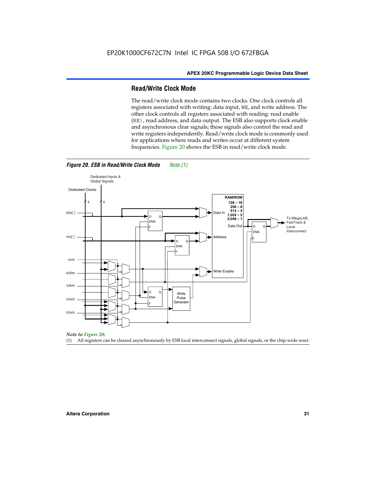#### **Read/Write Clock Mode**

The read/write clock mode contains two clocks. One clock controls all registers associated with writing: data input, WE, and write address. The other clock controls all registers associated with reading: read enable (RE), read address, and data output. The ESB also supports clock enable and asynchronous clear signals; these signals also control the read and write registers independently. Read/write clock mode is commonly used for applications where reads and writes occur at different system frequencies. Figure 20 shows the ESB in read/write clock mode.



*Figure 20. ESB in Read/Write Clock Mode Note (1)*

*Note to Figure 20:*

(1) All registers can be cleared asynchronously by ESB local interconnect signals, global signals, or the chip-wide reset.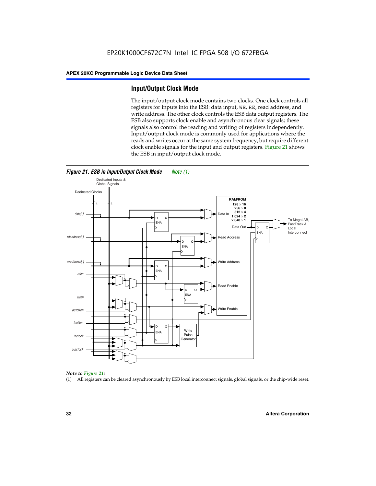#### **Input/Output Clock Mode**

The input/output clock mode contains two clocks. One clock controls all registers for inputs into the ESB: data input, WE, RE, read address, and write address. The other clock controls the ESB data output registers. The ESB also supports clock enable and asynchronous clear signals; these signals also control the reading and writing of registers independently. Input/output clock mode is commonly used for applications where the reads and writes occur at the same system frequency, but require different clock enable signals for the input and output registers. Figure 21 shows the ESB in input/output clock mode.





#### *Note to Figure 21:*

(1) All registers can be cleared asynchronously by ESB local interconnect signals, global signals, or the chip-wide reset.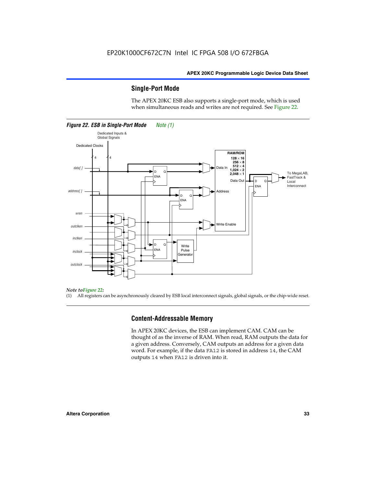#### **Single-Port Mode**

The APEX 20KC ESB also supports a single-port mode, which is used when simultaneous reads and writes are not required. See Figure 22.



#### *Note toFigure 22:*

(1) All registers can be asynchronously cleared by ESB local interconnect signals, global signals, or the chip-wide reset.

#### **Content-Addressable Memory**

In APEX 20KC devices, the ESB can implement CAM. CAM can be thought of as the inverse of RAM. When read, RAM outputs the data for a given address. Conversely, CAM outputs an address for a given data word. For example, if the data FA12 is stored in address 14, the CAM outputs 14 when FA12 is driven into it.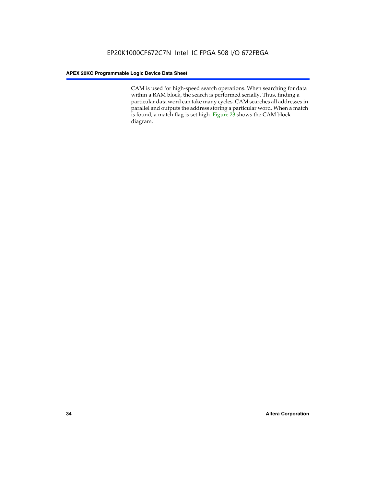CAM is used for high-speed search operations. When searching for data within a RAM block, the search is performed serially. Thus, finding a particular data word can take many cycles. CAM searches all addresses in parallel and outputs the address storing a particular word. When a match is found, a match flag is set high. Figure 23 shows the CAM block diagram.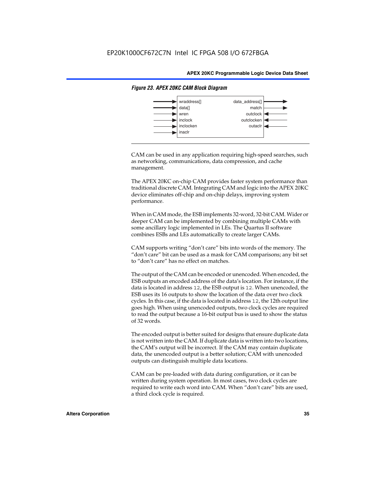

#### *Figure 23. APEX 20KC CAM Block Diagram*

CAM can be used in any application requiring high-speed searches, such as networking, communications, data compression, and cache management.

The APEX 20KC on-chip CAM provides faster system performance than traditional discrete CAM. Integrating CAM and logic into the APEX 20KC device eliminates off-chip and on-chip delays, improving system performance.

When in CAM mode, the ESB implements 32-word, 32-bit CAM. Wider or deeper CAM can be implemented by combining multiple CAMs with some ancillary logic implemented in LEs. The Quartus II software combines ESBs and LEs automatically to create larger CAMs.

CAM supports writing "don't care" bits into words of the memory. The "don't care" bit can be used as a mask for CAM comparisons; any bit set to "don't care" has no effect on matches.

The output of the CAM can be encoded or unencoded. When encoded, the ESB outputs an encoded address of the data's location. For instance, if the data is located in address 12, the ESB output is 12. When unencoded, the ESB uses its 16 outputs to show the location of the data over two clock cycles. In this case, if the data is located in address 12, the 12th output line goes high. When using unencoded outputs, two clock cycles are required to read the output because a 16-bit output bus is used to show the status of 32 words.

The encoded output is better suited for designs that ensure duplicate data is not written into the CAM. If duplicate data is written into two locations, the CAM's output will be incorrect. If the CAM may contain duplicate data, the unencoded output is a better solution; CAM with unencoded outputs can distinguish multiple data locations.

CAM can be pre-loaded with data during configuration, or it can be written during system operation. In most cases, two clock cycles are required to write each word into CAM. When "don't care" bits are used, a third clock cycle is required.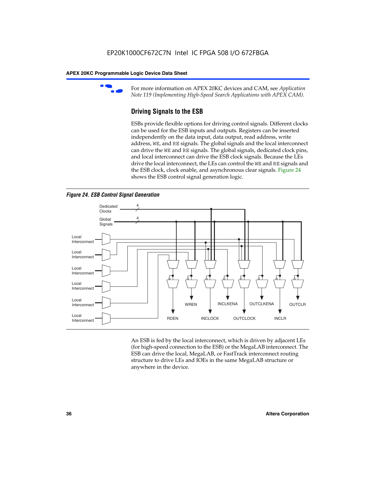

For more information on APEX 20KC devices and CAM, see *Application Note 119 (Implementing High-Speed Search Applications with APEX CAM).*

# **Driving Signals to the ESB**

ESBs provide flexible options for driving control signals. Different clocks can be used for the ESB inputs and outputs. Registers can be inserted independently on the data input, data output, read address, write address, WE, and RE signals. The global signals and the local interconnect can drive the WE and RE signals. The global signals, dedicated clock pins, and local interconnect can drive the ESB clock signals. Because the LEs drive the local interconnect, the LEs can control the WE and RE signals and the ESB clock, clock enable, and asynchronous clear signals. Figure 24 shows the ESB control signal generation logic.





An ESB is fed by the local interconnect, which is driven by adjacent LEs (for high-speed connection to the ESB) or the MegaLAB interconnect. The ESB can drive the local, MegaLAB, or FastTrack interconnect routing structure to drive LEs and IOEs in the same MegaLAB structure or anywhere in the device.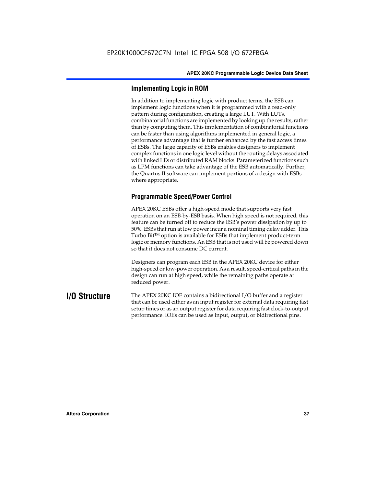# **Implementing Logic in ROM**

In addition to implementing logic with product terms, the ESB can implement logic functions when it is programmed with a read-only pattern during configuration, creating a large LUT. With LUTs, combinatorial functions are implemented by looking up the results, rather than by computing them. This implementation of combinatorial functions can be faster than using algorithms implemented in general logic, a performance advantage that is further enhanced by the fast access times of ESBs. The large capacity of ESBs enables designers to implement complex functions in one logic level without the routing delays associated with linked LEs or distributed RAM blocks. Parameterized functions such as LPM functions can take advantage of the ESB automatically. Further, the Quartus II software can implement portions of a design with ESBs where appropriate.

# **Programmable Speed/Power Control**

APEX 20KC ESBs offer a high-speed mode that supports very fast operation on an ESB-by-ESB basis. When high speed is not required, this feature can be turned off to reduce the ESB's power dissipation by up to 50%. ESBs that run at low power incur a nominal timing delay adder. This Turbo  $Bit^{TM}$  option is available for ESBs that implement product-term logic or memory functions. An ESB that is not used will be powered down so that it does not consume DC current.

Designers can program each ESB in the APEX 20KC device for either high-speed or low-power operation. As a result, speed-critical paths in the design can run at high speed, while the remaining paths operate at reduced power.

**I/O Structure** The APEX 20KC IOE contains a bidirectional I/O buffer and a register that can be used either as an input register for external data requiring fast setup times or as an output register for data requiring fast clock-to-output performance. IOEs can be used as input, output, or bidirectional pins.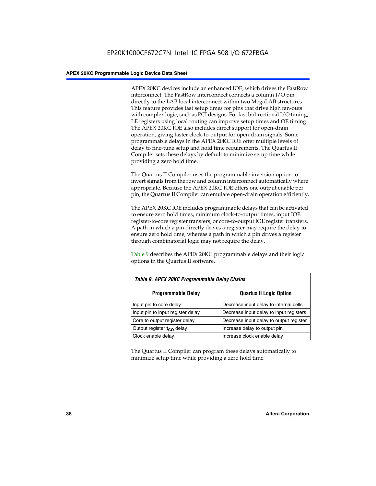APEX 20KC devices include an enhanced IOE, which drives the FastRow interconnect. The FastRow interconnect connects a column I/O pin directly to the LAB local interconnect within two MegaLAB structures. This feature provides fast setup times for pins that drive high fan-outs with complex logic, such as PCI designs. For fast bidirectional I/O timing, LE registers using local routing can improve setup times and OE timing. The APEX 20KC IOE also includes direct support for open-drain operation, giving faster clock-to-output for open-drain signals. Some programmable delays in the APEX 20KC IOE offer multiple levels of delay to fine-tune setup and hold time requirements. The Quartus II Compiler sets these delays by default to minimize setup time while providing a zero hold time.

The Quartus II Compiler uses the programmable inversion option to invert signals from the row and column interconnect automatically where appropriate. Because the APEX 20KC IOE offers one output enable per pin, the Quartus II Compiler can emulate open-drain operation efficiently.

The APEX 20KC IOE includes programmable delays that can be activated to ensure zero hold times, minimum clock-to-output times, input IOE register-to-core register transfers, or core-to-output IOE register transfers. A path in which a pin directly drives a register may require the delay to ensure zero hold time, whereas a path in which a pin drives a register through combinatorial logic may not require the delay.

Table 9 describes the APEX 20KC programmable delays and their logic options in the Quartus II software.

| Table 9. APEX 20KC Programmable Delay Chains |                                         |  |  |  |
|----------------------------------------------|-----------------------------------------|--|--|--|
| <b>Programmable Delay</b>                    | <b>Quartus II Logic Option</b>          |  |  |  |
| Input pin to core delay                      | Decrease input delay to internal cells  |  |  |  |
| Input pin to input register delay            | Decrease input delay to input registers |  |  |  |
| Core to output register delay                | Decrease input delay to output register |  |  |  |
| Output register t <sub>co</sub> delay        | Increase delay to output pin            |  |  |  |
| Clock enable delay                           | Increase clock enable delay             |  |  |  |

The Quartus II Compiler can program these delays automatically to minimize setup time while providing a zero hold time.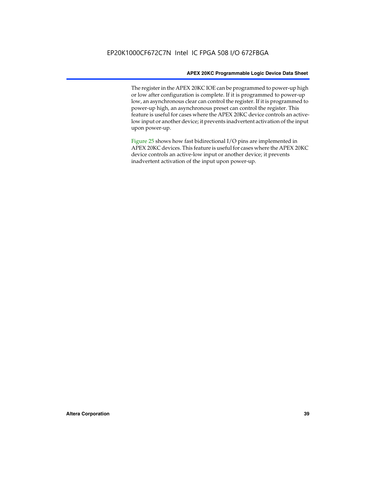The register in the APEX 20KC IOE can be programmed to power-up high or low after configuration is complete. If it is programmed to power-up low, an asynchronous clear can control the register. If it is programmed to power-up high, an asynchronous preset can control the register. This feature is useful for cases where the APEX 20KC device controls an activelow input or another device; it prevents inadvertent activation of the input upon power-up.

Figure 25 shows how fast bidirectional I/O pins are implemented in APEX 20KC devices. This feature is useful for cases where the APEX 20KC device controls an active-low input or another device; it prevents inadvertent activation of the input upon power-up.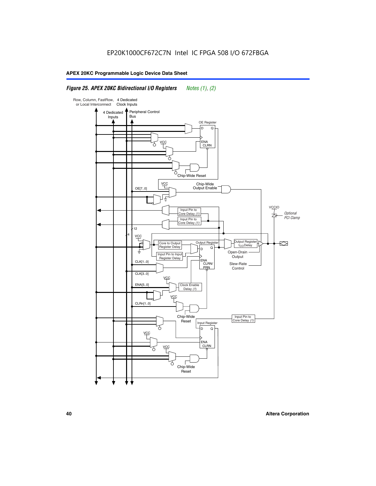# *Figure 25. APEX 20KC Bidirectional I/O Registers Notes (1), (2)*

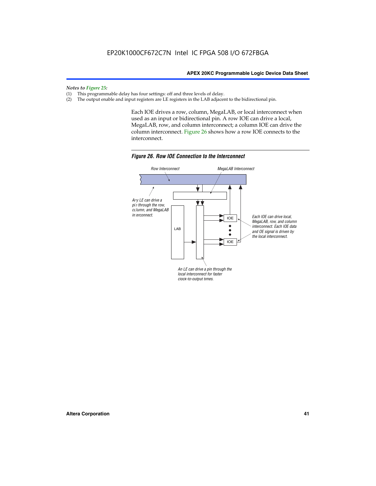### *Notes to Figure 25:*

- (1) This programmable delay has four settings: off and three levels of delay.<br>(2) The output enable and input registers are LE registers in the LAB adjacer
- The output enable and input registers are LE registers in the LAB adjacent to the bidirectional pin.

Each IOE drives a row, column, MegaLAB, or local interconnect when used as an input or bidirectional pin. A row IOE can drive a local, MegaLAB, row, and column interconnect; a column IOE can drive the column interconnect. Figure 26 shows how a row IOE connects to the interconnect.



*Figure 26. Row IOE Connection to the Interconnect*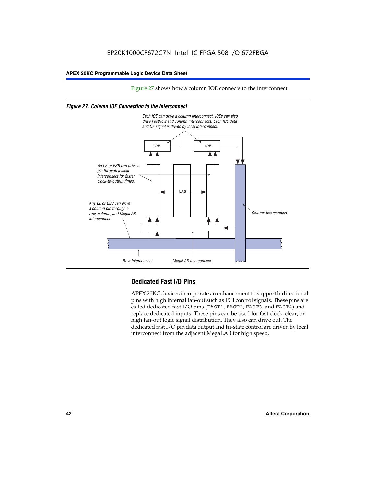Figure 27 shows how a column IOE connects to the interconnect.

### *Figure 27. Column IOE Connection to the Interconnect*



# **Dedicated Fast I/O Pins**

APEX 20KC devices incorporate an enhancement to support bidirectional pins with high internal fan-out such as PCI control signals. These pins are called dedicated fast I/O pins (FAST1, FAST2, FAST3, and FAST4) and replace dedicated inputs. These pins can be used for fast clock, clear, or high fan-out logic signal distribution. They also can drive out. The dedicated fast I/O pin data output and tri-state control are driven by local interconnect from the adjacent MegaLAB for high speed.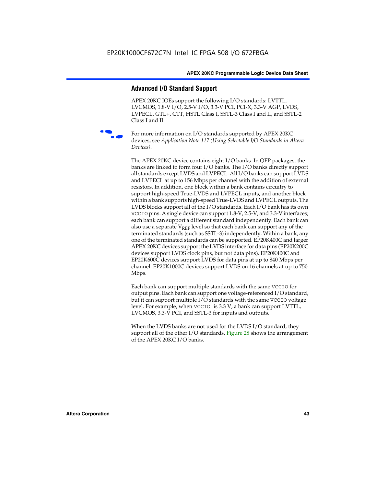# **Advanced I/O Standard Support**

APEX 20KC IOEs support the following I/O standards: LVTTL, LVCMOS, 1.8-V I/O, 2.5-V I/O, 3.3-V PCI, PCI-X, 3.3-V AGP, LVDS, LVPECL, GTL+, CTT, HSTL Class I, SSTL-3 Class I and II, and SSTL-2 Class I and II.



For more information on I/O standards supported by APEX 20KC devices, see *Application Note 117 (Using Selectable I/O Standards in Altera Devices)*.

The APEX 20KC device contains eight I/O banks. In QFP packages, the banks are linked to form four I/O banks. The I/O banks directly support all standards except LVDS and LVPECL. All I/O banks can support LVDS and LVPECL at up to 156 Mbps per channel with the addition of external resistors. In addition, one block within a bank contains circuitry to support high-speed True-LVDS and LVPECL inputs, and another block within a bank supports high-speed True-LVDS and LVPECL outputs. The LVDS blocks support all of the I/O standards. Each I/O bank has its own VCCIO pins. A single device can support 1.8-V, 2.5-V, and 3.3-V interfaces; each bank can support a different standard independently. Each bank can also use a separate  $V_{REF}$  level so that each bank can support any of the terminated standards (such as SSTL-3) independently. Within a bank, any one of the terminated standards can be supported. EP20K400C and larger APEX 20KC devices support the LVDS interface for data pins (EP20K200C devices support LVDS clock pins, but not data pins). EP20K400C and EP20K600C devices support LVDS for data pins at up to 840 Mbps per channel. EP20K1000C devices support LVDS on 16 channels at up to 750 Mbps.

Each bank can support multiple standards with the same VCCIO for output pins. Each bank can support one voltage-referenced I/O standard, but it can support multiple I/O standards with the same VCCIO voltage level. For example, when VCCIO is 3.3 V, a bank can support LVTTL, LVCMOS, 3.3-V PCI, and SSTL-3 for inputs and outputs.

When the LVDS banks are not used for the LVDS I/O standard, they support all of the other I/O standards. Figure 28 shows the arrangement of the APEX 20KC I/O banks.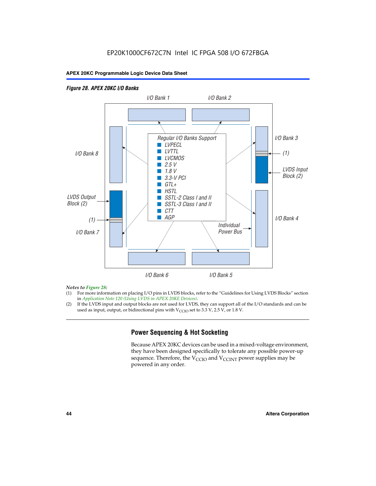## *Figure 28. APEX 20KC I/O Banks LVDS Input Block (2) (1) LVDS Output Block (2) (1) Individual Power Bus I/O Bank 8 I/O Bank 1 I/O Bank 2 I/O Bank 3 I/O Bank 4 I/O Bank 6 I/O Bank 5 I/O Bank 7 Regular I/O Banks Support* ■ *LVPECL* ■ *LVTTL* ■ *LVCMOS* ■ *2.5 V* ■ *1.8 V* ■ *3.3-V PCI* ■ *GTL+* ■ *HSTL* ■ *SSTL-2 Class I and II* ■ *SSTL-3 Class I and II* ■ *CTT* ■ *AGP*

### *Notes to Figure 28:*

- (1) For more information on placing I/O pins in LVDS blocks, refer to the "Guidelines for Using LVDS Blocks" section in *Application Note 120 (Using LVDS in APEX 20KE Devices)*.
- (2) If the LVDS input and output blocks are not used for LVDS, they can support all of the I/O standards and can be used as input, output, or bidirectional pins with  $V_{\text{CCIO}}$  set to 3.3 V, 2.5 V, or 1.8 V.

# **Power Sequencing & Hot Socketing**

Because APEX 20KC devices can be used in a mixed-voltage environment, they have been designed specifically to tolerate any possible power-up sequence. Therefore, the  $V_{\text{CCIO}}$  and  $V_{\text{CCINT}}$  power supplies may be powered in any order.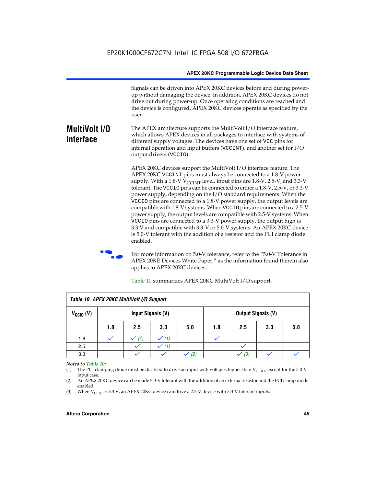Signals can be driven into APEX 20KC devices before and during powerup without damaging the device. In addition, APEX 20KC devices do not drive out during power-up. Once operating conditions are reached and the device is configured, APEX 20KC devices operate as specified by the user.

### **MultiVolt I/O Interface** The APEX architecture supports the MultiVolt I/O interface feature, which allows APEX devices in all packages to interface with systems of different supply voltages. The devices have one set of VCC pins for internal operation and input buffers (VCCINT), and another set for I/O output drivers (VCCIO).

APEX 20KC devices support the MultiVolt I/O interface feature. The APEX 20KC VCCINT pins must always be connected to a 1.8-V power supply. With a 1.8-V  $V_{\text{CCINT}}$  level, input pins are 1.8-V, 2.5-V, and 3.3-V tolerant. The VCCIO pins can be connected to either a 1.8-V, 2.5-V, or 3.3-V power supply, depending on the I/O standard requirements. When the VCCIO pins are connected to a 1.8-V power supply, the output levels are compatible with 1.8-V systems. When VCCIO pins are connected to a 2.5-V power supply, the output levels are compatible with 2.5-V systems. When VCCIO pins are connected to a 3.3-V power supply, the output high is 3.3 V and compatible with 3.3-V or 5.0-V systems. An APEX 20KC device is 5.0-V tolerant with the addition of a resistor and the PCI clamp diode enabled.

For more information on 5.0-V tolerance, refer to the "5.0-V Tolerance in APEX 20KE Devices White Paper," as the information found therein also applies to APEX 20KC devices.

| Table 10. APEX 20KC MultiVolt I/O Support |                   |     |                  |     |                           |     |     |     |
|-------------------------------------------|-------------------|-----|------------------|-----|---------------------------|-----|-----|-----|
| $V_{\text{CCIO}}(V)$                      | Input Signals (V) |     |                  |     | <b>Output Signals (V)</b> |     |     |     |
|                                           | 1.8               | 2.5 | 3.3              | 5.0 | 1.8                       | 2.5 | 3.3 | 5.0 |
| 1.8                                       |                   | (1) | $\checkmark$ (1) |     |                           |     |     |     |
| 2.5                                       |                   |     | (1)              |     |                           |     |     |     |
| 3.3                                       |                   |     |                  | (2) |                           | (3) |     |     |

Table 10 summarizes APEX 20KC MultiVolt I/O support.

### *Notes to Table 10:*

(1) The PCI clamping diode must be disabled to drive an input with voltages higher than  $V_{C CIO}$ , except for the 5.0-V input case.

(2) An APEX 20KC device can be made 5.0-V tolerant with the addition of an external resistor and the PCI clamp diode enabled.

(3) When  $V_{\text{CCIO}} = 3.3 \text{ V}$ , an APEX 20KC device can drive a 2.5-V device with 3.3-V tolerant inputs.

### **Altera Corporation 45**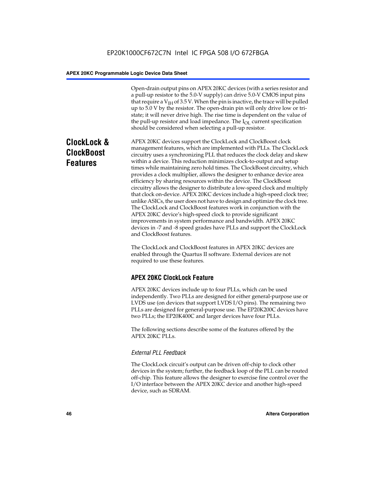Open-drain output pins on APEX 20KC devices (with a series resistor and a pull-up resistor to the 5.0-V supply) can drive 5.0-V CMOS input pins that require a  $V<sub>IH</sub>$  of 3.5 V. When the pin is inactive, the trace will be pulled up to 5.0 V by the resistor. The open-drain pin will only drive low or tristate; it will never drive high. The rise time is dependent on the value of the pull-up resistor and load impedance. The  $I_{OL}$  current specification should be considered when selecting a pull-up resistor.

# **ClockLock & ClockBoost Features**

APEX 20KC devices support the ClockLock and ClockBoost clock management features, which are implemented with PLLs. The ClockLock circuitry uses a synchronizing PLL that reduces the clock delay and skew within a device. This reduction minimizes clock-to-output and setup times while maintaining zero hold times. The ClockBoost circuitry, which provides a clock multiplier, allows the designer to enhance device area efficiency by sharing resources within the device. The ClockBoost circuitry allows the designer to distribute a low-speed clock and multiply that clock on-device. APEX 20KC devices include a high-speed clock tree; unlike ASICs, the user does not have to design and optimize the clock tree. The ClockLock and ClockBoost features work in conjunction with the APEX 20KC device's high-speed clock to provide significant improvements in system performance and bandwidth. APEX 20KC devices in -7 and -8 speed grades have PLLs and support the ClockLock and ClockBoost features.

The ClockLock and ClockBoost features in APEX 20KC devices are enabled through the Quartus II software. External devices are not required to use these features.

# **APEX 20KC ClockLock Feature**

APEX 20KC devices include up to four PLLs, which can be used independently. Two PLLs are designed for either general-purpose use or LVDS use (on devices that support LVDS I/O pins). The remaining two PLLs are designed for general-purpose use. The EP20K200C devices have two PLLs; the EP20K400C and larger devices have four PLLs.

The following sections describe some of the features offered by the APEX 20KC PLLs.

### *External PLL Feedback*

The ClockLock circuit's output can be driven off-chip to clock other devices in the system; further, the feedback loop of the PLL can be routed off-chip. This feature allows the designer to exercise fine control over the I/O interface between the APEX 20KC device and another high-speed device, such as SDRAM.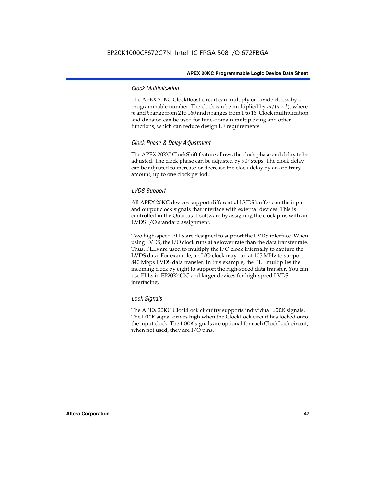### *Clock Multiplication*

The APEX 20KC ClockBoost circuit can multiply or divide clocks by a programmable number. The clock can be multiplied by  $m/(n \times k)$ , where *m* and *k* range from 2 to 160 and *n* ranges from 1 to 16. Clock multiplication and division can be used for time-domain multiplexing and other functions, which can reduce design LE requirements.

## *Clock Phase & Delay Adjustment*

The APEX 20KC ClockShift feature allows the clock phase and delay to be adjusted. The clock phase can be adjusted by 90° steps. The clock delay can be adjusted to increase or decrease the clock delay by an arbitrary amount, up to one clock period.

### *LVDS Support*

All APEX 20KC devices support differential LVDS buffers on the input and output clock signals that interface with external devices. This is controlled in the Quartus II software by assigning the clock pins with an LVDS I/O standard assignment.

Two high-speed PLLs are designed to support the LVDS interface. When using LVDS, the I/O clock runs at a slower rate than the data transfer rate. Thus, PLLs are used to multiply the I/O clock internally to capture the LVDS data. For example, an I/O clock may run at 105 MHz to support 840 Mbps LVDS data transfer. In this example, the PLL multiplies the incoming clock by eight to support the high-speed data transfer. You can use PLLs in EP20K400C and larger devices for high-speed LVDS interfacing.

### *Lock Signals*

The APEX 20KC ClockLock circuitry supports individual LOCK signals. The LOCK signal drives high when the ClockLock circuit has locked onto the input clock. The LOCK signals are optional for each ClockLock circuit; when not used, they are I/O pins.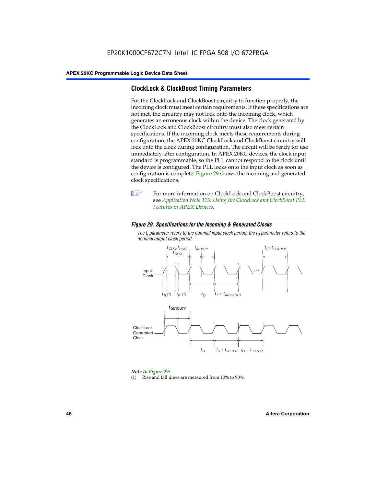# **ClockLock & ClockBoost Timing Parameters**

For the ClockLock and ClockBoost circuitry to function properly, the incoming clock must meet certain requirements. If these specifications are not met, the circuitry may not lock onto the incoming clock, which generates an erroneous clock within the device. The clock generated by the ClockLock and ClockBoost circuitry must also meet certain specifications. If the incoming clock meets these requirements during configuration, the APEX 20KC ClockLock and ClockBoost circuitry will lock onto the clock during configuration. The circuit will be ready for use immediately after configuration. In APEX 20KC devices, the clock input standard is programmable, so the PLL cannot respond to the clock until the device is configured. The PLL locks onto the input clock as soon as configuration is complete. Figure 29 shows the incoming and generated clock specifications.



**1** For more information on ClockLock and ClockBoost circuitry, see *Application Note 115: Using the ClockLock and ClockBoost PLL Features in APEX Devices*.

### *Figure 29. Specifications for the Incoming & Generated Clocks*

The  $t_{\mathfrak l}$  parameter refers to the nominal input clock period; the  $t_{\mathfrak l}$  parameter refers to the *nominal output clock period.*



### *Note to Figure 29:*

(1) Rise and fall times are measured from 10% to 90%.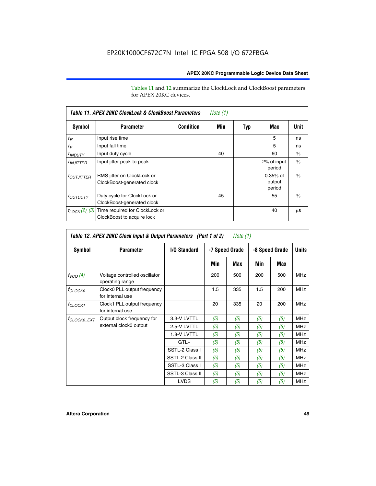Tables 11 and 12 summarize the ClockLock and ClockBoost parameters for APEX 20KC devices.

|                            | Table 11. APEX 20KC ClockLock & ClockBoost Parameters<br>Note (1) |                  |     |     |                                |               |  |  |  |
|----------------------------|-------------------------------------------------------------------|------------------|-----|-----|--------------------------------|---------------|--|--|--|
| Symbol                     | <b>Parameter</b>                                                  | <b>Condition</b> | Min | Typ | Max                            | Unit          |  |  |  |
| $t_R$                      | Input rise time                                                   |                  |     |     | 5                              | ns            |  |  |  |
| $t_F$                      | Input fall time                                                   |                  |     |     | 5                              | ns            |  |  |  |
| $t_{IDUTY}$                | Input duty cycle                                                  |                  | 40  |     | 60                             | $\frac{0}{0}$ |  |  |  |
| $t_{INJITTER}$             | Input jitter peak-to-peak                                         |                  |     |     | 2% of input<br>period          | $\frac{0}{0}$ |  |  |  |
| <b><i>LOUTJITTER</i></b>   | RMS jitter on ClockLock or<br>ClockBoost-generated clock          |                  |     |     | $0.35%$ of<br>output<br>period | $\frac{0}{0}$ |  |  |  |
| <i>t<sub>OUTDUTY</sub></i> | Duty cycle for ClockLock or<br>ClockBoost-generated clock         |                  | 45  |     | 55                             | $\frac{0}{0}$ |  |  |  |
| $t_{LOCK}(2)$ (3)          | Time required for ClockLock or<br>ClockBoost to acquire lock      |                  |     |     | 40                             | μS            |  |  |  |

| Table 12. APEX 20KC Clock Input & Output Parameters (Part 1 of 2)<br>Note (1) |                                                  |                 |                |     |                |     |            |
|-------------------------------------------------------------------------------|--------------------------------------------------|-----------------|----------------|-----|----------------|-----|------------|
| <b>Symbol</b><br>I/O Standard<br><b>Parameter</b>                             |                                                  |                 | -7 Speed Grade |     | -8 Speed Grade |     |            |
|                                                                               |                                                  |                 | Min            | Max | Min            | Max |            |
| $f_{VCO}(4)$                                                                  | Voltage controlled oscillator<br>operating range |                 | 200            | 500 | 200            | 500 | <b>MHz</b> |
| f <sub>CLOCK0</sub>                                                           | Clock0 PLL output frequency<br>for internal use  |                 | 1.5            | 335 | 1.5            | 200 | <b>MHz</b> |
| $f_{CLOCK1}$                                                                  | Clock1 PLL output frequency<br>for internal use  |                 | 20             | 335 | 20             | 200 | <b>MHz</b> |
| <sup>†</sup> CLOCK0 EXT                                                       | Output clock frequency for                       | 3.3-V LVTTL     | (5)            | (5) | (5)            | (5) | <b>MHz</b> |
|                                                                               | external clock0 output                           | 2.5-V LVTTL     | (5)            | (5) | (5)            | (5) | <b>MHz</b> |
|                                                                               |                                                  | 1.8-V LVTTL     | (5)            | (5) | (5)            | (5) | <b>MHz</b> |
|                                                                               |                                                  | $GTL+$          | (5)            | (5) | (5)            | (5) | <b>MHz</b> |
|                                                                               |                                                  | SSTL-2 Class I  | (5)            | (5) | (5)            | (5) | <b>MHz</b> |
|                                                                               |                                                  | SSTL-2 Class II | (5)            | (5) | (5)            | (5) | <b>MHz</b> |
|                                                                               |                                                  | SSTL-3 Class I  | (5)            | (5) | (5)            | (5) | <b>MHz</b> |
|                                                                               |                                                  | SSTL-3 Class II | (5)            | (5) | (5)            | (5) | <b>MHz</b> |
|                                                                               |                                                  | <b>LVDS</b>     | (5)            | (5) | (5)            | (5) | <b>MHz</b> |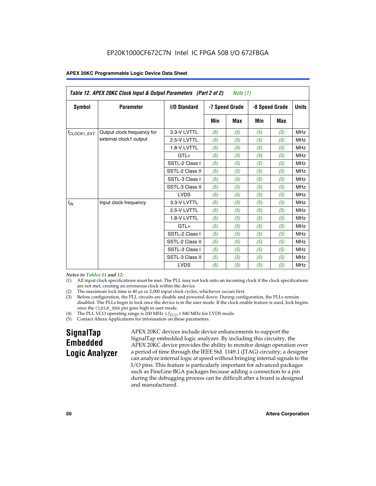| Table 12. APEX 20KC Clock Input & Output Parameters (Part 2 of 2)<br>Note (1) |                            |                 |                |     |     |                |              |
|-------------------------------------------------------------------------------|----------------------------|-----------------|----------------|-----|-----|----------------|--------------|
| Symbol                                                                        | <b>Parameter</b>           | I/O Standard    | -7 Speed Grade |     |     | -8 Speed Grade | <b>Units</b> |
|                                                                               |                            |                 | Min            | Max | Min | Max            |              |
| <sup>t</sup> CLOCK1 EXT                                                       | Output clock frequency for | 3.3-V LVTTL     | (5)            | (5) | (5) | (5)            | <b>MHz</b>   |
|                                                                               | external clock1 output     | 2.5-V LVTTL     | (5)            | (5) | (5) | (5)            | <b>MHz</b>   |
|                                                                               |                            | 1.8-V LVTTL     | (5)            | (5) | (5) | (5)            | <b>MHz</b>   |
|                                                                               |                            | $GTL+$          | (5)            | (5) | (5) | (5)            | <b>MHz</b>   |
|                                                                               |                            | SSTL-2 Class I  | (5)            | (5) | (5) | (5)            | <b>MHz</b>   |
|                                                                               |                            | SSTL-2 Class II | (5)            | (5) | (5) | (5)            | <b>MHz</b>   |
|                                                                               |                            | SSTL-3 Class I  | (5)            | (5) | (5) | (5)            | <b>MHz</b>   |
|                                                                               |                            | SSTL-3 Class II | (5)            | (5) | (5) | (5)            | <b>MHz</b>   |
|                                                                               |                            | <b>LVDS</b>     | (5)            | (5) | (5) | (5)            | <b>MHz</b>   |
| $f_{IN}$                                                                      | Input clock frequency      | 3.3-V LVTTL     | (5)            | (5) | (5) | (5)            | <b>MHz</b>   |
|                                                                               |                            | 2.5-V LVTTL     | (5)            | (5) | (5) | (5)            | <b>MHz</b>   |
|                                                                               |                            | 1.8-V LVTTL     | (5)            | (5) | (5) | (5)            | <b>MHz</b>   |
|                                                                               |                            | $GTL+$          | (5)            | (5) | (5) | (5)            | <b>MHz</b>   |
|                                                                               |                            | SSTL-2 Class I  | (5)            | (5) | (5) | (5)            | <b>MHz</b>   |
|                                                                               |                            | SSTL-2 Class II | (5)            | (5) | (5) | (5)            | <b>MHz</b>   |
|                                                                               |                            | SSTL-3 Class I  | (5)            | (5) | (5) | (5)            | <b>MHz</b>   |
|                                                                               |                            | SSTL-3 Class II | (5)            | (5) | (5) | (5)            | <b>MHz</b>   |
|                                                                               |                            | <b>LVDS</b>     | (5)            | (5) | (5) | (5)            | <b>MHz</b>   |

### *Notes to Tables 11 and 12:*

- (1) All input clock specifications must be met. The PLL may not lock onto an incoming clock if the clock specifications are not met, creating an erroneous clock within the device.
- 
- (2) The maximum lock time is  $40 \mu s$  or  $2,000$  input clock cycles, whichever occurs first.<br>
(3) Before configuration, the PLL circuits are disable and powered down. During confi Before configuration, the PLL circuits are disable and powered down. During configuration, the PLLs remain disabled. The PLLs begin to lock once the device is in the user mode. If the clock enable feature is used, lock begins once the CLKLK\_ENA pin goes high in user mode.
- (4) The PLL VCO operating range is 200 MHz  $\leq f_{VCO} \leq 840$  MHz for LVDS mode.

(5) Contact Altera Applications for information on these parameters.

# **SignalTap Embedded Logic Analyzer**

APEX 20KC devices include device enhancements to support the SignalTap embedded logic analyzer. By including this circuitry, the APEX 20KC device provides the ability to monitor design operation over a period of time through the IEEE Std. 1149.1 (JTAG) circuitry; a designer can analyze internal logic at speed without bringing internal signals to the I/O pins. This feature is particularly important for advanced packages such as FineLine BGA packages because adding a connection to a pin during the debugging process can be difficult after a board is designed and manufactured.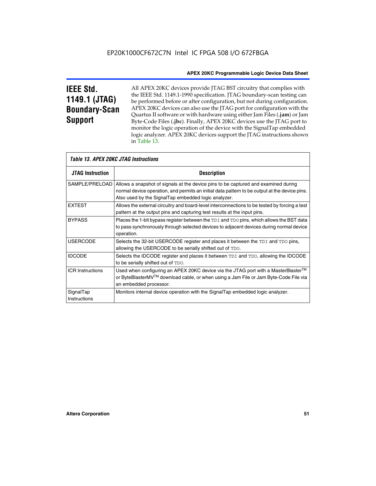# **IEEE Std. 1149.1 (JTAG) Boundary-Scan Support**

Г

All APEX 20KC devices provide JTAG BST circuitry that complies with the IEEE Std. 1149.1-1990 specification. JTAG boundary-scan testing can be performed before or after configuration, but not during configuration. APEX 20KC devices can also use the JTAG port for configuration with the Quartus II software or with hardware using either Jam Files (**.jam**) or Jam Byte-Code Files (**.jbc**). Finally, APEX 20KC devices use the JTAG port to monitor the logic operation of the device with the SignalTap embedded logic analyzer. APEX 20KC devices support the JTAG instructions shown in Table 13.

| <i>Table 13. APEX 20KC JTAG Instructions</i> |                                                                                                                                                                                                                                            |  |  |  |
|----------------------------------------------|--------------------------------------------------------------------------------------------------------------------------------------------------------------------------------------------------------------------------------------------|--|--|--|
| <b>JTAG Instruction</b>                      | <b>Description</b>                                                                                                                                                                                                                         |  |  |  |
| SAMPLE/PRELOAD                               | Allows a snapshot of signals at the device pins to be captured and examined during<br>normal device operation, and permits an initial data pattern to be output at the device pins.<br>Also used by the SignalTap embedded logic analyzer. |  |  |  |
| <b>EXTEST</b>                                | Allows the external circuitry and board-level interconnections to be tested by forcing a test<br>pattern at the output pins and capturing test results at the input pins.                                                                  |  |  |  |
| <b>BYPASS</b>                                | Places the 1-bit bypass register between the TDI and TDO pins, which allows the BST data<br>to pass synchronously through selected devices to adjacent devices during normal device<br>operation.                                          |  |  |  |
| <b>USERCODE</b>                              | Selects the 32-bit USERCODE register and places it between the TDI and TDO pins,<br>allowing the USERCODE to be serially shifted out of TDO.                                                                                               |  |  |  |
| <b>IDCODE</b>                                | Selects the IDCODE register and places it between TDI and TDO, allowing the IDCODE<br>to be serially shifted out of TDO.                                                                                                                   |  |  |  |
| <b>ICR Instructions</b>                      | Used when configuring an APEX 20KC device via the JTAG port with a MasterBlaster™<br>or ByteBlasterMV™ download cable, or when using a Jam File or Jam Byte-Code File via<br>an embedded processor.                                        |  |  |  |
| SignalTap<br>Instructions                    | Monitors internal device operation with the SignalTap embedded logic analyzer.                                                                                                                                                             |  |  |  |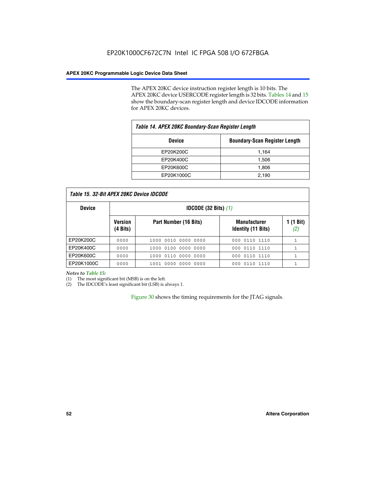The APEX 20KC device instruction register length is 10 bits. The APEX 20KC device USERCODE register length is 32 bits. Tables 14 and 15 show the boundary-scan register length and device IDCODE information for APEX 20KC devices.

| Table 14. APEX 20KC Boundary-Scan Register Length |                                      |  |  |  |
|---------------------------------------------------|--------------------------------------|--|--|--|
| <b>Device</b>                                     | <b>Boundary-Scan Register Length</b> |  |  |  |
| EP20K200C                                         | 1,164                                |  |  |  |
| EP20K400C                                         | 1,506                                |  |  |  |
| EP20K600C                                         | 1,806                                |  |  |  |
| EP20K1000C                                        | 2,190                                |  |  |  |

| Table 15. 32-Bit APEX 20KC Device IDCODE |  |
|------------------------------------------|--|
|                                          |  |

| <b>Device</b> |                            | <b>IDCODE (32 Bits)</b> $(1)$ |                                                  |                  |  |  |
|---------------|----------------------------|-------------------------------|--------------------------------------------------|------------------|--|--|
|               | <b>Version</b><br>(4 Bits) | Part Number (16 Bits)         | <b>Manufacturer</b><br><b>Identity (11 Bits)</b> | 1 (1 Bit)<br>(2, |  |  |
| EP20K200C     | 0000                       | 1000 0010 0000 0000           | 000 0110 1110                                    |                  |  |  |
| EP20K400C     | 0000                       | 1000 0100 0000 0000           | 0110 1110<br>000                                 |                  |  |  |
| EP20K600C     | 0000                       | 1000 0110 0000 0000           | 000 0110 1110                                    | 1                |  |  |
| EP20K1000C    | 0000                       | 1001 0000 0000 0000           | 000 0110 1110                                    |                  |  |  |

*Notes to Table 15:*

I

(1) The most significant bit (MSB) is on the left.

(2) The IDCODE's least significant bit (LSB) is always 1.

Figure 30 shows the timing requirements for the JTAG signals.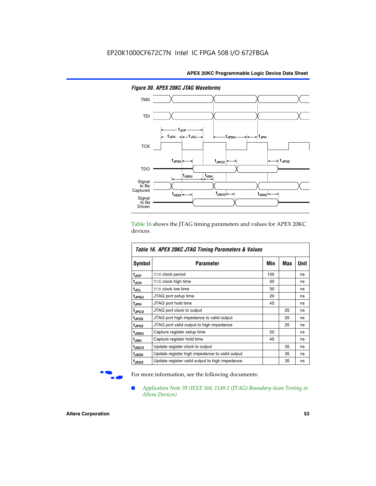

*Figure 30. APEX 20KC JTAG Waveforms*

Table 16 shows the JTAG timing parameters and values for APEX 20KC devices.

| Table 16. APEX 20KC JTAG Timing Parameters & Values |                                                |     |     |      |  |
|-----------------------------------------------------|------------------------------------------------|-----|-----|------|--|
| Symbol                                              | Parameter                                      | Min | Max | Unit |  |
| t <sub>JCP</sub>                                    | <b>TCK clock period</b>                        | 100 |     | ns   |  |
| t <sub>JCH</sub>                                    | <b>TCK clock high time</b>                     | 50  |     | ns   |  |
| t <sub>JCL</sub>                                    | <b>TCK clock low time</b>                      | 50  |     | ns   |  |
| tjpsu                                               | JTAG port setup time                           | 20  |     | ns   |  |
| t <sub>JPH</sub>                                    | JTAG port hold time                            | 45  |     | ns   |  |
| <sup>t</sup> JPCO                                   | JTAG port clock to output                      |     | 25  | ns   |  |
| t <sub>JPZX</sub>                                   | JTAG port high impedance to valid output       |     | 25  | ns   |  |
| t <sub>JPXZ</sub>                                   | JTAG port valid output to high impedance       |     | 25  | ns   |  |
| t <sub>JSSU</sub>                                   | Capture register setup time                    | 20  |     | ns   |  |
| t <sub>JSH</sub>                                    | Capture register hold time                     | 45  |     | ns   |  |
| t <sub>JSCO</sub>                                   | Update register clock to output                |     | 35  | ns   |  |
| t <sub>JSZX</sub>                                   | Update register high impedance to valid output |     | 35  | ns   |  |
| t <sub>JSXZ</sub>                                   | Update register valid output to high impedance |     | 35  | ns   |  |

For more information, see the following documents:

■ *Application Note 39 (IEEE Std. 1149.1 (JTAG) Boundary-Scan Testing in Altera Devices)*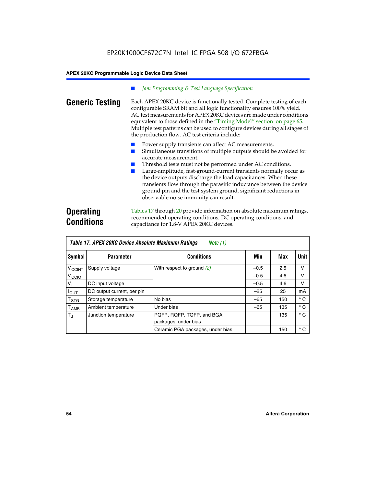### *Jam Programming & Test Language Specification*

**Generic Testing** Each APEX 20KC device is functionally tested. Complete testing of each configurable SRAM bit and all logic functionality ensures 100% yield. AC test measurements for APEX 20KC devices are made under conditions equivalent to those defined in the "Timing Model" section on page 65. Multiple test patterns can be used to configure devices during all stages of the production flow. AC test criteria include:

- Power supply transients can affect AC measurements.
- Simultaneous transitions of multiple outputs should be avoided for accurate measurement.
- Threshold tests must not be performed under AC conditions.
- Large-amplitude, fast-ground-current transients normally occur as the device outputs discharge the load capacitances. When these transients flow through the parasitic inductance between the device ground pin and the test system ground, significant reductions in observable noise immunity can result.

# **Operating Conditions**

Tables 17 through 20 provide information on absolute maximum ratings, recommended operating conditions, DC operating conditions, and capacitance for 1.8-V APEX 20KC devices.

| Table 17. APEX 20KC Device Absolute Maximum Ratings<br>Note (1) |                            |                                                   |        |     |              |  |
|-----------------------------------------------------------------|----------------------------|---------------------------------------------------|--------|-----|--------------|--|
| Symbol                                                          | <b>Parameter</b>           | <b>Conditions</b>                                 | Min    | Max | Unit         |  |
| $V_{\text{CCINT}}$                                              | Supply voltage             | With respect to ground $(2)$                      | $-0.5$ | 2.5 | v            |  |
| V <sub>CCIO</sub>                                               |                            |                                                   | $-0.5$ | 4.6 | V            |  |
| V <sub>I</sub>                                                  | DC input voltage           |                                                   | $-0.5$ | 4.6 | v            |  |
| $I_{OUT}$                                                       | DC output current, per pin |                                                   | $-25$  | 25  | mA           |  |
| $\mathsf{T}_{\texttt{STG}}$                                     | Storage temperature        | No bias                                           | $-65$  | 150 | $^{\circ}$ C |  |
| $\mathsf{T}_{\mathsf{AMB}}$                                     | Ambient temperature        | Under bias                                        | $-65$  | 135 | $^{\circ}$ C |  |
| $T_{\rm J}$                                                     | Junction temperature       | PQFP, RQFP, TQFP, and BGA<br>packages, under bias |        | 135 | $^{\circ}$ C |  |
|                                                                 |                            | Ceramic PGA packages, under bias                  |        | 150 | $^{\circ}$ C |  |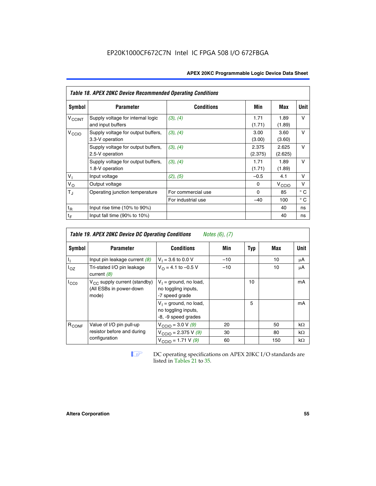| <b>Table 18. APEX 20KC Device Recommended Operating Conditions</b> |                                                        |                    |                  |                   |              |  |  |  |  |
|--------------------------------------------------------------------|--------------------------------------------------------|--------------------|------------------|-------------------|--------------|--|--|--|--|
| Symbol                                                             | <b>Parameter</b>                                       | <b>Conditions</b>  | Min              | Max               | Unit         |  |  |  |  |
| V <sub>CCINT</sub>                                                 | Supply voltage for internal logic<br>and input buffers | (3), (4)           | 1.71<br>(1.71)   | 1.89<br>(1.89)    | $\vee$       |  |  |  |  |
| V <sub>CCIO</sub>                                                  | Supply voltage for output buffers,<br>3.3-V operation  | (3), (4)           | 3.00<br>(3.00)   | 3.60<br>(3.60)    | $\vee$       |  |  |  |  |
|                                                                    | Supply voltage for output buffers,<br>2.5-V operation  | (3), (4)           | 2.375<br>(2.375) | 2.625<br>(2.625)  | V            |  |  |  |  |
|                                                                    | Supply voltage for output buffers,<br>1.8-V operation  | (3), (4)           | 1.71<br>(1.71)   | 1.89<br>(1.89)    | v            |  |  |  |  |
| V <sub>I</sub>                                                     | Input voltage                                          | (2), (5)           | $-0.5$           | 4.1               | v            |  |  |  |  |
| $V_{\rm O}$                                                        | Output voltage                                         |                    | 0                | $V_{\text{CCI}O}$ | v            |  |  |  |  |
| $T_{\rm J}$                                                        | Operating junction temperature                         | For commercial use | $\Omega$         | 85                | $^{\circ}$ C |  |  |  |  |

For industrial use  $\begin{vmatrix} -40 & 100 \end{vmatrix}$  ° C

|                   | <b>Table 19. APEX 20KC Device DC Operating Conditions</b><br><i>Notes <math>(6)</math>, <math>(7)</math></i> |                                                                        |       |     |     |           |  |
|-------------------|--------------------------------------------------------------------------------------------------------------|------------------------------------------------------------------------|-------|-----|-----|-----------|--|
| Symbol            | <b>Parameter</b>                                                                                             | <b>Conditions</b>                                                      | Min   | Typ | Max | Unit      |  |
|                   | Input pin leakage current $(8)$                                                                              | $V_1 = 3.6$ to 0.0 V                                                   | $-10$ |     | 10  | μA        |  |
| l <sub>OZ</sub>   | Tri-stated I/O pin leakage<br>current $(8)$                                                                  | $V_{\Omega} = 4.1$ to -0.5 V                                           | $-10$ |     | 10  | μA        |  |
| ICCO              | $V_{CC}$ supply current (standby)<br>(All ESBs in power-down<br>mode)                                        | $V_1$ = ground, no load,<br>no toggling inputs,<br>-7 speed grade      |       | 10  |     | mA        |  |
|                   |                                                                                                              | $V_1$ = ground, no load,<br>no toggling inputs,<br>-8, -9 speed grades |       | 5   |     | mA        |  |
| R <sub>CONF</sub> | Value of I/O pin pull-up                                                                                     | $V_{\text{CCIO}} = 3.0 V (9)$                                          | 20    |     | 50  | $k\Omega$ |  |
|                   | resistor before and during                                                                                   | $V_{\text{CCIO}} = 2.375 V (9)$                                        | 30    |     | 80  | $k\Omega$ |  |
|                   | configuration                                                                                                | $V_{\text{CCIO}} = 1.71 V (9)$                                         | 60    |     | 150 | $k\Omega$ |  |

 $\frac{t_R}{t_F}$  Input rise time (10% to 90%) 40 ns<br>
Input fall time (90% to 10%) 40 ns  $\frac{1}{2}$  Input fall time (90% to 10%)  $\frac{1}{2}$  and  $\frac{1}{2}$  and  $\frac{1}{2}$  and  $\frac{1}{2}$  and  $\frac{1}{2}$  and  $\frac{1}{2}$  and  $\frac{1}{2}$  and  $\frac{1}{2}$  and  $\frac{1}{2}$  and  $\frac{1}{2}$  and  $\frac{1}{2}$  and  $\frac{1}{2}$  and  $\frac{1}{2}$  and

**1 DC** operating specifications on APEX 20KC I/O standards are listed in Tables 21 to 35*.*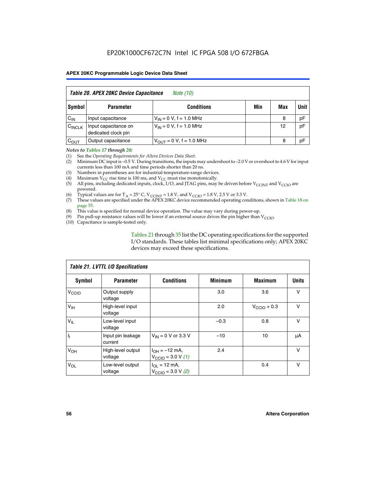|                    | Table 20. APEX 20KC Device Capacitance<br><i>Note (10)</i> |                               |     |     |      |  |  |
|--------------------|------------------------------------------------------------|-------------------------------|-----|-----|------|--|--|
| Symbol             | <b>Parameter</b>                                           | <b>Conditions</b>             | Min | Max | Unit |  |  |
| $C_{IN}$           | Input capacitance                                          | $V_{IN} = 0 V$ , f = 1.0 MHz  |     | 8   | pF   |  |  |
| $C_{\text{INCLK}}$ | Input capacitance on<br>dedicated clock pin                | $V_{IN} = 0 V$ , f = 1.0 MHz  |     | 12  | pF   |  |  |
| $C_{OUT}$          | Output capacitance                                         | $V_{OUT} = 0 V$ , f = 1.0 MHz |     | 8   | pF   |  |  |

### *Notes to Tables 17 through 20:*

(1) See the *Operating Requirements for Altera Devices Data Sheet*.

- (2) Minimum DC input is –0.5 V. During transitions, the inputs may undershoot to –2.0 V or overshoot to 4.6 V for input currents less than 100 mA and time periods shorter than 20 ns.
- (3) Numbers in parentheses are for industrial-temperature-range devices.<br>(4) Maximum  $V_{CC}$  rise time is 100 ms, and  $V_{CC}$  must rise monotonically.
- (4) Maximum  $V_{CC}$  rise time is 100 ms, and  $V_{CC}$  must rise monotonically.<br>(5) All pins, including dedicated inputs, clock, I/O, and JTAG pins, may
- All pins, including dedicated inputs, clock, I/O, and JTAG pins, may be driven before  $V_{CCTN}$  and  $V_{CCTO}$  are powered.
- (6) Typical values are for T<sub>A</sub> = 25° C, V<sub>CCINT</sub> = 1.8 V, and V<sub>CCIO</sub> = 1.8 V, 2.5 V or 3.3 V.
- (7) These values are specified under the APEX 20KC device recommended operating conditions, shown in Table 18 on page 55.
- (8) This value is specified for normal device operation. The value may vary during power-up.
- (9) Pin pull-up resistance values will be lower if an external source drives the pin higher than  $V_{\text{CCIO}}$ .
- (10) Capacitance is sample-tested only.

Tables 21 through 35 list the DC operating specifications for the supported I/O standards. These tables list minimal specifications only; APEX 20KC devices may exceed these specifications.

|                   | Table 21. LVTTL I/O Specifications |                                                     |                |                         |              |  |  |  |
|-------------------|------------------------------------|-----------------------------------------------------|----------------|-------------------------|--------------|--|--|--|
| Symbol            | <b>Parameter</b>                   | <b>Conditions</b>                                   | <b>Minimum</b> | <b>Maximum</b>          | <b>Units</b> |  |  |  |
| V <sub>CCIO</sub> | Output supply<br>voltage           |                                                     | 3.0            | 3.6                     | v            |  |  |  |
| V <sub>IH</sub>   | High-level input<br>voltage        |                                                     | 2.0            | $V_{\text{CClO}} + 0.3$ | $\vee$       |  |  |  |
| $V_{IL}$          | Low-level input<br>voltage         |                                                     | $-0.3$         | 0.8                     | v            |  |  |  |
| $\mathbf{I}_{1}$  | Input pin leakage<br>current       | $V_{IN} = 0$ V or 3.3 V                             | $-10$          | 10                      | μA           |  |  |  |
| V <sub>OH</sub>   | High-level output<br>voltage       | $I_{OH} = -12$ mA,<br>$V_{\text{CCIO}} = 3.0 V (1)$ | 2.4            |                         | v            |  |  |  |
| $V_{OL}$          | Low-level output<br>voltage        | $I_{OL}$ = 12 mA,<br>$V_{\text{CCIO}} = 3.0 V (2)$  |                | 0.4                     | $\vee$       |  |  |  |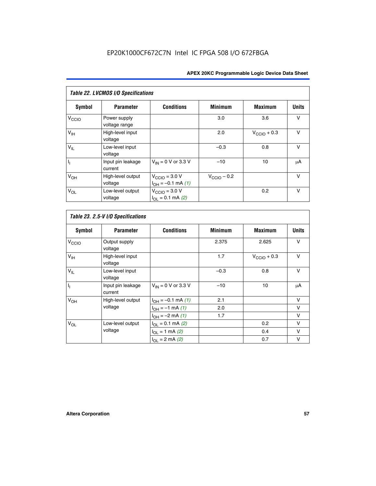| Table 22. LVCMOS I/O Specifications |                               |                                                          |                         |                         |              |  |  |
|-------------------------------------|-------------------------------|----------------------------------------------------------|-------------------------|-------------------------|--------------|--|--|
| <b>Symbol</b>                       | <b>Parameter</b>              | <b>Conditions</b>                                        | <b>Minimum</b>          | <b>Maximum</b>          | <b>Units</b> |  |  |
| V <sub>CCIO</sub>                   | Power supply<br>voltage range |                                                          | 3.0                     | 3.6                     | $\vee$       |  |  |
| $V_{\text{IH}}$                     | High-level input<br>voltage   |                                                          | 2.0                     | $V_{\text{CCIO}} + 0.3$ | $\vee$       |  |  |
| $V_{IL}$                            | Low-level input<br>voltage    |                                                          | $-0.3$                  | 0.8                     | $\vee$       |  |  |
| I <sub>1</sub>                      | Input pin leakage<br>current  | $V_{IN}$ = 0 V or 3.3 V                                  | $-10$                   | 10                      | μA           |  |  |
| V <sub>OH</sub>                     | High-level output<br>voltage  | $V_{\text{CCIO}} = 3.0 V$<br>$I_{OH} = -0.1$ mA $(1)$    | $V_{\text{CClO}}$ – 0.2 |                         | $\vee$       |  |  |
| $V_{OL}$                            | Low-level output<br>voltage   | $V_{\text{CCIO}} = 3.0 V$<br>$I_{\Omega I} = 0.1$ mA (2) |                         | 0.2                     | $\vee$       |  |  |

|                           | Table 23. 2.5-V I/O Specifications |                                      |                |                         |              |
|---------------------------|------------------------------------|--------------------------------------|----------------|-------------------------|--------------|
| <b>Symbol</b>             | <b>Parameter</b>                   | <b>Conditions</b>                    | <b>Minimum</b> | <b>Maximum</b>          | <b>Units</b> |
| V <sub>CCIO</sub>         | Output supply<br>voltage           |                                      | 2.375          | 2.625                   | v            |
| $V_{\text{IH}}$           | High-level input<br>voltage        |                                      | 1.7            | $V_{\text{CCIO}} + 0.3$ | $\vee$       |
| $V_{IL}$                  | Low-level input<br>voltage         |                                      | $-0.3$         | 0.8                     | v            |
| $\mathbf{I}_{\mathbf{I}}$ | Input pin leakage<br>current       | $V_{IN} = 0$ V or 3.3 V              | $-10$          | 10                      | μA           |
| V <sub>OH</sub>           | High-level output                  | $I_{OH} = -0.1$ mA $(1)$             | 2.1            |                         | $\vee$       |
|                           | voltage                            | $I_{OH} = -1$ mA (1)                 | 2.0            |                         | v            |
|                           |                                    | $I_{OH} = -2$ mA (1)                 | 1.7            |                         | v            |
| $V_{OL}$                  | Low-level output                   | $I_{\text{OI}} = 0.1 \text{ mA}$ (2) |                | 0.2                     | v            |
|                           | voltage                            | $I_{OL} = 1$ mA (2)                  |                | 0.4                     | v            |
|                           |                                    | $I_{OL} = 2$ mA (2)                  |                | 0.7                     | v            |

r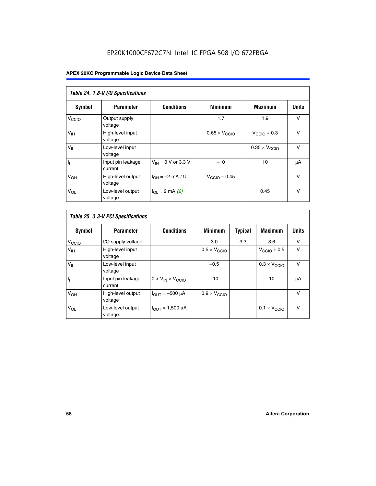|                            | Table 24. 1.8-V I/O Specifications |                           |                               |                               |              |  |  |  |
|----------------------------|------------------------------------|---------------------------|-------------------------------|-------------------------------|--------------|--|--|--|
| Symbol                     | <b>Parameter</b>                   | <b>Conditions</b>         | <b>Minimum</b>                | <b>Maximum</b>                | <b>Units</b> |  |  |  |
| V <sub>CCIO</sub>          | Output supply<br>voltage           |                           | 1.7                           | 1.9                           | $\vee$       |  |  |  |
| V <sub>IH</sub>            | High-level input<br>voltage        |                           | $0.65 \times V_{\text{CCIO}}$ | $V_{\text{CCIO}} + 0.3$       | $\vee$       |  |  |  |
| $\mathsf{V}_{\mathsf{IL}}$ | Low-level input<br>voltage         |                           |                               | $0.35 \times V_{\text{CCIO}}$ | $\vee$       |  |  |  |
| $I_1$                      | Input pin leakage<br>current       | $V_{IN}$ = 0 V or 3.3 V   | $-10$                         | 10                            | μA           |  |  |  |
| V <sub>OH</sub>            | High-level output<br>voltage       | $I_{OH} = -2$ mA (1)      | $V_{\text{CCIO}} - 0.45$      |                               | v            |  |  |  |
| $V_{OL}$                   | Low-level output<br>voltage        | $I_{\Omega I}$ = 2 mA (2) |                               | 0.45                          | $\vee$       |  |  |  |

| Table 25. 3.3-V PCI Specifications |                              |                         |                              |                |                              |              |
|------------------------------------|------------------------------|-------------------------|------------------------------|----------------|------------------------------|--------------|
| Symbol                             | <b>Parameter</b>             | <b>Conditions</b>       | <b>Minimum</b>               | <b>Typical</b> | <b>Maximum</b>               | <b>Units</b> |
| V <sub>CCIO</sub>                  | I/O supply voltage           |                         | 3.0                          | 3.3            | 3.6                          | v            |
| V <sub>IH</sub>                    | High-level input<br>voltage  |                         | $0.5 \times V_{\text{CCIO}}$ |                | $V_{\text{CCIO}} + 0.5$      | $\vee$       |
| $V_{IL}$                           | Low-level input<br>voltage   |                         | $-0.5$                       |                | $0.3 \times V_{\text{CCIO}}$ | v            |
| $\mathbf{I}_{1}$                   | Input pin leakage<br>current | $0 < V_{IN} < V_{CCIO}$ | $-10$                        |                | 10                           | μA           |
| $V_{OH}$                           | High-level output<br>voltage | $I_{OUT} = -500 \mu A$  | $0.9 \times V_{\text{CCIO}}$ |                |                              | $\vee$       |
| $V_{OL}$                           | Low-level output<br>voltage  | $I_{OUT} = 1,500 \mu A$ |                              |                | $0.1 \times V_{\text{CCIO}}$ | $\vee$       |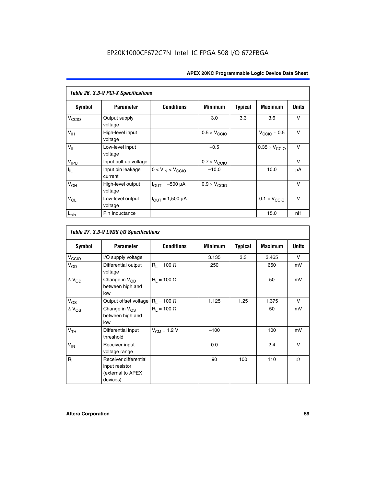| Table 26. 3.3-V PCI-X Specifications |                              |                                |                              |                |                              |              |
|--------------------------------------|------------------------------|--------------------------------|------------------------------|----------------|------------------------------|--------------|
| <b>Symbol</b>                        | <b>Parameter</b>             | <b>Conditions</b>              | <b>Minimum</b>               | <b>Typical</b> | <b>Maximum</b>               | <b>Units</b> |
| V <sub>CCIO</sub>                    | Output supply<br>voltage     |                                | 3.0                          | 3.3            | 3.6                          | $\vee$       |
| $V_{\text{IH}}$                      | High-level input<br>voltage  |                                | $0.5 \times V_{\text{CCIO}}$ |                | $V_{\text{CCIO}} + 0.5$      | $\vee$       |
| $V_{IL}$                             | Low-level input<br>voltage   |                                | $-0.5$                       |                | $0.35 \times V_{CCIO}$       | $\vee$       |
| V <sub>IPU</sub>                     | Input pull-up voltage        |                                | $0.7 \times V_{\text{CCIO}}$ |                |                              | v            |
| $I_{\rm IL}$                         | Input pin leakage<br>current | $0 < V_{IN} < V_{CCIO}$        | $-10.0$                      |                | 10.0                         | μA           |
| $V_{OH}$                             | High-level output<br>voltage | $I_{\text{OUT}} = -500 \mu A$  | $0.9 \times V_{\text{CCIO}}$ |                |                              | $\vee$       |
| $V_{OL}$                             | Low-level output<br>voltage  | $I_{\text{OUT}} = 1,500 \mu A$ |                              |                | $0.1 \times V_{\text{CCIO}}$ | $\vee$       |
| $L_{pin}$                            | Pin Inductance               |                                |                              |                | 15.0                         | nH           |

|                          | Table 27. 3.3-V LVDS I/O Specifications                                  |                    |                |                |                |              |  |  |
|--------------------------|--------------------------------------------------------------------------|--------------------|----------------|----------------|----------------|--------------|--|--|
| Symbol                   | <b>Parameter</b>                                                         | <b>Conditions</b>  | <b>Minimum</b> | <b>Typical</b> | <b>Maximum</b> | <b>Units</b> |  |  |
| V <sub>C</sub> CO        | I/O supply voltage                                                       |                    | 3.135          | 3.3            | 3.465          | $\vee$       |  |  |
| $V_{OD}$                 | Differential output<br>voltage                                           | $R_1 = 100 \Omega$ | 250            |                | 650            | mV           |  |  |
| $\Delta$ V <sub>OD</sub> | Change in V <sub>OD</sub><br>between high and<br>low                     | $R_1 = 100 \Omega$ |                |                | 50             | mV           |  |  |
| $V_{OS}$                 | Output offset voltage $R_1 = 100 \Omega$                                 |                    | 1.125          | 1.25           | 1.375          | V            |  |  |
| $\Delta$ V <sub>OS</sub> | Change in $V_{OS}$<br>between high and<br>low                            | $R_1 = 100 \Omega$ |                |                | 50             | mV           |  |  |
| V <sub>TH</sub>          | Differential input<br>threshold                                          | $V_{CM} = 1.2 V$   | $-100$         |                | 100            | mV           |  |  |
| $V_{IN}$                 | Receiver input<br>voltage range                                          |                    | 0.0            |                | 2.4            | $\vee$       |  |  |
| $R_L$                    | Receiver differential<br>input resistor<br>(external to APEX<br>devices) |                    | 90             | 100            | 110            | $\Omega$     |  |  |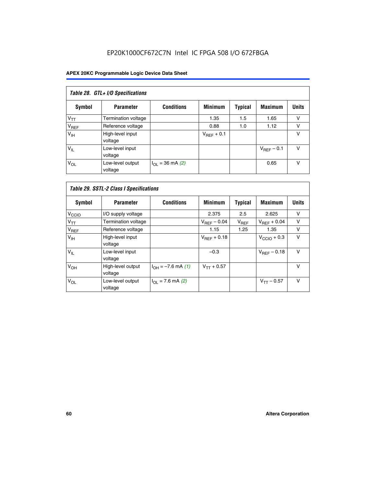# EP20K1000CF672C7N Intel IC FPGA 508 I/O 672FBGA

| Table 28. GTL+ I/O Specifications |                             |                      |                 |                |                        |              |
|-----------------------------------|-----------------------------|----------------------|-----------------|----------------|------------------------|--------------|
| <b>Symbol</b>                     | <b>Parameter</b>            | <b>Conditions</b>    | <b>Minimum</b>  | <b>Typical</b> | <b>Maximum</b>         | <b>Units</b> |
| $V_{TT}$                          | <b>Termination voltage</b>  |                      | 1.35            | 1.5            | 1.65                   | v            |
| V <sub>REF</sub>                  | Reference voltage           |                      | 0.88            | 1.0            | 1.12                   | v            |
| V <sub>IH</sub>                   | High-level input<br>voltage |                      | $V_{REF}$ + 0.1 |                |                        | v            |
| $V_{IL}$                          | Low-level input<br>voltage  |                      |                 |                | $V_{\text{RFF}}$ – 0.1 | v            |
| $V_{OL}$                          | Low-level output<br>voltage | $I_{OL}$ = 36 mA (2) |                 |                | 0.65                   | v            |

|                   | Table 29. SSTL-2 Class I Specifications |                             |                         |                |                         |              |  |
|-------------------|-----------------------------------------|-----------------------------|-------------------------|----------------|-------------------------|--------------|--|
| Symbol            | <b>Parameter</b>                        | <b>Conditions</b>           | <b>Minimum</b>          | <b>Typical</b> | <b>Maximum</b>          | <b>Units</b> |  |
| V <sub>CCIO</sub> | I/O supply voltage                      |                             | 2.375                   | 2.5            | 2.625                   | v            |  |
| $V_{TT}$          | <b>Termination voltage</b>              |                             | $V_{\text{BFF}} - 0.04$ | $V_{REF}$      | $V_{REF}$ + 0.04        | $\vee$       |  |
| V <sub>REF</sub>  | Reference voltage                       |                             | 1.15                    | 1.25           | 1.35                    | v            |  |
| V <sub>IH</sub>   | High-level input<br>voltage             |                             | $V_{\text{BFF}} + 0.18$ |                | $V_{\text{CCIO}} + 0.3$ | v            |  |
| $V_{IL}$          | Low-level input<br>voltage              |                             | $-0.3$                  |                | $V_{BEF}$ – 0.18        | $\vee$       |  |
| V <sub>OH</sub>   | High-level output<br>voltage            | $I_{OH} = -7.6$ mA (1)      | $V_{TT} + 0.57$         |                |                         | $\vee$       |  |
| $V_{OL}$          | Low-level output<br>voltage             | $I_{\Omega I}$ = 7.6 mA (2) |                         |                | $V_{TT} - 0.57$         | $\vee$       |  |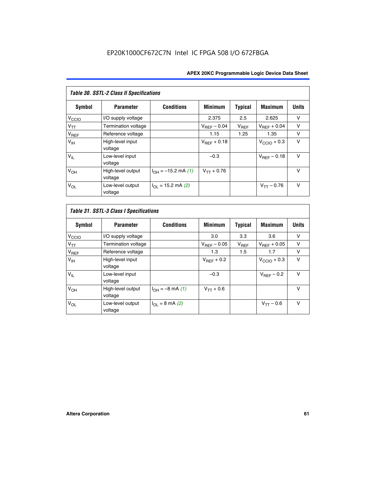| <b>Table 30. SSTL-2 Class II Specifications</b> |                              |                              |                         |                |                         |              |
|-------------------------------------------------|------------------------------|------------------------------|-------------------------|----------------|-------------------------|--------------|
| Symbol                                          | <b>Parameter</b>             | <b>Conditions</b>            | <b>Minimum</b>          | <b>Typical</b> | <b>Maximum</b>          | <b>Units</b> |
| V <sub>CCIO</sub>                               | I/O supply voltage           |                              | 2.375                   | 2.5            | 2.625                   | v            |
| $V_{TT}$                                        | Termination voltage          |                              | $V_{REF} - 0.04$        | $V_{REF}$      | $V_{BFF} + 0.04$        | $\vee$       |
| $V_{REF}$                                       | Reference voltage            |                              | 1.15                    | 1.25           | 1.35                    | v            |
| V <sub>IH</sub>                                 | High-level input<br>voltage  |                              | $V_{\text{RFF}} + 0.18$ |                | $V_{\text{CCIO}} + 0.3$ | $\vee$       |
| $V_{IL}$                                        | Low-level input<br>voltage   |                              | $-0.3$                  |                | $V_{BFE} - 0.18$        | $\vee$       |
| V <sub>OH</sub>                                 | High-level output<br>voltage | $I_{OH} = -15.2$ mA (1)      | $V_{TT} + 0.76$         |                |                         | $\vee$       |
| $V_{OL}$                                        | Low-level output<br>voltage  | $I_{\Omega I}$ = 15.2 mA (2) |                         |                | $V_{TT} - 0.76$         | $\vee$       |

|  |  |  | Table 31. SSTL-3 Class I Specifications |
|--|--|--|-----------------------------------------|
|--|--|--|-----------------------------------------|

| Symbol            | <b>Parameter</b>             | <b>Conditions</b>         | <b>Minimum</b>          | Typical   | <b>Maximum</b>          | <b>Units</b> |
|-------------------|------------------------------|---------------------------|-------------------------|-----------|-------------------------|--------------|
| V <sub>CCIO</sub> | I/O supply voltage           |                           | 3.0                     | 3.3       | 3.6                     | ν            |
| $V_{TT}$          | Termination voltage          |                           | $V_{\text{BFF}} - 0.05$ | $V_{REF}$ | $V_{\text{RFF}} + 0.05$ | v            |
| $V_{REF}$         | Reference voltage            |                           | 1.3                     | 1.5       | 1.7                     | v            |
| V <sub>IH</sub>   | High-level input<br>voltage  |                           | $V_{BFF}$ + 0.2         |           | $V_{\text{CCIO}} + 0.3$ | v            |
| $V_{IL}$          | Low-level input<br>voltage   |                           | $-0.3$                  |           | $V_{BFE}$ – 0.2         | $\vee$       |
| V <sub>OH</sub>   | High-level output<br>voltage | $I_{OH} = -8$ mA (1)      | $V_{TT} + 0.6$          |           |                         | v            |
| $V_{OL}$          | Low-level output<br>voltage  | $I_{\Omega I}$ = 8 mA (2) |                         |           | $V_{TT} - 0.6$          | $\vee$       |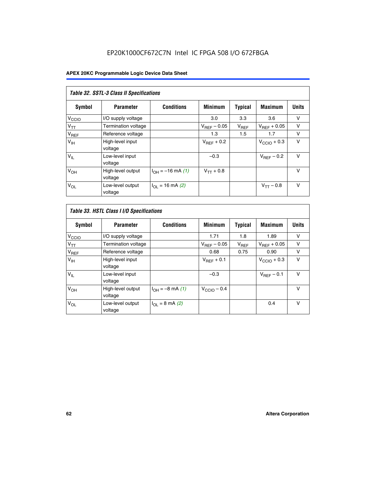| Table 32. SSTL-3 Class II Specifications |                              |                          |                        |           |                         |              |
|------------------------------------------|------------------------------|--------------------------|------------------------|-----------|-------------------------|--------------|
| <b>Symbol</b>                            | <b>Parameter</b>             | <b>Conditions</b>        | <b>Minimum</b>         | Typical   | <b>Maximum</b>          | <b>Units</b> |
| V <sub>CCIO</sub>                        | I/O supply voltage           |                          | 3.0                    | 3.3       | 3.6                     | v            |
| $V_{TT}$                                 | <b>Termination voltage</b>   |                          | $V_{REF}$ – 0.05       | $V_{REF}$ | $V_{REF}$ + 0.05        | v            |
| $V_{REF}$                                | Reference voltage            |                          | 1.3                    | 1.5       | 1.7                     | v            |
| $V_{\text{IH}}$                          | High-level input<br>voltage  |                          | $V_{\text{RFF}} + 0.2$ |           | $V_{\text{CCIO}} + 0.3$ | v            |
| $V_{IL}$                                 | Low-level input<br>voltage   |                          | $-0.3$                 |           | $V_{\text{RFF}}$ – 0.2  | $\vee$       |
| V <sub>OH</sub>                          | High-level output<br>voltage | $I_{OH} = -16$ mA (1)    | $V_{TT} + 0.8$         |           |                         | $\vee$       |
| $V_{OL}$                                 | Low-level output<br>voltage  | $I_{\Omega}$ = 16 mA (2) |                        |           | $V_{TT} - 0.8$          | $\vee$       |

| Table 33. HSTL Class I I/O Specifications |                              |                              |                         |                |                         |              |  |
|-------------------------------------------|------------------------------|------------------------------|-------------------------|----------------|-------------------------|--------------|--|
| Symbol                                    | <b>Parameter</b>             | <b>Conditions</b>            | <b>Minimum</b>          | <b>Typical</b> | <b>Maximum</b>          | <b>Units</b> |  |
| V <sub>CCIO</sub>                         | I/O supply voltage           |                              | 1.71                    | 1.8            | 1.89                    | v            |  |
| $V_{TT}$                                  | Termination voltage          |                              | $V_{REF} - 0.05$        | $V_{REF}$      | $V_{\text{RFF}} + 0.05$ | v            |  |
| $V_{REF}$                                 | Reference voltage            |                              | 0.68                    | 0.75           | 0.90                    | v            |  |
| $V_{\text{IH}}$                           | High-level input<br>voltage  |                              | $V_{REF}$ + 0.1         |                | $V_{\text{CCIO}} + 0.3$ | $\vee$       |  |
| $V_{IL}$                                  | Low-level input<br>voltage   |                              | $-0.3$                  |                | $V_{\text{BFF}}$ – 0.1  | $\vee$       |  |
| V <sub>OH</sub>                           | High-level output<br>voltage | $I_{OH} = -8 \text{ mA} (1)$ | $V_{\text{CCIO}} - 0.4$ |                |                         | $\vee$       |  |
| $V_{OL}$                                  | Low-level output<br>voltage  | $I_{OL} = 8 \text{ mA} (2)$  |                         |                | 0.4                     | $\vee$       |  |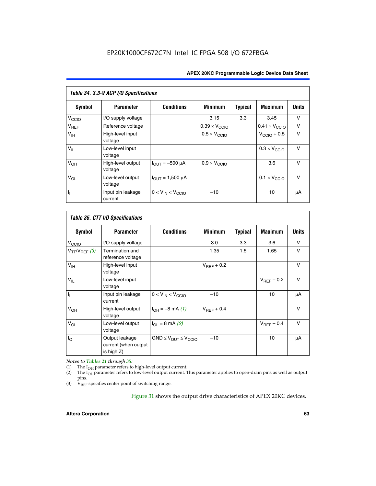| Table 34. 3.3-V AGP I/O Specifications |                              |                         |                               |                |                               |              |  |
|----------------------------------------|------------------------------|-------------------------|-------------------------------|----------------|-------------------------------|--------------|--|
| Symbol                                 | <b>Parameter</b>             | <b>Conditions</b>       | <b>Minimum</b>                | <b>Typical</b> | <b>Maximum</b>                | <b>Units</b> |  |
| $V_{\text{CCLO}}$                      | I/O supply voltage           |                         | 3.15                          | 3.3            | 3.45                          | v            |  |
| $V_{REF}$                              | Reference voltage            |                         | $0.39 \times V_{\text{CCIO}}$ |                | $0.41 \times V_{\text{CCIO}}$ | v            |  |
| V <sub>IH</sub>                        | High-level input<br>voltage  |                         | $0.5 \times V_{\text{CCIO}}$  |                | $V_{\text{CCIO}} + 0.5$       | v            |  |
| $V_{IL}$                               | Low-level input<br>voltage   |                         |                               |                | $0.3 \times V_{\text{CCIO}}$  | $\vee$       |  |
| $V_{OH}$                               | High-level output<br>voltage | $I_{OUT} = -500 \mu A$  | $0.9 \times V_{\text{CCIO}}$  |                | 3.6                           | $\vee$       |  |
| $V_{OL}$                               | Low-level output<br>voltage  | $I_{OUT} = 1,500 \mu A$ |                               |                | $0.1 \times V_{\text{CCIO}}$  | $\vee$       |  |
| Γ,                                     | Input pin leakage<br>current | $0 < V_{IN} < V_{CCIO}$ | $-10$                         |                | 10                            | μA           |  |

| Table 35. CTT I/O Specifications |                                                         |                                  |                        |         |                 |              |  |
|----------------------------------|---------------------------------------------------------|----------------------------------|------------------------|---------|-----------------|--------------|--|
| Symbol                           | <b>Parameter</b>                                        | <b>Conditions</b>                | <b>Minimum</b>         | Typical | <b>Maximum</b>  | <b>Units</b> |  |
| V <sub>CCIO</sub>                | I/O supply voltage                                      |                                  | 3.0                    | 3.3     | 3.6             | V            |  |
| $V_{TT}/V_{REF}$ (3)             | Termination and<br>reference voltage                    |                                  | 1.35                   | 1.5     | 1.65            | v            |  |
| V <sub>IH</sub>                  | High-level input<br>voltage                             |                                  | $V_{BFF}$ + 0.2        |         |                 | $\vee$       |  |
| $V_{IL}$                         | Low-level input<br>voltage                              |                                  |                        |         | $V_{REF}$ – 0.2 | $\vee$       |  |
| h,                               | Input pin leakage<br>current                            | $0 < V_{IN} < V_{CCIO}$          | $-10$                  |         | 10              | μA           |  |
| V <sub>OH</sub>                  | High-level output<br>voltage                            | $I_{OH} = -8$ mA (1)             | $V_{\text{RFF}} + 0.4$ |         |                 | $\vee$       |  |
| $V_{OL}$                         | Low-level output<br>voltage                             | $I_{\Omega I}$ = 8 mA (2)        |                        |         | $V_{REF}$ – 0.4 | $\vee$       |  |
| $I_{\rm O}$                      | Output leakage<br>current (when output<br>is high $Z$ ) | $GND \leq V_{OUT} \leq V_{CCIO}$ | $-10$                  |         | 10              | μA           |  |

*Notes to Tables 21 through 35:*

(1) The  $I_{OH}$  parameter refers to high-level output current.<br>
(2) The  $I_{OL}$  parameter refers to low-level output current. T

The I<sub>OL</sub> parameter refers to low-level output current. This parameter applies to open-drain pins as well as output pins.

(3)  $\hat{V}_{REF}$  specifies center point of switching range.

Figure 31 shows the output drive characteristics of APEX 20KC devices.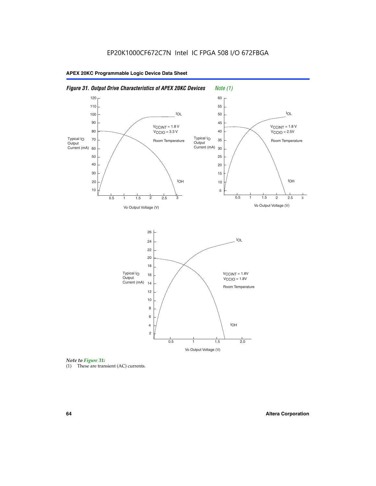



(1) These are transient (AC) currents.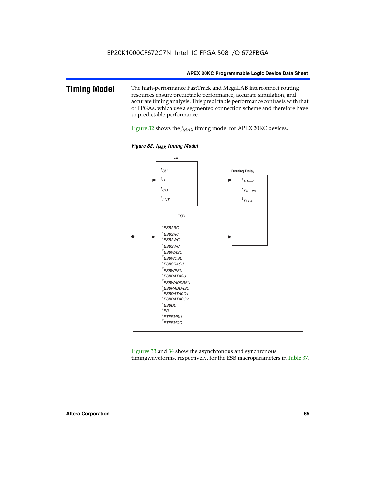### **Timing Model** The high-performance FastTrack and MegaLAB interconnect routing resources ensure predictable performance, accurate simulation, and accurate timing analysis. This predictable performance contrasts with that of FPGAs, which use a segmented connection scheme and therefore have unpredictable performance.

Figure 32 shows the  $f_{MAX}$  timing model for APEX 20KC devices.





Figures 33 and 34 show the asynchronous and synchronous timingwaveforms, respectively, for the ESB macroparameters in Table 37.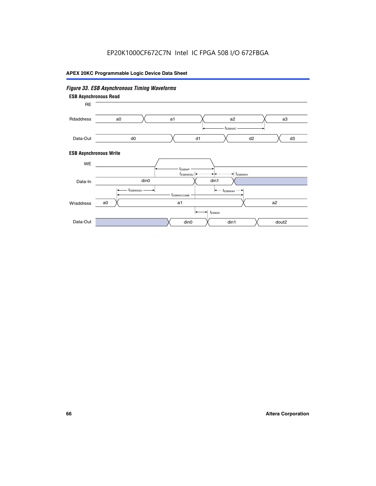### *Figure 33. ESB Asynchronous Timing Waveforms* **ESB Asynchronous Write ESB Asynchronous Read** RE a0 d0 d3  $t_{ESBARC}$ a1 *入* a2 *入* a3 d1 d2 Rdaddress Data-Out WE a0  $dim1$   $X$  dout2  $t_{ESBDD}$ a1 a2 din1 din0  $t_{ESBWCCOMB}$  $t_{ESBWASU} \longrightarrow t_{ESBWAH}$  $t_{ESBWDSU}$   $\leftarrow$   $\rightarrow$   $t_{ESBWDH}$  $t_{ESBWP}$ Data-In din0 Wraddress Data-Out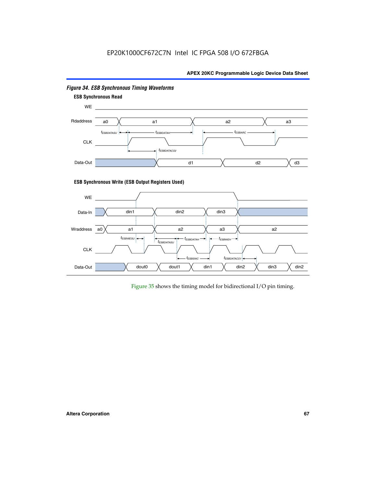

*Figure 34. ESB Synchronous Timing Waveforms*

Figure 35 shows the timing model for bidirectional I/O pin timing.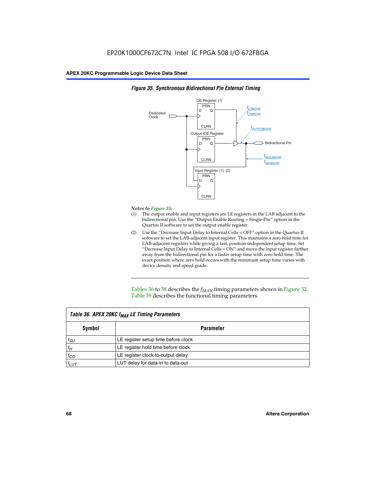

### *Figure 35. Synchronous Bidirectional Pin External Timing*

### *Notes to Figure 35:*

- (1) The output enable and input registers are LE registers in the LAB adjacent to the bidirectional pin. Use the "Output Enable Routing = Single-Pin" option in the Quartus II software to set the output enable register.
- (2) Use the "Decrease Input Delay to Internal Cells = OFF" option in the Quartus II software to set the LAB-adjacent input register. This maintains a zero hold time for LAB-adjacent registers while giving a fast, position-independent setup time. Set "Decrease Input Delay to Internal Cells  $= ON''$  and move the input register farther away from the bidirectional pin for a faster setup time with zero hold time. The exact position where zero hold occurs with the minimum setup time varies with device density and speed grade.

Tables 36 to 38 describes the  $f_{MAX}$  timing parameters shown in Figure 32. Table 39 describes the functional timing parameters.

| Table 36. APEX 20KC f <sub>MAX</sub> LE Timing Parameters |                                     |  |  |  |
|-----------------------------------------------------------|-------------------------------------|--|--|--|
| Symbol                                                    | Parameter                           |  |  |  |
| $t_{SU}$                                                  | LE register setup time before clock |  |  |  |
| $t_H$                                                     | LE register hold time before clock  |  |  |  |
| $t_{CO}$                                                  | LE register clock-to-output delay   |  |  |  |
| $t_{LUT}$                                                 | LUT delay for data-in to data-out   |  |  |  |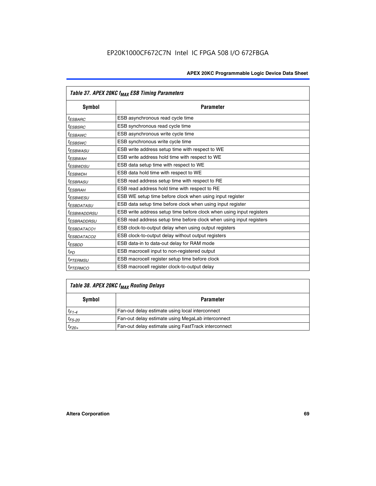| Table 37. APEX 20KC f <sub>MAX</sub> ESB Timing Parameters |                                                                      |  |  |  |
|------------------------------------------------------------|----------------------------------------------------------------------|--|--|--|
| <b>Symbol</b>                                              | <b>Parameter</b>                                                     |  |  |  |
| <sup>t</sup> ESBARC                                        | ESB asynchronous read cycle time                                     |  |  |  |
| <i>t<sub>ESBSRC</sub></i>                                  | ESB synchronous read cycle time                                      |  |  |  |
| <sup>t</sup> ESBAWC                                        | ESB asynchronous write cycle time                                    |  |  |  |
| <sup>t</sup> ESBSWC                                        | ESB synchronous write cycle time                                     |  |  |  |
| <sup>t</sup> ESBWASU                                       | ESB write address setup time with respect to WE                      |  |  |  |
| t <sub>ESBWAH</sub>                                        | ESB write address hold time with respect to WE                       |  |  |  |
| <sup>t</sup> ESBWDSU                                       | ESB data setup time with respect to WE                               |  |  |  |
| <sup>t</sup> ESBWDH                                        | ESB data hold time with respect to WE                                |  |  |  |
| <sup>t</sup> ESBRASU                                       | ESB read address setup time with respect to RE                       |  |  |  |
| <sup>t</sup> ESBRAH                                        | ESB read address hold time with respect to RE                        |  |  |  |
| <sup>I</sup> ESBWESU                                       | ESB WE setup time before clock when using input register             |  |  |  |
| <sup>t</sup> ESBDATASU                                     | ESB data setup time before clock when using input register           |  |  |  |
| <sup>t</sup> ESBWADDRSU                                    | ESB write address setup time before clock when using input registers |  |  |  |
| <sup>I</sup> ESBRADDRSU                                    | ESB read address setup time before clock when using input registers  |  |  |  |
| <sup>I</sup> ESBDATACO1                                    | ESB clock-to-output delay when using output registers                |  |  |  |
| <sup>I</sup> ESBDATACO2                                    | ESB clock-to-output delay without output registers                   |  |  |  |
| <sup>t</sup> ESBDD                                         | ESB data-in to data-out delay for RAM mode                           |  |  |  |
| $t_{PD}$                                                   | ESB macrocell input to non-registered output                         |  |  |  |
| <sup>t</sup> PTERMSU                                       | ESB macrocell register setup time before clock                       |  |  |  |
| <sup>t</sup> PTERMCO                                       | ESB macrocell register clock-to-output delay                         |  |  |  |

# *Table 38. APEX 20KC fMAX Routing Delays*

| Symbol      | <b>Parameter</b>                                    |
|-------------|-----------------------------------------------------|
| $t_{F1-4}$  | Fan-out delay estimate using local interconnect     |
| $t_{F5-20}$ | Fan-out delay estimate using MegaLab interconnect   |
| $t_{F20+}$  | Fan-out delay estimate using FastTrack interconnect |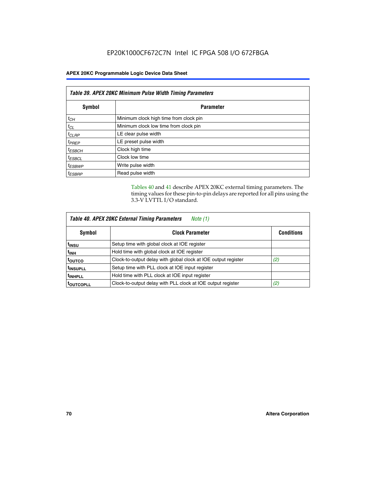| Table 39. APEX 20KC Minimum Pulse Width Timing Parameters |                                        |  |  |  |
|-----------------------------------------------------------|----------------------------------------|--|--|--|
| Symbol                                                    | <b>Parameter</b>                       |  |  |  |
| $t_{CH}$                                                  | Minimum clock high time from clock pin |  |  |  |
| $t_{CL}$                                                  | Minimum clock low time from clock pin  |  |  |  |
| $t_{CLRP}$                                                | LE clear pulse width                   |  |  |  |
| $t_{PREF}$                                                | LE preset pulse width                  |  |  |  |
| $t_{ESBCH}$                                               | Clock high time                        |  |  |  |
| $t_{ESBCL}$                                               | Clock low time                         |  |  |  |
| <sup>t</sup> ESBWP                                        | Write pulse width                      |  |  |  |
| <sup>t</sup> ESBRP                                        | Read pulse width                       |  |  |  |

Tables 40 and 41 describe APEX 20KC external timing parameters. The timing values for these pin-to-pin delays are reported for all pins using the 3.3-V LVTTL I/O standard.

| Table 40. APEX 20KC External Timing Parameters<br>Note (1) |                                                                |                   |  |  |  |
|------------------------------------------------------------|----------------------------------------------------------------|-------------------|--|--|--|
| Symbol                                                     | <b>Clock Parameter</b>                                         | <b>Conditions</b> |  |  |  |
| t <sub>insu</sub>                                          | Setup time with global clock at IOE register                   |                   |  |  |  |
| t <sub>inh</sub>                                           | Hold time with global clock at IOE register                    |                   |  |  |  |
| toutco                                                     | Clock-to-output delay with global clock at IOE output register | (2)               |  |  |  |
| <sup>t</sup> INSUPLL                                       | Setup time with PLL clock at IOE input register                |                   |  |  |  |
| <sup>t</sup> INHPLL                                        | Hold time with PLL clock at IOE input register                 |                   |  |  |  |
| <b>TOUTCOPLL</b>                                           | Clock-to-output delay with PLL clock at IOE output register    | (2)               |  |  |  |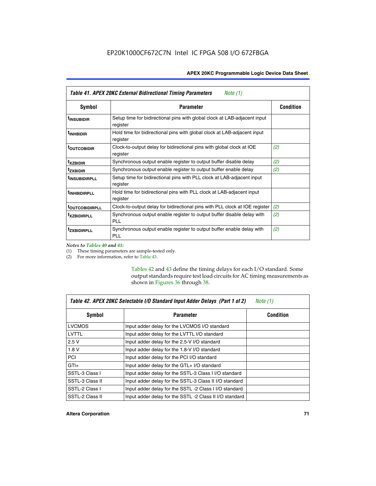| Table 41. APEX 20KC External Bidirectional Timing Parameters<br>Note (1) |                                                                                       |                  |  |  |  |
|--------------------------------------------------------------------------|---------------------------------------------------------------------------------------|------------------|--|--|--|
| Symbol                                                                   | <b>Parameter</b>                                                                      | <b>Condition</b> |  |  |  |
| <sup>t</sup> INSUBIDIR                                                   | Setup time for bidirectional pins with global clock at LAB-adjacent input<br>register |                  |  |  |  |
| <sup>t</sup> INHBIDIR                                                    | Hold time for bidirectional pins with global clock at LAB-adjacent input<br>register  |                  |  |  |  |
| <sup>t</sup> OUTCOBIDIR                                                  | Clock-to-output delay for bidirectional pins with global clock at IOE<br>register     | (2)              |  |  |  |
| <sup>t</sup> xzbidir                                                     | Synchronous output enable register to output buffer disable delay                     | (2)              |  |  |  |
| <sup>t</sup> zxbidir                                                     | Synchronous output enable register to output buffer enable delay                      | (2)              |  |  |  |
| <sup>t</sup> insubidirpll                                                | Setup time for bidirectional pins with PLL clock at LAB-adjacent input<br>register    |                  |  |  |  |
| <sup>t</sup> INHBIDIRPLL                                                 | Hold time for bidirectional pins with PLL clock at LAB-adjacent input<br>register     |                  |  |  |  |
| <b><sup>t</sup>OUTCOBIDIRPLL</b>                                         | Clock-to-output delay for bidirectional pins with PLL clock at IOE register           | (2)              |  |  |  |
| <sup>T</sup> XZBIDIRPLL                                                  | Synchronous output enable register to output buffer disable delay with<br>PL L        | (2)              |  |  |  |
| <sup>I</sup> ZXBIDIRPLL                                                  | Synchronous output enable register to output buffer enable delay with<br><b>PLL</b>   | (2)              |  |  |  |

*Notes to Tables 40 and 41:*

Г

(1) These timing parameters are sample-tested only.

(2) For more information, refer to Table 43.

Tables 42 and 43 define the timing delays for each I/O standard. Some output standards require test load circuits for AC timing measurements as shown in Figures 36 through 38.

| Table 42. APEX 20KC Selectable I/O Standard Input Adder Delays (Part 1 of 2)<br>Note $(1)$ |                                                         |                  |
|--------------------------------------------------------------------------------------------|---------------------------------------------------------|------------------|
| Symbol                                                                                     | <b>Parameter</b>                                        | <b>Condition</b> |
| <b>LVCMOS</b>                                                                              | Input adder delay for the LVCMOS I/O standard           |                  |
| LVTTL                                                                                      | Input adder delay for the LVTTL I/O standard            |                  |
| 2.5V                                                                                       | Input adder delay for the 2.5-V I/O standard            |                  |
| 1.8V                                                                                       | Input adder delay for the 1.8-V I/O standard            |                  |
| <b>PCI</b>                                                                                 | Input adder delay for the PCI I/O standard              |                  |
| $GTI +$                                                                                    | Input adder delay for the GTL+ I/O standard             |                  |
| SSTL-3 Class I                                                                             | Input adder delay for the SSTL-3 Class I I/O standard   |                  |
| SSTL-3 Class II                                                                            | Input adder delay for the SSTL-3 Class II I/O standard  |                  |
| SSTL-2 Class I                                                                             | Input adder delay for the SSTL -2 Class I I/O standard  |                  |
| SSTL-2 Class II                                                                            | Input adder delay for the SSTL -2 Class II I/O standard |                  |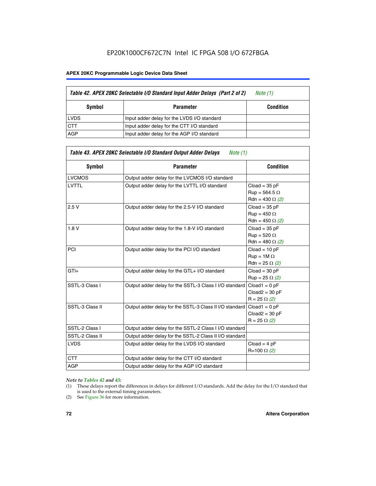# EP20K1000CF672C7N Intel IC FPGA 508 I/O 672FBGA

#### **APEX 20KC Programmable Logic Device Data Sheet**

|             | Table 42. APEX 20KC Selectable I/O Standard Input Adder Delays (Part 2 of 2) | Note (1)         |
|-------------|------------------------------------------------------------------------------|------------------|
| Symbol      | <b>Parameter</b>                                                             | <b>Condition</b> |
| <b>LVDS</b> | Input adder delay for the LVDS I/O standard                                  |                  |
| <b>CTT</b>  | Input adder delay for the CTT I/O standard                                   |                  |
| AGP         | Input adder delay for the AGP I/O standard                                   |                  |

| Symbol          | <b>Parameter</b>                                        | <b>Condition</b>       |
|-----------------|---------------------------------------------------------|------------------------|
| <b>LVCMOS</b>   | Output adder delay for the LVCMOS I/O standard          |                        |
| <b>LVTTL</b>    | Output adder delay for the LVTTL I/O standard           | $Cloud = 35 pF$        |
|                 |                                                         | $Run = 564.5 \Omega$   |
|                 |                                                         | Rdn = 430 $\Omega$ (2) |
| 2.5V            | Output adder delay for the 2.5-V I/O standard           | $Cloud = 35 pF$        |
|                 |                                                         | $Rup = 450 \Omega$     |
|                 |                                                         | Rdn = 450 $\Omega$ (2) |
| 1.8V            | Output adder delay for the 1.8-V I/O standard           | $Cloud = 35 pF$        |
|                 |                                                         | $Run = 520 \Omega$     |
|                 |                                                         | Rdn = 480 $\Omega$ (2) |
| PCI             | Output adder delay for the PCI I/O standard             | $Cloud = 10 pF$        |
|                 |                                                         | $Run = 1M \Omega$      |
|                 |                                                         | Rdn = 25 $\Omega$ (2)  |
| $GTI +$         | Output adder delay for the GTL+ I/O standard            | $Cloud = 30 pF$        |
|                 |                                                         | $Run = 25 \Omega (2)$  |
| SSTL-3 Class I  | Output adder delay for the SSTL-3 Class I I/O standard  | $Cloud1 = 0 pF$        |
|                 |                                                         | $Cloud2 = 30 pF$       |
|                 |                                                         | $R = 25 \Omega (2)$    |
| SSTL-3 Class II | Output adder delay for the SSTL-3 Class II I/O standard | $Cloud1 = 0 pF$        |
|                 |                                                         | $Cloud2 = 30 pF$       |
|                 |                                                         | $R = 25 \Omega (2)$    |
| SSTL-2 Class I  | Output adder delay for the SSTL-2 Class I I/O standard  |                        |
| SSTL-2 Class II | Output adder delay for the SSTL-2 Class II I/O standard |                        |
| <b>LVDS</b>     | Output adder delay for the LVDS I/O standard            | $Cloud = 4 pF$         |
|                 |                                                         | R=100 Ω (2)            |
| <b>CTT</b>      | Output adder delay for the CTT I/O standard             |                        |
| <b>AGP</b>      | Output adder delay for the AGP I/O standard             |                        |

#### *Note to Tables 42 and 43:*

- (1) These delays report the differences in delays for different I/O standards. Add the delay for the I/O standard that is used to the external timing parameters.
- (2) See Figure 36 for more information.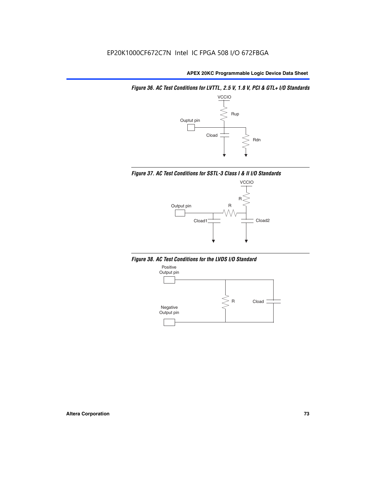*Figure 36. AC Test Conditions for LVTTL, 2.5 V, 1.8 V, PCI & GTL+ I/O Standards*







*Figure 38. AC Test Conditions for the LVDS I/O Standard*

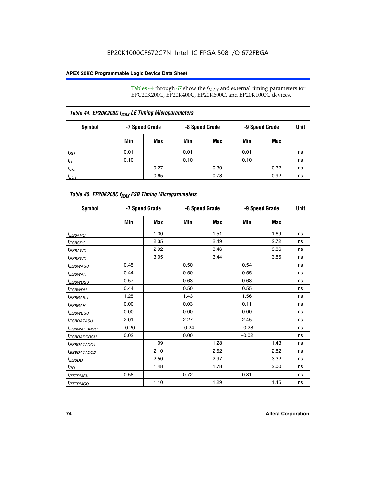Tables 44 through 67 show the  $f_{MAX}$  and external timing parameters for EPC20K200C, EP20K400C, EP20K600C, and EP20K1000C devices.

| Table 44. EP20K200C f <sub>MAX</sub> LE Timing Microparameters |                |      |                |      |                |      |             |  |  |  |
|----------------------------------------------------------------|----------------|------|----------------|------|----------------|------|-------------|--|--|--|
| Symbol                                                         | -7 Speed Grade |      | -8 Speed Grade |      | -9 Speed Grade |      | <b>Unit</b> |  |  |  |
|                                                                | Min            | Max  | Min            | Max  | Min            | Max  |             |  |  |  |
| $t_{SU}$                                                       | 0.01           |      | 0.01           |      | 0.01           |      | ns          |  |  |  |
| $t_H$                                                          | 0.10           |      | 0.10           |      | 0.10           |      | ns          |  |  |  |
| $t_{CO}$                                                       |                | 0.27 |                | 0.30 |                | 0.32 | ns          |  |  |  |
| $t_{LUT}$                                                      |                | 0.65 |                | 0.78 |                | 0.92 | ns          |  |  |  |

| Table 45. EP20K200C f <sub>MAX</sub> ESB Timing Microparameters |         |                |         |                |         |                |    |  |  |  |
|-----------------------------------------------------------------|---------|----------------|---------|----------------|---------|----------------|----|--|--|--|
| <b>Symbol</b>                                                   |         | -7 Speed Grade |         | -8 Speed Grade |         | -9 Speed Grade |    |  |  |  |
|                                                                 | Min     | Max            | Min     | Max            | Min     | Max            |    |  |  |  |
| <sup>t</sup> ESBARC                                             |         | 1.30           |         | 1.51           |         | 1.69           | ns |  |  |  |
| $t_{ESBSRC}$                                                    |         | 2.35           |         | 2.49           |         | 2.72           | ns |  |  |  |
| <sup>t</sup> ESBAWC                                             |         | 2.92           |         | 3.46           |         | 3.86           | ns |  |  |  |
| <sup>t</sup> ESBSWC                                             |         | 3.05           |         | 3.44           |         | 3.85           | ns |  |  |  |
| <sup>t</sup> ESBWASU                                            | 0.45    |                | 0.50    |                | 0.54    |                | ns |  |  |  |
| <sup>t</sup> ESBWАН                                             | 0.44    |                | 0.50    |                | 0.55    |                | ns |  |  |  |
| <sup>t</sup> ESBWDSU                                            | 0.57    |                | 0.63    |                | 0.68    |                | ns |  |  |  |
| <sup>t</sup> ESBWDH                                             | 0.44    |                | 0.50    |                | 0.55    |                | ns |  |  |  |
| <sup>t</sup> ESBRASU                                            | 1.25    |                | 1.43    |                | 1.56    |                | ns |  |  |  |
| <sup>t</sup> ESBRAH                                             | 0.00    |                | 0.03    |                | 0.11    |                | ns |  |  |  |
| <sup>t</sup> ESBWESU                                            | 0.00    |                | 0.00    |                | 0.00    |                | ns |  |  |  |
| <sup>t</sup> ESBDATASU                                          | 2.01    |                | 2.27    |                | 2.45    |                | ns |  |  |  |
| <sup>t</sup> ESBWADDRSU                                         | $-0.20$ |                | $-0.24$ |                | $-0.28$ |                | ns |  |  |  |
| <sup>t</sup> ESBRADDRSU                                         | 0.02    |                | 0.00    |                | $-0.02$ |                | ns |  |  |  |
| <sup>t</sup> ESBDATACO1                                         |         | 1.09           |         | 1.28           |         | 1.43           | ns |  |  |  |
| <sup>t</sup> ESBDATACO2                                         |         | 2.10           |         | 2.52           |         | 2.82           | ns |  |  |  |
| <sup>t</sup> ESBDD                                              |         | 2.50           |         | 2.97           |         | 3.32           | ns |  |  |  |
| t <sub>PD</sub>                                                 |         | 1.48           |         | 1.78           |         | 2.00           | ns |  |  |  |
| <sup>t</sup> PTERMSU                                            | 0.58    |                | 0.72    |                | 0.81    |                | ns |  |  |  |
| t <sub>PTERMCO</sub>                                            |         | 1.10           |         | 1.29           |         | 1.45           | ns |  |  |  |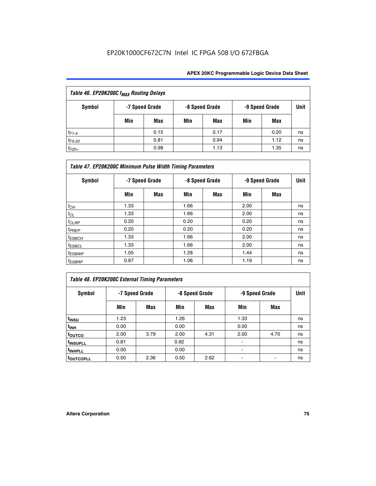| Table 46. EP20K200C f <sub>MAX</sub> Routing Delays |     |                |     |                |                |      |      |  |  |
|-----------------------------------------------------|-----|----------------|-----|----------------|----------------|------|------|--|--|
| <b>Symbol</b>                                       |     | -7 Speed Grade |     | -8 Speed Grade | -9 Speed Grade |      | Unit |  |  |
|                                                     | Min | Max            | Min | Max            | Min            | Max  |      |  |  |
| $t_{F1-4}$                                          |     | 0.15           |     | 0.17           |                | 0.20 | ns   |  |  |
| $t_{F5-20}$                                         |     | 0.81           |     | 0.94           |                | 1.12 | ns   |  |  |
| $t_{F20+}$                                          |     | 0.98           |     | 1.13           |                | 1.35 | ns   |  |  |

| Table 47. EP20K200C Minimum Pulse Width Timing Parameters |                |            |      |                |      |                |      |  |  |  |
|-----------------------------------------------------------|----------------|------------|------|----------------|------|----------------|------|--|--|--|
| Symbol                                                    | -7 Speed Grade |            |      | -8 Speed Grade |      | -9 Speed Grade | Unit |  |  |  |
|                                                           | Min            | <b>Max</b> | Min  | Max            | Min  | Max            |      |  |  |  |
| $t_{CH}$                                                  | 1.33           |            | 1.66 |                | 2.00 |                | ns   |  |  |  |
| $t_{CL}$                                                  | 1.33           |            | 1.66 |                | 2.00 |                | ns   |  |  |  |
| $t_{CLRP}$                                                | 0.20           |            | 0.20 |                | 0.20 |                | ns   |  |  |  |
| $t_{PREF}$                                                | 0.20           |            | 0.20 |                | 0.20 |                | ns   |  |  |  |
| $t_{ESBCH}$                                               | 1.33           |            | 1.66 |                | 2.00 |                | ns   |  |  |  |
| $t_{ESBCL}$                                               | 1.33           |            | 1.66 |                | 2.00 |                | ns   |  |  |  |
| $t_{ESBWP}$                                               | 1.05           |            | 1.28 |                | 1.44 |                | ns   |  |  |  |
| $t_{ESBRP}$                                               | 0.87           |            | 1.06 |                | 1.19 |                | ns   |  |  |  |

# *Table 48. EP20K200C External Timing Parameters*

| Symbol                | -7 Speed Grade |      |      | -8 Speed Grade | -9 Speed Grade | Unit |    |
|-----------------------|----------------|------|------|----------------|----------------|------|----|
|                       | Min            | Max  | Min  | Max            | Min            | Max  |    |
| t <sub>INSU</sub>     | 1.23           |      | 1.26 |                | 1.33           |      | ns |
| t <sub>INH</sub>      | 0.00           |      | 0.00 |                | 0.00           |      | ns |
| toutco                | 2.00           | 3.79 | 2.00 | 4.31           | 2.00           | 4.70 | ns |
| t <sub>INSUPLL</sub>  | 0.81           |      | 0.92 |                | $\,$           |      | ns |
| t <sub>INHPLL</sub>   | 0.00           |      | 0.00 |                |                |      | ns |
| t <sub>outcopll</sub> | 0.50           | 2.36 | 0.50 | 2.62           |                |      | ns |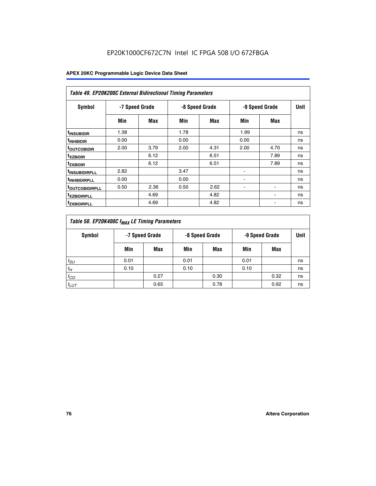| Table 49. EP20K200C External Bidirectional Timing Parameters |                |      |      |                |                          |             |    |  |  |  |
|--------------------------------------------------------------|----------------|------|------|----------------|--------------------------|-------------|----|--|--|--|
| Symbol                                                       | -7 Speed Grade |      |      | -8 Speed Grade | -9 Speed Grade           | <b>Unit</b> |    |  |  |  |
|                                                              | Min            | Max  | Min  | Max            | Min                      | Max         |    |  |  |  |
| <sup>t</sup> INSUBIDIR                                       | 1.38           |      | 1.78 |                | 1.99                     |             | ns |  |  |  |
| <sup>t</sup> INHBIDIR                                        | 0.00           |      | 0.00 |                | 0.00                     |             | ns |  |  |  |
| <b><sup>t</sup>OUTCOBIDIR</b>                                | 2.00           | 3.79 | 2.00 | 4.31           | 2.00                     | 4.70        | ns |  |  |  |
| <sup>t</sup> xzbidir                                         |                | 6.12 |      | 6.51           |                          | 7.89        | ns |  |  |  |
| <sup>t</sup> zxbidir                                         |                | 6.12 |      | 6.51           |                          | 7.89        | ns |  |  |  |
| <sup>t</sup> insubidirpll                                    | 2.82           |      | 3.47 |                | $\overline{\phantom{a}}$ |             | ns |  |  |  |
| <sup>t</sup> INHBIDIRPLL                                     | 0.00           |      | 0.00 |                |                          |             | ns |  |  |  |
| <b>TOUTCOBIDIRPLL</b>                                        | 0.50           | 2.36 | 0.50 | 2.62           | ٠                        |             | ns |  |  |  |
| <sup>T</sup> XZBIDIRPLL                                      |                | 4.69 |      | 4.82           |                          |             | ns |  |  |  |
| <sup>I</sup> ZXBIDIRPLL                                      |                | 4.69 |      | 4.82           |                          |             | ns |  |  |  |

| Table 50. EP20K400C f <sub>MAX</sub> LE Timing Parameters |      |      |                                  |      |                |      |      |  |  |
|-----------------------------------------------------------|------|------|----------------------------------|------|----------------|------|------|--|--|
| Symbol                                                    |      |      | -7 Speed Grade<br>-8 Speed Grade |      | -9 Speed Grade |      | Unit |  |  |
|                                                           | Min  | Max  | Min                              | Max  | Min            | Max  |      |  |  |
| $t_{SU}$                                                  | 0.01 |      | 0.01                             |      | 0.01           |      | ns   |  |  |
| $t_H$                                                     | 0.10 |      | 0.10                             |      | 0.10           |      | ns   |  |  |
| $t_{CO}$                                                  |      | 0.27 |                                  | 0.30 |                | 0.32 | ns   |  |  |
| $t_{LUT}$                                                 |      | 0.65 |                                  | 0.78 |                | 0.92 | ns   |  |  |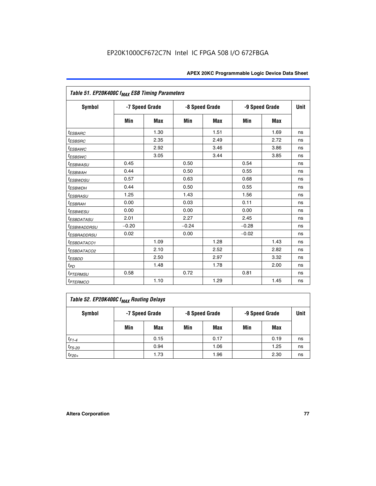| Table 51. EP20K400C f <sub>MAX</sub> ESB Timing Parameters |                |            |         |                |         |                |    |  |  |  |
|------------------------------------------------------------|----------------|------------|---------|----------------|---------|----------------|----|--|--|--|
| <b>Symbol</b>                                              | -7 Speed Grade |            |         | -8 Speed Grade |         | -9 Speed Grade |    |  |  |  |
|                                                            | Min            | <b>Max</b> | Min     | <b>Max</b>     | Min     | Max            |    |  |  |  |
| $t_{ESBARC}$                                               |                | 1.30       |         | 1.51           |         | 1.69           | ns |  |  |  |
| $t_{ESBSRC}$                                               |                | 2.35       |         | 2.49           |         | 2.72           | ns |  |  |  |
| <sup>t</sup> ESBAWC                                        |                | 2.92       |         | 3.46           |         | 3.86           | ns |  |  |  |
| <sup>t</sup> ESBSWC                                        |                | 3.05       |         | 3.44           |         | 3.85           | ns |  |  |  |
| <i>t<sub>ESBWASU</sub></i>                                 | 0.45           |            | 0.50    |                | 0.54    |                | ns |  |  |  |
| <sup>t</sup> ESBWAH                                        | 0.44           |            | 0.50    |                | 0.55    |                | ns |  |  |  |
| <i>t<sub>ESBWDSU</sub></i>                                 | 0.57           |            | 0.63    |                | 0.68    |                | ns |  |  |  |
| <sup>t</sup> ESBWDH                                        | 0.44           |            | 0.50    |                | 0.55    |                | ns |  |  |  |
| <i><b>ESBRASU</b></i>                                      | 1.25           |            | 1.43    |                | 1.56    |                | ns |  |  |  |
| <sup>t</sup> ESBRAH                                        | 0.00           |            | 0.03    |                | 0.11    |                | ns |  |  |  |
| <i>t<sub>ESBWESU</sub></i>                                 | 0.00           |            | 0.00    |                | 0.00    |                | ns |  |  |  |
| <i><b>ESBDATASU</b></i>                                    | 2.01           |            | 2.27    |                | 2.45    |                | ns |  |  |  |
| <sup>t</sup> ESBWADDRSU                                    | $-0.20$        |            | $-0.24$ |                | $-0.28$ |                | ns |  |  |  |
| <sup>t</sup> ESBRADDRSU                                    | 0.02           |            | 0.00    |                | $-0.02$ |                | ns |  |  |  |
| <sup>I</sup> ESBDATACO1                                    |                | 1.09       |         | 1.28           |         | 1.43           | ns |  |  |  |
| <sup>I</sup> ESBDATACO2                                    |                | 2.10       |         | 2.52           |         | 2.82           | ns |  |  |  |
| <sup>t</sup> ESBDD                                         |                | 2.50       |         | 2.97           |         | 3.32           | ns |  |  |  |
| t <sub>PD</sub>                                            |                | 1.48       |         | 1.78           |         | 2.00           | ns |  |  |  |
| <i>t<sub>PTERMSU</sub></i>                                 | 0.58           |            | 0.72    |                | 0.81    |                | ns |  |  |  |
| <b>t</b> <sub>PTERMCO</sub>                                |                | 1.10       |         | 1.29           |         | 1.45           | ns |  |  |  |

| Table 52. EP20K400C f <sub>MAX</sub> Routing Delays |     |                |     |                |                |      |      |  |  |  |
|-----------------------------------------------------|-----|----------------|-----|----------------|----------------|------|------|--|--|--|
| <b>Symbol</b>                                       |     | -7 Speed Grade |     | -8 Speed Grade | -9 Speed Grade |      | Unit |  |  |  |
|                                                     | Min | Max            | Min | Max            | Min            | Max  |      |  |  |  |
| $t_{F1-4}$                                          |     | 0.15           |     | 0.17           |                | 0.19 | ns   |  |  |  |
| $t_{F5-20}$                                         |     | 0.94           |     | 1.06           |                | 1.25 | ns   |  |  |  |
| $t_{F20+}$                                          |     | 1.73           |     | 1.96           |                | 2.30 | ns   |  |  |  |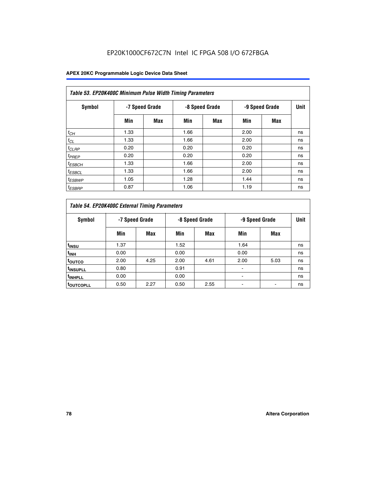| Table 53. EP20K400C Minimum Pulse Width Timing Parameters |      |                |      |                |      |                |      |  |  |  |
|-----------------------------------------------------------|------|----------------|------|----------------|------|----------------|------|--|--|--|
| Symbol                                                    |      | -7 Speed Grade |      | -8 Speed Grade |      | -9 Speed Grade | Unit |  |  |  |
|                                                           | Min  | Max            | Min  | Max            | Min  | Max            |      |  |  |  |
| $t_{CH}$                                                  | 1.33 |                | 1.66 |                | 2.00 |                | ns   |  |  |  |
| $t_{CL}$                                                  | 1.33 |                | 1.66 |                | 2.00 |                | ns   |  |  |  |
| $t_{CLRP}$                                                | 0.20 |                | 0.20 |                | 0.20 |                | ns   |  |  |  |
| $t_{PREF}$                                                | 0.20 |                | 0.20 |                | 0.20 |                | ns   |  |  |  |
| <sup>t</sup> ESBCH                                        | 1.33 |                | 1.66 |                | 2.00 |                | ns   |  |  |  |
| $t_{ESBCL}$                                               | 1.33 |                | 1.66 |                | 2.00 |                | ns   |  |  |  |
| $t_{ESBWP}$                                               | 1.05 |                | 1.28 |                | 1.44 |                | ns   |  |  |  |
| <sup>t</sup> ESBRP                                        | 0.87 |                | 1.06 |                | 1.19 |                | ns   |  |  |  |

| Table 54. EP20K400C External Timing Parameters |      |                |      |                |      |                |    |  |  |  |  |  |
|------------------------------------------------|------|----------------|------|----------------|------|----------------|----|--|--|--|--|--|
| Symbol                                         |      | -7 Speed Grade |      | -8 Speed Grade |      | -9 Speed Grade |    |  |  |  |  |  |
|                                                | Min  | Max            | Min  | Max            | Min  | Max            |    |  |  |  |  |  |
| t <sub>INSU</sub>                              | 1.37 |                | 1.52 |                | 1.64 |                | ns |  |  |  |  |  |
| $t_{\mathsf{INH}}$                             | 0.00 |                | 0.00 |                | 0.00 |                | ns |  |  |  |  |  |
| <sup>t</sup> outco                             | 2.00 | 4.25           | 2.00 | 4.61           | 2.00 | 5.03           | ns |  |  |  |  |  |
| <sup>t</sup> INSUPLL                           | 0.80 |                | 0.91 |                |      |                | ns |  |  |  |  |  |
| <sup>I</sup> INHPLL                            | 0.00 |                | 0.00 |                |      |                | ns |  |  |  |  |  |
| <b>LOUTCOPLL</b>                               | 0.50 | 2.27           | 0.50 | 2.55           |      |                | ns |  |  |  |  |  |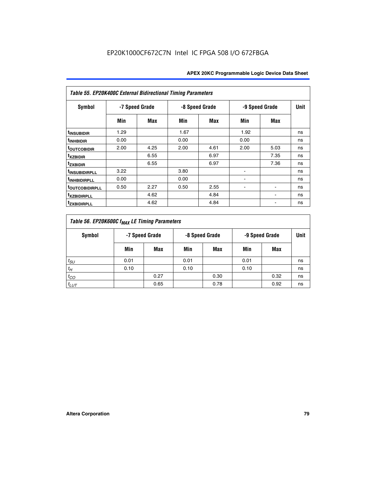| Table 55. EP20K400C External Bidirectional Timing Parameters |                |      |      |                |      |                |    |  |  |  |  |  |
|--------------------------------------------------------------|----------------|------|------|----------------|------|----------------|----|--|--|--|--|--|
| <b>Symbol</b>                                                | -7 Speed Grade |      |      | -8 Speed Grade |      | -9 Speed Grade |    |  |  |  |  |  |
|                                                              | Min            | Max  | Min  | Max            | Min  | Max            |    |  |  |  |  |  |
| t <sub>INSUBIDIR</sub>                                       | 1.29           |      | 1.67 |                | 1.92 |                | ns |  |  |  |  |  |
| <sup>t</sup> INHBIDIR                                        | 0.00           |      | 0.00 |                | 0.00 |                | ns |  |  |  |  |  |
| <b>TOUTCOBIDIR</b>                                           | 2.00           | 4.25 | 2.00 | 4.61           | 2.00 | 5.03           | ns |  |  |  |  |  |
| <sup>t</sup> xzbidir                                         |                | 6.55 |      | 6.97           |      | 7.35           | ns |  |  |  |  |  |
| <sup>t</sup> zxbidir                                         |                | 6.55 |      | 6.97           |      | 7.36           | ns |  |  |  |  |  |
| <sup>t</sup> INSUBIDIRPLL                                    | 3.22           |      | 3.80 |                |      |                | ns |  |  |  |  |  |
| <sup>t</sup> INHBIDIRPLL                                     | 0.00           |      | 0.00 |                |      |                | ns |  |  |  |  |  |
| <b>TOUTCOBIDIRPLL</b>                                        | 0.50           | 2.27 | 0.50 | 2.55           |      | $\blacksquare$ | ns |  |  |  |  |  |
| <sup>t</sup> xzbidirpll                                      |                | 4.62 |      | 4.84           |      |                | ns |  |  |  |  |  |
| <sup>t</sup> zxbidirpll                                      |                | 4.62 |      | 4.84           |      |                | ns |  |  |  |  |  |

| Table 56. EP20K600C f <sub>MAX</sub> LE Timing Parameters |                                  |      |      |      |                |      |    |  |  |  |  |
|-----------------------------------------------------------|----------------------------------|------|------|------|----------------|------|----|--|--|--|--|
| <b>Symbol</b>                                             | -8 Speed Grade<br>-7 Speed Grade |      |      |      | -9 Speed Grade |      |    |  |  |  |  |
|                                                           | Min                              | Max  | Min  | Max  | Min            | Max  |    |  |  |  |  |
| $t_{SU}$                                                  | 0.01                             |      | 0.01 |      | 0.01           |      | ns |  |  |  |  |
| $t_H$                                                     | 0.10                             |      | 0.10 |      | 0.10           |      | ns |  |  |  |  |
| $t_{CO}$                                                  |                                  | 0.27 |      | 0.30 |                | 0.32 | ns |  |  |  |  |
| $t_{LUT}$                                                 |                                  | 0.65 |      | 0.78 |                | 0.92 | ns |  |  |  |  |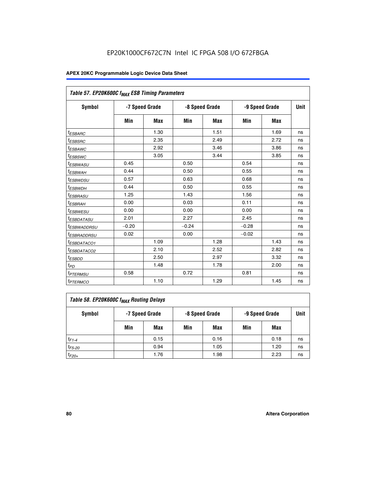|                             | Table 57. EP20K600C f <sub>MAX</sub> ESB Timing Parameters |            |         |                |         |                |    |  |  |  |  |
|-----------------------------|------------------------------------------------------------|------------|---------|----------------|---------|----------------|----|--|--|--|--|
| Symbol                      | -7 Speed Grade                                             |            |         | -8 Speed Grade |         | -9 Speed Grade |    |  |  |  |  |
|                             | Min                                                        | <b>Max</b> | Min     | Max            | Min     | Max            |    |  |  |  |  |
| <sup>t</sup> ESBARC         |                                                            | 1.30       |         | 1.51           |         | 1.69           | ns |  |  |  |  |
| <sup>t</sup> ESBSRC         |                                                            | 2.35       |         | 2.49           |         | 2.72           | ns |  |  |  |  |
| <sup>t</sup> ESBAWC         |                                                            | 2.92       |         | 3.46           |         | 3.86           | ns |  |  |  |  |
| <sup>t</sup> ESBSWC         |                                                            | 3.05       |         | 3.44           |         | 3.85           | ns |  |  |  |  |
| <sup>t</sup> ESBWASU        | 0.45                                                       |            | 0.50    |                | 0.54    |                | ns |  |  |  |  |
| <sup>t</sup> ESBWАН         | 0.44                                                       |            | 0.50    |                | 0.55    |                | ns |  |  |  |  |
| <sup>t</sup> ESBWDSU        | 0.57                                                       |            | 0.63    |                | 0.68    |                | ns |  |  |  |  |
| <sup>t</sup> ESBW <u>DH</u> | 0.44                                                       |            | 0.50    |                | 0.55    |                | ns |  |  |  |  |
| <i>ESBRASU</i>              | 1.25                                                       |            | 1.43    |                | 1.56    |                | ns |  |  |  |  |
| <sup>t</sup> ESBRAH         | 0.00                                                       |            | 0.03    |                | 0.11    |                | ns |  |  |  |  |
| <sup>t</sup> ESBWESU        | 0.00                                                       |            | 0.00    |                | 0.00    |                | ns |  |  |  |  |
| <sup>I</sup> ESBDATASU      | 2.01                                                       |            | 2.27    |                | 2.45    |                | ns |  |  |  |  |
| <sup>I</sup> ESBWADDRSU     | $-0.20$                                                    |            | $-0.24$ |                | $-0.28$ |                | ns |  |  |  |  |
| <sup>I</sup> ESBRADDRSU     | 0.02                                                       |            | 0.00    |                | $-0.02$ |                | ns |  |  |  |  |
| <sup>t</sup> ESBDATACO1     |                                                            | 1.09       |         | 1.28           |         | 1.43           | ns |  |  |  |  |
| <sup>t</sup> ESBDATACO2     |                                                            | 2.10       |         | 2.52           |         | 2.82           | ns |  |  |  |  |
| <sup>t</sup> ESBDD          |                                                            | 2.50       |         | 2.97           |         | 3.32           | ns |  |  |  |  |
| $t_{PD}$                    |                                                            | 1.48       |         | 1.78           |         | 2.00           | ns |  |  |  |  |
| <sup>t</sup> PTERMSU        | 0.58                                                       |            | 0.72    |                | 0.81    |                | ns |  |  |  |  |
| <sup>t</sup> PTERMCO        |                                                            | 1.10       |         | 1.29           |         | 1.45           | ns |  |  |  |  |

| Table 58. EP20K600C f <sub>MAX</sub> Routing Delays |                |      |                |      |                |      |      |  |  |  |  |
|-----------------------------------------------------|----------------|------|----------------|------|----------------|------|------|--|--|--|--|
| Symbol                                              | -7 Speed Grade |      | -8 Speed Grade |      | -9 Speed Grade |      | Unit |  |  |  |  |
|                                                     | Min            | Max  | Min            | Max  | Min            | Max  |      |  |  |  |  |
| $t_{F1-4}$                                          |                | 0.15 |                | 0.16 |                | 0.18 | ns   |  |  |  |  |
| $t_{F5-20}$                                         |                | 0.94 |                | 1.05 |                | 1.20 | ns   |  |  |  |  |
| $t_{F20+}$                                          |                | 1.76 |                | 1.98 |                | 2.23 | ns   |  |  |  |  |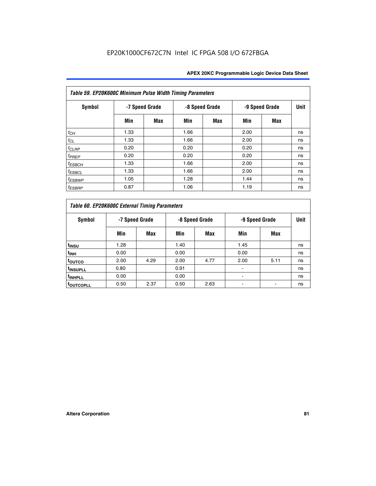| Table 59. EP20K600C Minimum Pulse Width Timing Parameters |                |     |                |            |                |     |             |  |  |  |  |
|-----------------------------------------------------------|----------------|-----|----------------|------------|----------------|-----|-------------|--|--|--|--|
| Symbol                                                    | -7 Speed Grade |     | -8 Speed Grade |            | -9 Speed Grade |     | <b>Unit</b> |  |  |  |  |
|                                                           | Min            | Max | Min            | <b>Max</b> | Min            | Max |             |  |  |  |  |
| $t_{CH}$                                                  | 1.33           |     | 1.66           |            | 2.00           |     | ns          |  |  |  |  |
| $t_{CL}$                                                  | 1.33           |     | 1.66           |            | 2.00           |     | ns          |  |  |  |  |
| $t_{CLRP}$                                                | 0.20           |     | 0.20           |            | 0.20           |     | ns          |  |  |  |  |
| $t_{PREF}$                                                | 0.20           |     | 0.20           |            | 0.20           |     | ns          |  |  |  |  |
| $t_{ESBCH}$                                               | 1.33           |     | 1.66           |            | 2.00           |     | ns          |  |  |  |  |
| $t_{ESBCL}$                                               | 1.33           |     | 1.66           |            | 2.00           |     | ns          |  |  |  |  |
| <sup>t</sup> ESBWP                                        | 1.05           |     | 1.28           |            | 1.44           |     | ns          |  |  |  |  |
| <sup>t</sup> ESBRP                                        | 0.87           |     | 1.06           |            | 1.19           |     | ns          |  |  |  |  |

| Table 60. EP20K600C External Timing Parameters |      |                |      |                |                |      |    |  |  |  |  |  |
|------------------------------------------------|------|----------------|------|----------------|----------------|------|----|--|--|--|--|--|
| Symbol                                         |      | -7 Speed Grade |      | -8 Speed Grade | -9 Speed Grade | Unit |    |  |  |  |  |  |
|                                                | Min  | Max            | Min  | Max            | Min            | Max  |    |  |  |  |  |  |
| t <sub>INSU</sub>                              | 1.28 |                | 1.40 |                | 1.45           |      | ns |  |  |  |  |  |
| <sup>t</sup> INH                               | 0.00 |                | 0.00 |                | 0.00           |      | ns |  |  |  |  |  |
| toutco                                         | 2.00 | 4.29           | 2.00 | 4.77           | 2.00           | 5.11 | ns |  |  |  |  |  |
| <sup>t</sup> INSUPLL                           | 0.80 |                | 0.91 |                |                |      | ns |  |  |  |  |  |
| <sup>t</sup> INHPLL                            | 0.00 |                | 0.00 |                |                |      | ns |  |  |  |  |  |
| <b>TOUTCOPLL</b>                               | 0.50 | 2.37           | 0.50 | 2.63           |                |      | ns |  |  |  |  |  |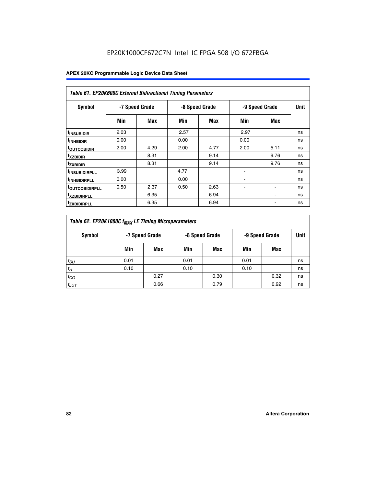| Table 61. EP20K600C External Bidirectional Timing Parameters |                |      |      |                |      |                |             |  |  |  |  |
|--------------------------------------------------------------|----------------|------|------|----------------|------|----------------|-------------|--|--|--|--|
| <b>Symbol</b>                                                | -7 Speed Grade |      |      | -8 Speed Grade |      | -9 Speed Grade | <b>Unit</b> |  |  |  |  |
|                                                              | Min            | Max  | Min  | Max            | Min  | Max            |             |  |  |  |  |
| <sup>t</sup> INSUBIDIR                                       | 2.03           |      | 2.57 |                | 2.97 |                | ns          |  |  |  |  |
| <sup>t</sup> inhbidir                                        | 0.00           |      | 0.00 |                | 0.00 |                | ns          |  |  |  |  |
| <b><sup>t</sup>OUTCOBIDIR</b>                                | 2.00           | 4.29 | 2.00 | 4.77           | 2.00 | 5.11           | ns          |  |  |  |  |
| <sup>T</sup> XZBIDIR                                         |                | 8.31 |      | 9.14           |      | 9.76           | ns          |  |  |  |  |
| <sup>t</sup> zxbidir                                         |                | 8.31 |      | 9.14           |      | 9.76           | ns          |  |  |  |  |
| <sup>T</sup> INSUBIDIRPLL                                    | 3.99           |      | 4.77 |                | ۰    |                | ns          |  |  |  |  |
| <sup>t</sup> INHBIDIRPLL                                     | 0.00           |      | 0.00 |                |      |                | ns          |  |  |  |  |
| <sup>T</sup> OUTCOBIDIRPLL                                   | 0.50           | 2.37 | 0.50 | 2.63           |      | ۰              | ns          |  |  |  |  |
| <sup>t</sup> xzbidirpll                                      |                | 6.35 |      | 6.94           |      |                | ns          |  |  |  |  |
| <sup>T</sup> ZXBIDIRPLL                                      |                | 6.35 |      | 6.94           |      |                | ns          |  |  |  |  |

| Table 62. EP20K1000C f <sub>MAX</sub> LE Timing Microparameters |                |      |                |      |                |      |      |  |  |  |  |
|-----------------------------------------------------------------|----------------|------|----------------|------|----------------|------|------|--|--|--|--|
| Symbol                                                          | -7 Speed Grade |      | -8 Speed Grade |      | -9 Speed Grade |      | Unit |  |  |  |  |
|                                                                 | Min            | Max  | Min            | Max  | Min            | Max  |      |  |  |  |  |
| $t_{SU}$                                                        | 0.01           |      | 0.01           |      | 0.01           |      | ns   |  |  |  |  |
| $t_H$                                                           | 0.10           |      | 0.10           |      | 0.10           |      | ns   |  |  |  |  |
| $t_{CO}$                                                        |                | 0.27 |                | 0.30 |                | 0.32 | ns   |  |  |  |  |
| $t_{LUT}$                                                       |                | 0.66 |                | 0.79 |                | 0.92 | ns   |  |  |  |  |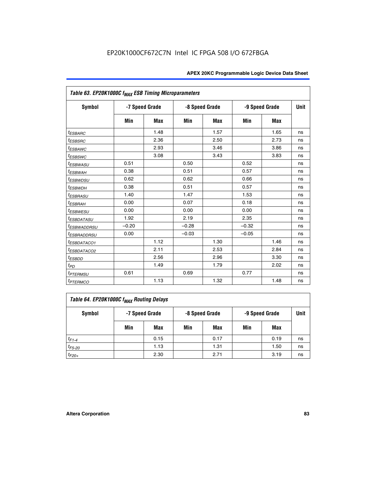| Table 63. EP20K1000C f <sub>MAX</sub> ESB Timing Microparameters |                |            |         |                |         |                |             |  |  |  |
|------------------------------------------------------------------|----------------|------------|---------|----------------|---------|----------------|-------------|--|--|--|
| <b>Symbol</b>                                                    | -7 Speed Grade |            |         | -8 Speed Grade |         | -9 Speed Grade | <b>Unit</b> |  |  |  |
|                                                                  | Min            | <b>Max</b> | Min     | <b>Max</b>     | Min     | Max            |             |  |  |  |
| <sup>t</sup> ESBARC                                              |                | 1.48       |         | 1.57           |         | 1.65           | ns          |  |  |  |
| t <sub>ESBSRC</sub>                                              |                | 2.36       |         | 2.50           |         | 2.73           | ns          |  |  |  |
| <sup>t</sup> ESBAWC                                              |                | 2.93       |         | 3.46           |         | 3.86           | ns          |  |  |  |
| t <sub>ESBSWC</sub>                                              |                | 3.08       |         | 3.43           |         | 3.83           | ns          |  |  |  |
| <sup>t</sup> ESBWASU                                             | 0.51           |            | 0.50    |                | 0.52    |                | ns          |  |  |  |
| <sup>t</sup> ESBWAH                                              | 0.38           |            | 0.51    |                | 0.57    |                | ns          |  |  |  |
| <sup>t</sup> ESBWDSU                                             | 0.62           |            | 0.62    |                | 0.66    |                | ns          |  |  |  |
| <sup>t</sup> ESBWDH                                              | 0.38           |            | 0.51    |                | 0.57    |                | ns          |  |  |  |
| <i><b>ESBRASU</b></i>                                            | 1.40           |            | 1.47    |                | 1.53    |                | ns          |  |  |  |
| <sup>t</sup> ESBRAH                                              | 0.00           |            | 0.07    |                | 0.18    |                | ns          |  |  |  |
| <i>t<sub>ESBWESU</sub></i>                                       | 0.00           |            | 0.00    |                | 0.00    |                | ns          |  |  |  |
| <i><b>ESBDATASU</b></i>                                          | 1.92           |            | 2.19    |                | 2.35    |                | ns          |  |  |  |
| <sup>t</sup> ESBWADDRSU                                          | $-0.20$        |            | $-0.28$ |                | $-0.32$ |                | ns          |  |  |  |
| <sup>t</sup> ESBRADDRSU                                          | 0.00           |            | $-0.03$ |                | $-0.05$ |                | ns          |  |  |  |
| <sup>t</sup> ESBDATACO1                                          |                | 1.12       |         | 1.30           |         | 1.46           | ns          |  |  |  |
| <sup>t</sup> ESBDATACO2                                          |                | 2.11       |         | 2.53           |         | 2.84           | ns          |  |  |  |
| $t_{ESBDD}$                                                      |                | 2.56       |         | 2.96           |         | 3.30           | ns          |  |  |  |
| $t_{PD}$                                                         |                | 1.49       |         | 1.79           |         | 2.02           | ns          |  |  |  |
| t <sub>PTERMSU</sub>                                             | 0.61           |            | 0.69    |                | 0.77    |                | ns          |  |  |  |
| <b>t</b> <sub>PTERMCO</sub>                                      |                | 1.13       |         | 1.32           |         | 1.48           | ns          |  |  |  |

| Table 64. EP20K1000C f <sub>MAX</sub> Routing Delays |                |      |                |      |                |      |      |  |  |  |  |
|------------------------------------------------------|----------------|------|----------------|------|----------------|------|------|--|--|--|--|
| Symbol                                               | -7 Speed Grade |      | -8 Speed Grade |      | -9 Speed Grade |      | Unit |  |  |  |  |
|                                                      | Min            | Max  | Min            | Max  | Min            | Max  |      |  |  |  |  |
| $t_{F1-4}$                                           |                | 0.15 |                | 0.17 |                | 0.19 | ns   |  |  |  |  |
| $t_{F5-20}$                                          |                | 1.13 |                | 1.31 |                | 1.50 | ns   |  |  |  |  |
| $t_{F20+}$                                           |                | 2.30 |                | 2.71 |                | 3.19 | ns   |  |  |  |  |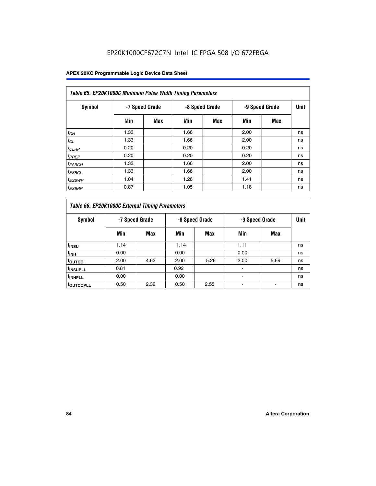| Table 65. EP20K1000C Minimum Pulse Width Timing Parameters |                |     |      |                |      |                |      |  |  |  |  |
|------------------------------------------------------------|----------------|-----|------|----------------|------|----------------|------|--|--|--|--|
| Symbol                                                     | -7 Speed Grade |     |      | -8 Speed Grade |      | -9 Speed Grade | Unit |  |  |  |  |
|                                                            | Min            | Max | Min  | <b>Max</b>     | Min  | <b>Max</b>     |      |  |  |  |  |
| $t_{CH}$                                                   | 1.33           |     | 1.66 |                | 2.00 |                | ns   |  |  |  |  |
| $t_{CL}$                                                   | 1.33           |     | 1.66 |                | 2.00 |                | ns   |  |  |  |  |
| $t_{CLRP}$                                                 | 0.20           |     | 0.20 |                | 0.20 |                | ns   |  |  |  |  |
| $t_{PREF}$                                                 | 0.20           |     | 0.20 |                | 0.20 |                | ns   |  |  |  |  |
| <sup>t</sup> ESBCH                                         | 1.33           |     | 1.66 |                | 2.00 |                | ns   |  |  |  |  |
| $t_{ESBCL}$                                                | 1.33           |     | 1.66 |                | 2.00 |                | ns   |  |  |  |  |
| $t_{ESBWP}$                                                | 1.04           |     | 1.26 |                | 1.41 |                | ns   |  |  |  |  |
| <sup>t</sup> ESBRP                                         | 0.87           |     | 1.05 |                | 1.18 |                | ns   |  |  |  |  |

| Table 66. EP20K1000C External Timing Parameters |                |      |                |      |                |      |             |
|-------------------------------------------------|----------------|------|----------------|------|----------------|------|-------------|
| Symbol                                          | -7 Speed Grade |      | -8 Speed Grade |      | -9 Speed Grade |      | <b>Unit</b> |
|                                                 | Min            | Max  | Min            | Max  | Min            | Max  |             |
| t <sub>insu</sub>                               | 1.14           |      | 1.14           |      | 1.11           |      | ns          |
| <sup>t</sup> inh                                | 0.00           |      | 0.00           |      | 0.00           |      | ns          |
| toutco                                          | 2.00           | 4.63 | 2.00           | 5.26 | 2.00           | 5.69 | ns          |
| <sup>t</sup> INSUPLL                            | 0.81           |      | 0.92           |      |                |      | ns          |
| <sup>t</sup> INHPLL                             | 0.00           |      | 0.00           |      |                |      | ns          |
| <sup>I</sup> OUTCOPLL                           | 0.50           | 2.32 | 0.50           | 2.55 |                |      | ns          |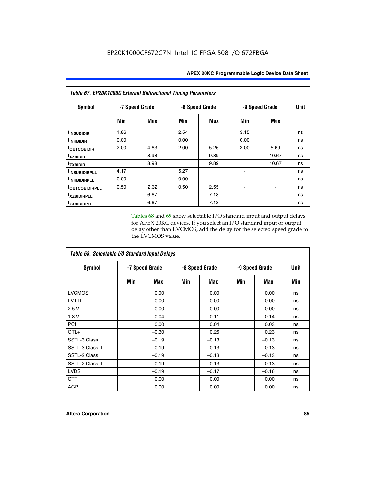| <b>Table 67. EP20K1000C External Bidirectional Timing Parameters</b> |                |      |                |      |                |       |             |
|----------------------------------------------------------------------|----------------|------|----------------|------|----------------|-------|-------------|
| Symbol                                                               | -7 Speed Grade |      | -8 Speed Grade |      | -9 Speed Grade |       | <b>Unit</b> |
|                                                                      | Min            | Max  | Min            | Max  | Min            | Max   |             |
| <sup>t</sup> INSUBIDIR                                               | 1.86           |      | 2.54           |      | 3.15           |       | ns          |
| <sup>t</sup> INHBIDIR                                                | 0.00           |      | 0.00           |      | 0.00           |       | ns          |
| <b>TOUTCOBIDIR</b>                                                   | 2.00           | 4.63 | 2.00           | 5.26 | 2.00           | 5.69  | ns          |
| <sup>t</sup> xzbidir                                                 |                | 8.98 |                | 9.89 |                | 10.67 | ns          |
| tzxbidir                                                             |                | 8.98 |                | 9.89 |                | 10.67 | ns          |
| <sup>t</sup> INSUBIDIRPLL                                            | 4.17           |      | 5.27           |      |                |       | ns          |
| <sup>t</sup> INHBIDIRPLL                                             | 0.00           |      | 0.00           |      |                |       | ns          |
| <b>TOUTCOBIDIRPLL</b>                                                | 0.50           | 2.32 | 0.50           | 2.55 |                |       | ns          |
| <sup>t</sup> xzbidirpll                                              |                | 6.67 |                | 7.18 |                |       | ns          |
| tzxbidirpll                                                          |                | 6.67 |                | 7.18 |                |       | ns          |

Tables 68 and 69 show selectable I/O standard input and output delays for APEX 20KC devices. If you select an I/O standard input or output delay other than LVCMOS, add the delay for the selected speed grade to the LVCMOS value.

| Table 68. Selectable I/O Standard Input Delays |                |         |                |         |                |         |             |  |
|------------------------------------------------|----------------|---------|----------------|---------|----------------|---------|-------------|--|
| <b>Symbol</b>                                  | -7 Speed Grade |         | -8 Speed Grade |         | -9 Speed Grade |         | <b>Unit</b> |  |
|                                                | Min            | Max     | Min            | Max     | Min            | Max     | Min         |  |
| <b>LVCMOS</b>                                  |                | 0.00    |                | 0.00    |                | 0.00    | ns          |  |
| <b>LVTTL</b>                                   |                | 0.00    |                | 0.00    |                | 0.00    | ns          |  |
| 2.5V                                           |                | 0.00    |                | 0.00    |                | 0.00    | ns          |  |
| 1.8 V                                          |                | 0.04    |                | 0.11    |                | 0.14    | ns          |  |
| PCI                                            |                | 0.00    |                | 0.04    |                | 0.03    | ns          |  |
| $GTL+$                                         |                | $-0.30$ |                | 0.25    |                | 0.23    | ns          |  |
| SSTL-3 Class I                                 |                | $-0.19$ |                | $-0.13$ |                | $-0.13$ | ns          |  |
| SSTL-3 Class II                                |                | $-0.19$ |                | $-0.13$ |                | $-0.13$ | ns          |  |
| SSTL-2 Class I                                 |                | $-0.19$ |                | $-0.13$ |                | $-0.13$ | ns          |  |
| SSTL-2 Class II                                |                | $-0.19$ |                | $-0.13$ |                | $-0.13$ | ns          |  |
| <b>LVDS</b>                                    |                | $-0.19$ |                | $-0.17$ |                | $-0.16$ | ns          |  |
| <b>CTT</b>                                     |                | 0.00    |                | 0.00    |                | 0.00    | ns          |  |
| <b>AGP</b>                                     |                | 0.00    |                | 0.00    |                | 0.00    | ns          |  |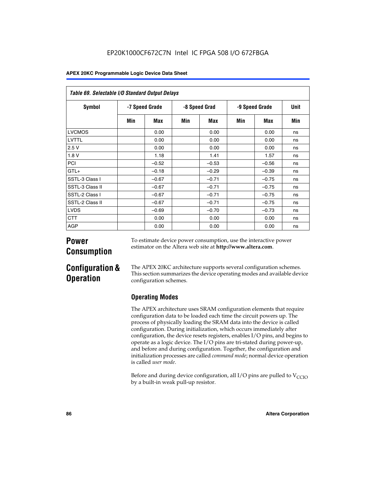| Table 69. Selectable I/O Standard Output Delays |                |         |               |         |                |         |      |
|-------------------------------------------------|----------------|---------|---------------|---------|----------------|---------|------|
| <b>Symbol</b>                                   | -7 Speed Grade |         | -8 Speed Grad |         | -9 Speed Grade |         | Unit |
|                                                 | Min            | Max     | Min           | Max     | Min            | Max     | Min  |
| <b>LVCMOS</b>                                   |                | 0.00    |               | 0.00    |                | 0.00    | ns   |
| LVTTL                                           |                | 0.00    |               | 0.00    |                | 0.00    | ns   |
| 2.5V                                            |                | 0.00    |               | 0.00    |                | 0.00    | ns   |
| 1.8V                                            |                | 1.18    |               | 1.41    |                | 1.57    | ns   |
| PCI                                             |                | $-0.52$ |               | $-0.53$ |                | $-0.56$ | ns   |
| $GTL+$                                          |                | $-0.18$ |               | $-0.29$ |                | $-0.39$ | ns   |
| SSTL-3 Class I                                  |                | $-0.67$ |               | $-0.71$ |                | $-0.75$ | ns   |
| SSTL-3 Class II                                 |                | $-0.67$ |               | $-0.71$ |                | $-0.75$ | ns   |
| SSTL-2 Class I                                  |                | $-0.67$ |               | $-0.71$ |                | $-0.75$ | ns   |
| SSTL-2 Class II                                 |                | $-0.67$ |               | $-0.71$ |                | $-0.75$ | ns   |
| <b>LVDS</b>                                     |                | $-0.69$ |               | $-0.70$ |                | $-0.73$ | ns   |
| <b>CTT</b>                                      |                | 0.00    |               | 0.00    |                | 0.00    | ns   |
| AGP                                             |                | 0.00    |               | 0.00    |                | 0.00    | ns   |

# **Power Consumption**

To estimate device power consumption, use the interactive power estimator on the Altera web site at **http://www.altera.com**.

# **Configuration & Operation**

The APEX 20KC architecture supports several configuration schemes. This section summarizes the device operating modes and available device configuration schemes.

# **Operating Modes**

The APEX architecture uses SRAM configuration elements that require configuration data to be loaded each time the circuit powers up. The process of physically loading the SRAM data into the device is called configuration. During initialization, which occurs immediately after configuration, the device resets registers, enables I/O pins, and begins to operate as a logic device. The I/O pins are tri-stated during power-up, and before and during configuration. Together, the configuration and initialization processes are called *command mode*; normal device operation is called *user mode*.

Before and during device configuration, all I/O pins are pulled to  $V_{CCIO}$ by a built-in weak pull-up resistor.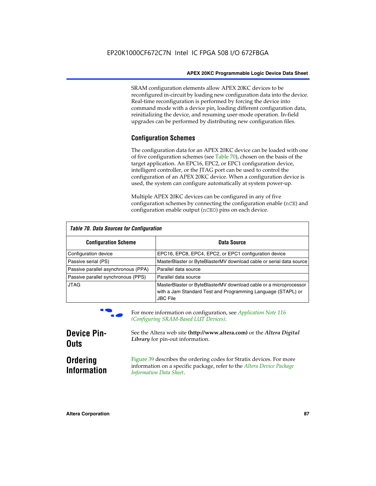SRAM configuration elements allow APEX 20KC devices to be reconfigured in-circuit by loading new configuration data into the device. Real-time reconfiguration is performed by forcing the device into command mode with a device pin, loading different configuration data, reinitializing the device, and resuming user-mode operation. In-field upgrades can be performed by distributing new configuration files.

# **Configuration Schemes**

The configuration data for an APEX 20KC device can be loaded with one of five configuration schemes (see Table 70), chosen on the basis of the target application. An EPC16, EPC2, or EPC1 configuration device, intelligent controller, or the JTAG port can be used to control the configuration of an APEX 20KC device. When a configuration device is used, the system can configure automatically at system power-up.

Multiple APEX 20KC devices can be configured in any of five configuration schemes by connecting the configuration enable (nCE) and configuration enable output (nCEO) pins on each device.

| Table 70. Data Sources for Configuration |                                                                                                                                                      |  |  |  |  |
|------------------------------------------|------------------------------------------------------------------------------------------------------------------------------------------------------|--|--|--|--|
| <b>Configuration Scheme</b>              | Data Source                                                                                                                                          |  |  |  |  |
| Configuration device                     | EPC16, EPC8, EPC4, EPC2, or EPC1 configuration device                                                                                                |  |  |  |  |
| Passive serial (PS)                      | MasterBlaster or ByteBlasterMV download cable or serial data source                                                                                  |  |  |  |  |
| Passive parallel asynchronous (PPA)      | Parallel data source                                                                                                                                 |  |  |  |  |
| Passive parallel synchronous (PPS)       | Parallel data source                                                                                                                                 |  |  |  |  |
| <b>JTAG</b>                              | MasterBlaster or ByteBlasterMV download cable or a microprocessor<br>with a Jam Standard Test and Programming Language (STAPL) or<br><b>JBC File</b> |  |  |  |  |



For more information on configuration, see *Application Note* 116 *(Configuring SRAM-Based LUT Devices).*

| <b>Device Pin-</b>                    | See the Altera web site (http://www.altera.com) or the Altera Digital                                                                                                    |
|---------------------------------------|--------------------------------------------------------------------------------------------------------------------------------------------------------------------------|
| <b>Outs</b>                           | Library for pin-out information.                                                                                                                                         |
| <b>Ordering</b><br><b>Information</b> | Figure 39 describes the ordering codes for Stratix devices. For more<br>information on a specific package, refer to the Altera Device Package<br>Information Data Sheet. |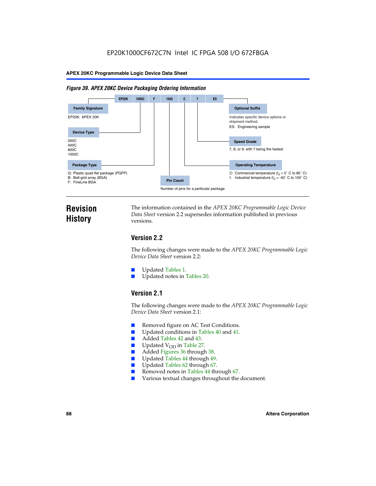#### *Figure 39. APEX 20KC Device Packaging Ordering Information*



# **Revision History**

The information contained in the *APEX 20KC Programmable Logic Device Data Sheet* version 2.2 supersedes information published in previous versions.

# **Version 2.2**

The following changes were made to the *APEX 20KC Programmable Logic Device Data Sheet* version 2.2:

- Updated Tables 1.
- Updated notes in Tables 20.

# **Version 2.1**

The following changes were made to the *APEX 20KC Programmable Logic Device Data Sheet* version 2.1:

- Removed figure on AC Test Conditions.
- Updated conditions in Tables 40 and 41.
- Added Tables 42 and 43.
- $\blacksquare$  Updated V<sub>OD</sub> in Table 27.<br>Added Figures 36 through
- Added Figures 36 through 38.
- Updated Tables 44 through 49.
- Updated Tables 62 through 67.
- Removed notes in Tables 44 through 67.
- Various textual changes throughout the document.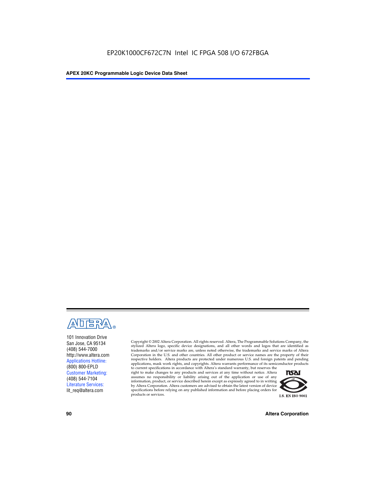

101 Innovation Drive San Jose, CA 95134 (408) 544-7000 http://www.altera.com Applications Hotline: (800) 800-EPLD Customer Marketing: (408) 544-7104 Literature Services: lit\_req@altera.com

Copyright © 2002 Altera Corporation. All rights reserved. Altera, The Programmable Solutions Company, the stylized Altera logo, specific device designations, and all other words and logos that are identified as trademarks and/or service marks are, unless noted otherwise, the trademarks and service marks of Altera Corporation in the U.S. and other countries. All other product or service names are the property of their respective holders. Altera products are protected under numerous U.S. and foreign patents and pending applications, mask work rights, and copyrights. Altera warrants performance of its semiconductor products

to current specifications in accordance with Altera's standard warranty, but reserves the right to make changes to any products and services at any time without notice. Altera assumes no responsibility or liability arising out of the application or use of any information, product, or service described herein except as expressly agreed to in writing by Altera Corporation. Altera customers are advised to obtain the latest version of device specifications before relying on any published information and before placing orders for products or services.



**90 Altera Corporation**